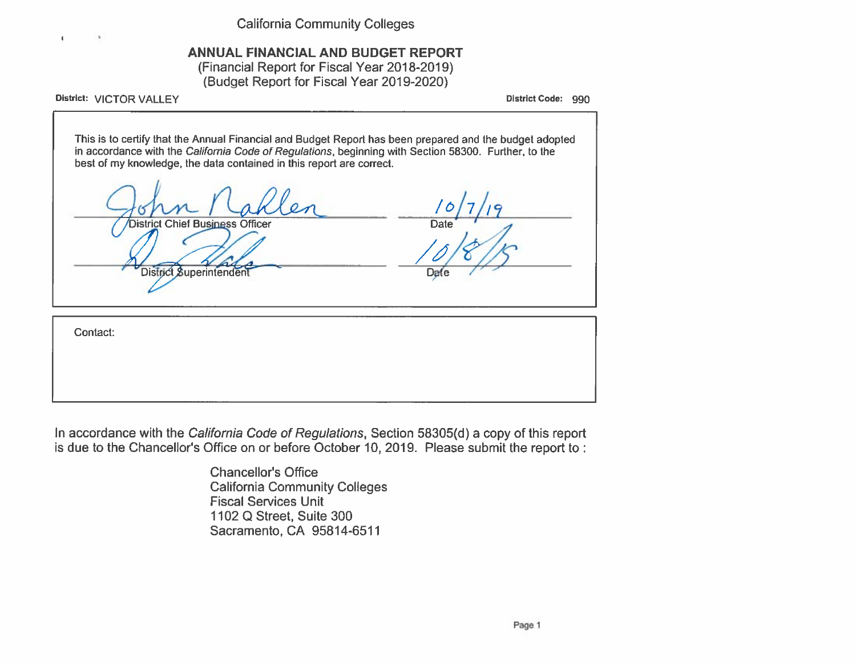**California Community Colleges** 

# ANNUAL FINANCIAL AND BUDGET REPORT

(Financial Report for Fiscal Year 2018-2019) (Budget Report for Fiscal Year 2019-2020)

District: VICTOR VALLEY

 $\blacksquare$ 

District Code: 990

This is to certify that the Annual Financial and Budget Report has been prepared and the budget adopted in accordance with the California Code of Regulations, beginning with Section 58300. Further, to the best of my knowledge, the data contained in this report are correct.

| District Chief Business Officer<br>District Superintendent | 9<br><b>Date</b><br>Date |
|------------------------------------------------------------|--------------------------|
| Contact:                                                   |                          |
|                                                            |                          |

In accordance with the California Code of Regulations, Section 58305(d) a copy of this report is due to the Chancellor's Office on or before October 10, 2019. Please submit the report to:

> **Chancellor's Office California Community Colleges Fiscal Services Unit** 1102 Q Street, Suite 300 Sacramento, CA 95814-6511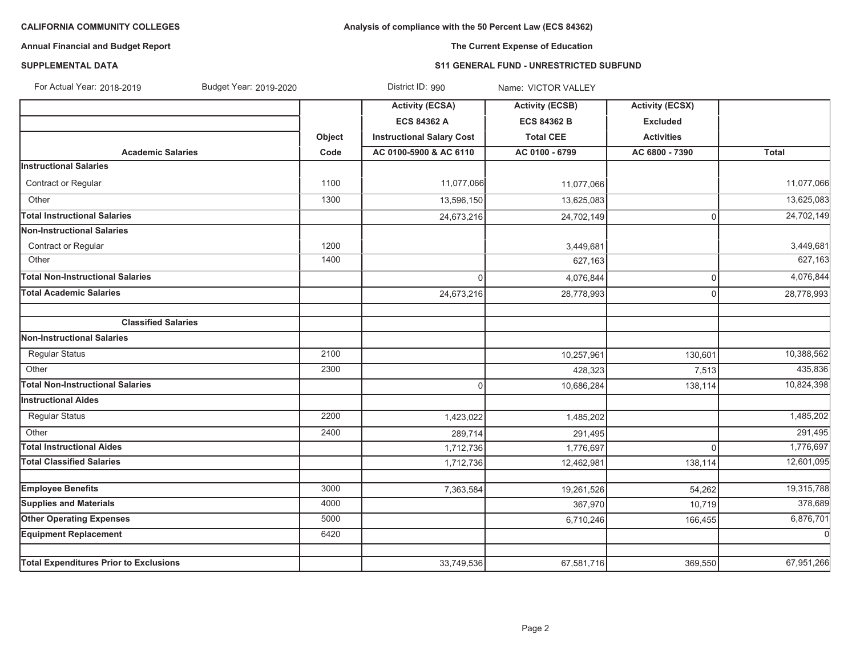# **Analysis of compliance with the 50 Percent Law (ECS 84362)**

# **Annual Financial and Budget Report**

# **The Current Expense of Education**

### **SUPPLEMENTAL DATA**

### **S11 GENERAL FUND - UNRESTRICTED SUBFUND**

| For Actual Year: 2018-2019<br>Budget Year: 2019-2020 |        | District ID: 990                 | Name: VICTOR VALLEY    |                        |              |
|------------------------------------------------------|--------|----------------------------------|------------------------|------------------------|--------------|
|                                                      |        | <b>Activity (ECSA)</b>           | <b>Activity (ECSB)</b> | <b>Activity (ECSX)</b> |              |
|                                                      |        | <b>ECS 84362 A</b>               | <b>ECS 84362 B</b>     | <b>Excluded</b>        |              |
|                                                      | Object | <b>Instructional Salary Cost</b> | <b>Total CEE</b>       | <b>Activities</b>      |              |
| <b>Academic Salaries</b>                             | Code   | AC 0100-5900 & AC 6110           | AC 0100 - 6799         | AC 6800 - 7390         | <b>Total</b> |
| <b>Instructional Salaries</b>                        |        |                                  |                        |                        |              |
| Contract or Regular                                  | 1100   | 11,077,066                       | 11,077,066             |                        | 11,077,066   |
| Other                                                | 1300   | 13,596,150                       | 13,625,083             |                        | 13,625,083   |
| <b>Total Instructional Salaries</b>                  |        | 24,673,216                       | 24,702,149             | $\mathbf 0$            | 24,702,149   |
| Non-Instructional Salaries                           |        |                                  |                        |                        |              |
| Contract or Regular                                  | 1200   |                                  | 3,449,681              |                        | 3,449,681    |
| Other                                                | 1400   |                                  | 627,163                |                        | 627,163      |
| <b>Total Non-Instructional Salaries</b>              |        | $\Omega$                         | 4,076,844              | $\mathsf 0$            | 4,076,844    |
| <b>Total Academic Salaries</b>                       |        | 24,673,216                       | 28,778,993             | $\mathbf 0$            | 28,778,993   |
| <b>Classified Salaries</b>                           |        |                                  |                        |                        |              |
| Non-Instructional Salaries                           |        |                                  |                        |                        |              |
| <b>Regular Status</b>                                | 2100   |                                  | 10,257,961             | 130,601                | 10,388,562   |
| Other                                                | 2300   |                                  | 428,323                | 7,513                  | 435,836      |
| <b>Total Non-Instructional Salaries</b>              |        | $\Omega$                         | 10,686,284             | 138,114                | 10,824,398   |
| <b>Instructional Aides</b>                           |        |                                  |                        |                        |              |
| Regular Status                                       | 2200   | 1,423,022                        | 1,485,202              |                        | 1,485,202    |
| Other                                                | 2400   | 289,714                          | 291,495                |                        | 291,495      |
| <b>Total Instructional Aides</b>                     |        | 1,712,736                        | 1,776,697              | $\Omega$               | 1,776,697    |
| <b>Total Classified Salaries</b>                     |        | 1,712,736                        | 12,462,981             | 138,114                | 12,601,095   |
|                                                      |        |                                  |                        |                        |              |
| <b>Employee Benefits</b>                             | 3000   | 7,363,584                        | 19,261,526             | 54,262                 | 19,315,788   |
| <b>Supplies and Materials</b>                        | 4000   |                                  | 367,970                | 10,719                 | 378,689      |
| <b>Other Operating Expenses</b>                      | 5000   |                                  | 6,710,246              | 166,455                | 6,876,701    |
| <b>Equipment Replacement</b>                         | 6420   |                                  |                        |                        | $\mathbf 0$  |
| <b>Total Expenditures Prior to Exclusions</b>        |        | 33,749,536                       | 67,581,716             | 369,550                | 67,951,266   |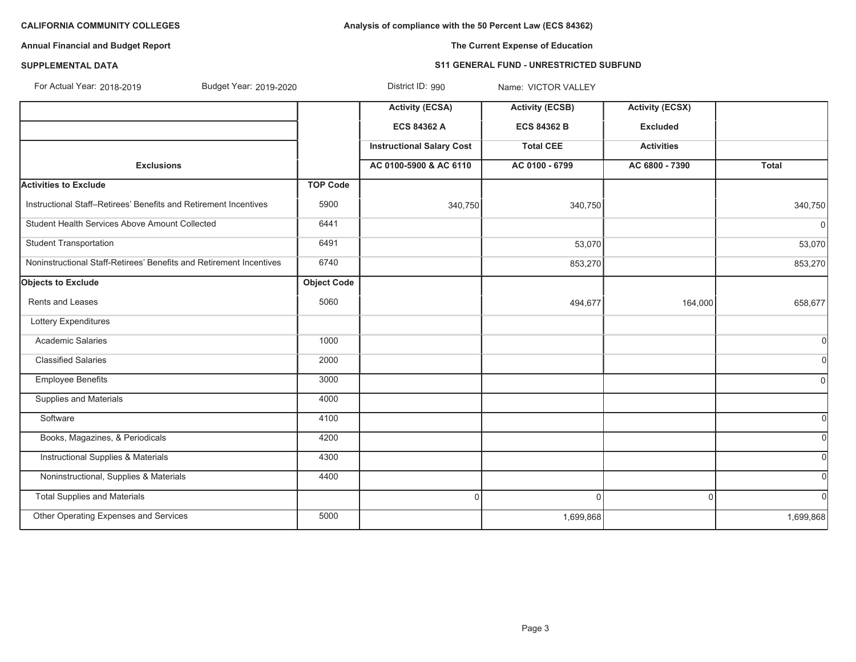**Analysis of compliance with the 50 Percent Law (ECS 84362)**

# **Annual Financial and Budget Report**

**The Current Expense of Education**

# **SUPPLEMENTAL DATA**

#### **S11 GENERAL FUND - UNRESTRICTED SUBFUND**

| For Actual Year: 2018-2019<br>Budget Year: 2019-2020                |                    | District ID: 990                 | Name: VICTOR VALLEY    |                        |              |
|---------------------------------------------------------------------|--------------------|----------------------------------|------------------------|------------------------|--------------|
|                                                                     |                    | <b>Activity (ECSA)</b>           | <b>Activity (ECSB)</b> | <b>Activity (ECSX)</b> |              |
|                                                                     |                    | <b>ECS 84362 A</b>               | <b>ECS 84362 B</b>     | <b>Excluded</b>        |              |
|                                                                     |                    | <b>Instructional Salary Cost</b> | <b>Total CEE</b>       | <b>Activities</b>      |              |
| <b>Exclusions</b>                                                   |                    | AC 0100-5900 & AC 6110           | AC 0100 - 6799         | AC 6800 - 7390         | <b>Total</b> |
| <b>Activities to Exclude</b>                                        | <b>TOP Code</b>    |                                  |                        |                        |              |
| Instructional Staff-Retirees' Benefits and Retirement Incentives    | 5900               | 340,750                          | 340,750                |                        | 340,750      |
| Student Health Services Above Amount Collected                      | 6441               |                                  |                        |                        | 0            |
| <b>Student Transportation</b>                                       | 6491               |                                  | 53,070                 |                        | 53,070       |
| Noninstructional Staff-Retirees' Benefits and Retirement Incentives | 6740               |                                  | 853,270                |                        | 853,270      |
| <b>Objects to Exclude</b>                                           | <b>Object Code</b> |                                  |                        |                        |              |
| <b>Rents and Leases</b>                                             | 5060               |                                  | 494,677                | 164,000                | 658,677      |
| Lottery Expenditures                                                |                    |                                  |                        |                        |              |
| <b>Academic Salaries</b>                                            | 1000               |                                  |                        |                        | 0l           |
| <b>Classified Salaries</b>                                          | 2000               |                                  |                        |                        | 0l           |
| <b>Employee Benefits</b>                                            | 3000               |                                  |                        |                        | $\Omega$     |
| Supplies and Materials                                              | 4000               |                                  |                        |                        |              |
| Software                                                            | 4100               |                                  |                        |                        |              |
| Books, Magazines, & Periodicals                                     | 4200               |                                  |                        |                        | 0l           |
| <b>Instructional Supplies &amp; Materials</b>                       | 4300               |                                  |                        |                        | 0l           |
| Noninstructional, Supplies & Materials                              | 4400               |                                  |                        |                        | $\Omega$     |
| <b>Total Supplies and Materials</b>                                 |                    | $\Omega$                         | $\Omega$               | $\Omega$               | $\Omega$     |
| Other Operating Expenses and Services                               | 5000               |                                  | 1,699,868              |                        | 1,699,868    |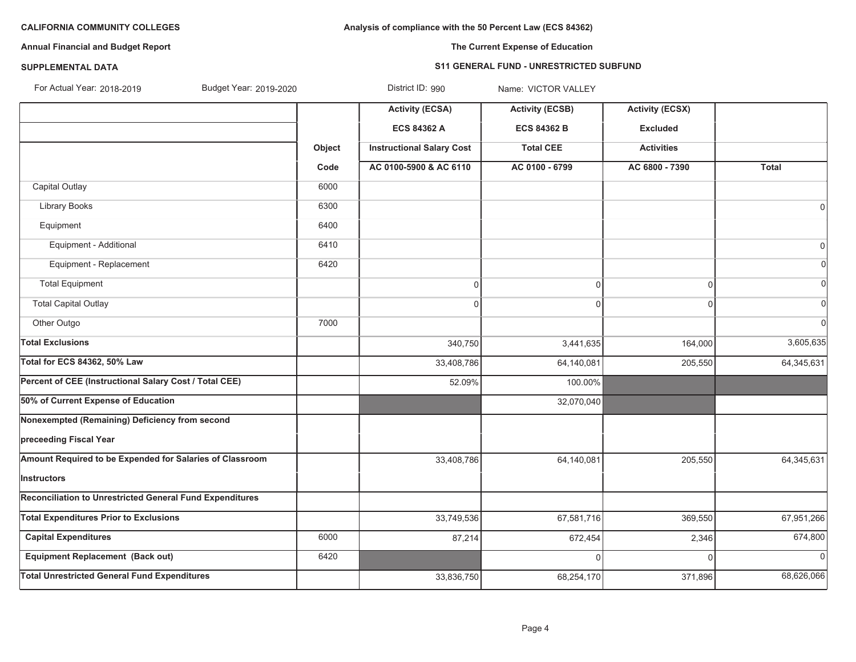**Analysis of compliance with the 50 Percent Law (ECS 84362)**

# **Annual Financial and Budget Report**

# **The Current Expense of Education**

### **SUPPLEMENTAL DATA**

### **S11 GENERAL FUND - UNRESTRICTED SUBFUND**

| For Actual Year: 2018-2019 | Budget Year: 2019-2020 | District ID: 990 | Name: VICTOR VALLEY |
|----------------------------|------------------------|------------------|---------------------|
|                            |                        |                  |                     |

|                                                          |        | <b>Activity (ECSA)</b>           | <b>Activity (ECSB)</b> | <b>Activity (ECSX)</b> |                |
|----------------------------------------------------------|--------|----------------------------------|------------------------|------------------------|----------------|
|                                                          |        | <b>ECS 84362 A</b>               | <b>ECS 84362 B</b>     | <b>Excluded</b>        |                |
|                                                          | Object | <b>Instructional Salary Cost</b> | <b>Total CEE</b>       | <b>Activities</b>      |                |
|                                                          | Code   | AC 0100-5900 & AC 6110           | AC 0100 - 6799         | AC 6800 - 7390         | Total          |
| Capital Outlay                                           | 6000   |                                  |                        |                        |                |
| Library Books                                            | 6300   |                                  |                        |                        | 0              |
| Equipment                                                | 6400   |                                  |                        |                        |                |
| Equipment - Additional                                   | 6410   |                                  |                        |                        | 0              |
| Equipment - Replacement                                  | 6420   |                                  |                        |                        |                |
| <b>Total Equipment</b>                                   |        | $\mathbf{0}$                     | $\mathbf 0$            | $\overline{0}$         |                |
| <b>Total Capital Outlay</b>                              |        | $\Omega$                         | $\Omega$               | $\mathbf{0}$           |                |
| Other Outgo                                              | 7000   |                                  |                        |                        | $\sqrt{ }$     |
| <b>Total Exclusions</b>                                  |        | 340,750                          | 3,441,635              | 164,000                | 3,605,635      |
| Total for ECS 84362, 50% Law                             |        | 33,408,786                       | 64,140,081             | 205,550                | 64,345,631     |
| Percent of CEE (Instructional Salary Cost / Total CEE)   |        | 52.09%                           | 100.00%                |                        |                |
| 50% of Current Expense of Education                      |        |                                  | 32,070,040             |                        |                |
| Nonexempted (Remaining) Deficiency from second           |        |                                  |                        |                        |                |
| preceeding Fiscal Year                                   |        |                                  |                        |                        |                |
| Amount Required to be Expended for Salaries of Classroom |        | 33,408,786                       | 64,140,081             | 205,550                | 64,345,631     |
| Instructors                                              |        |                                  |                        |                        |                |
| Reconciliation to Unrestricted General Fund Expenditures |        |                                  |                        |                        |                |
| <b>Total Expenditures Prior to Exclusions</b>            |        | 33,749,536                       | 67,581,716             | 369,550                | 67,951,266     |
| <b>Capital Expenditures</b>                              | 6000   | 87,214                           | 672,454                | 2,346                  | 674,800        |
| <b>Equipment Replacement (Back out)</b>                  | 6420   |                                  | $\Omega$               | $\Omega$               | $\overline{0}$ |
| <b>Total Unrestricted General Fund Expenditures</b>      |        | 33,836,750                       | 68,254,170             | 371,896                | 68,626,066     |
|                                                          |        |                                  |                        |                        |                |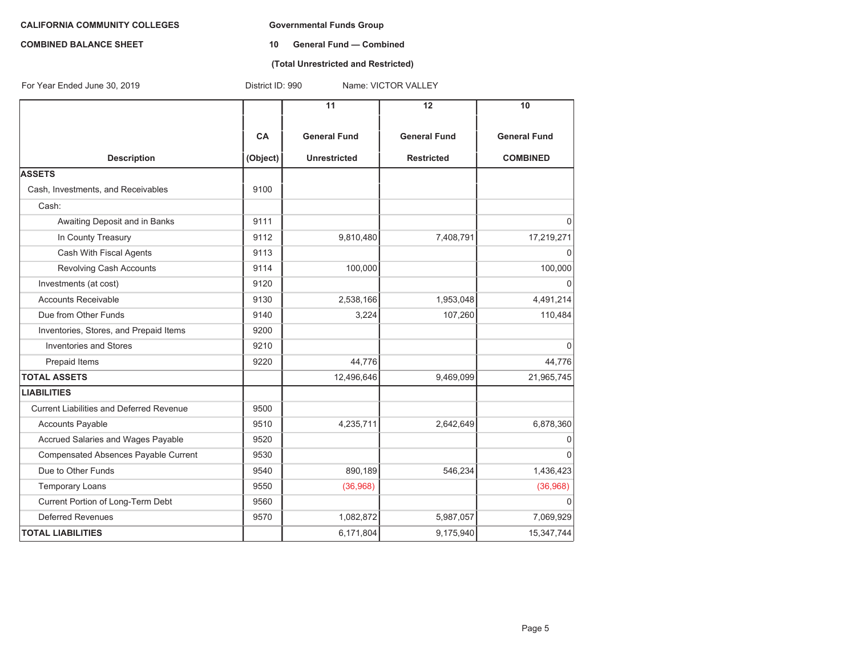#### **COMBINED BALANCE SHEET 10 General Fund — Combined**

## **(Total Unrestricted and Restricted)**

| For Year Ended June 30, 2019                    | District ID: 990<br>Name: VICTOR VALLEY |                     |                     |                     |  |  |
|-------------------------------------------------|-----------------------------------------|---------------------|---------------------|---------------------|--|--|
|                                                 |                                         | 11                  | 12                  | 10                  |  |  |
|                                                 | <b>CA</b>                               | <b>General Fund</b> | <b>General Fund</b> | <b>General Fund</b> |  |  |
| <b>Description</b>                              | (Object)                                | <b>Unrestricted</b> | <b>Restricted</b>   | <b>COMBINED</b>     |  |  |
| <b>ASSETS</b>                                   |                                         |                     |                     |                     |  |  |
| Cash, Investments, and Receivables              | 9100                                    |                     |                     |                     |  |  |
| Cash:                                           |                                         |                     |                     |                     |  |  |
| Awaiting Deposit and in Banks                   | 9111                                    |                     |                     | $\Omega$            |  |  |
| In County Treasury                              | 9112                                    | 9,810,480           | 7,408,791           | 17,219,271          |  |  |
| Cash With Fiscal Agents                         | 9113                                    |                     |                     | 0                   |  |  |
| Revolving Cash Accounts                         | 9114                                    | 100,000             |                     | 100,000             |  |  |
| Investments (at cost)                           | 9120                                    |                     |                     | O                   |  |  |
| <b>Accounts Receivable</b>                      | 9130                                    | 2,538,166           | 1,953,048           | 4,491,214           |  |  |
| Due from Other Funds                            | 9140                                    | 3,224               | 107,260             | 110,484             |  |  |
| Inventories, Stores, and Prepaid Items          | 9200                                    |                     |                     |                     |  |  |
| <b>Inventories and Stores</b>                   | 9210                                    |                     |                     | $\Omega$            |  |  |
| Prepaid Items                                   | 9220                                    | 44,776              |                     | 44,776              |  |  |
| <b>TOTAL ASSETS</b>                             |                                         | 12,496,646          | 9,469,099           | 21,965,745          |  |  |
| <b>LIABILITIES</b>                              |                                         |                     |                     |                     |  |  |
| <b>Current Liabilities and Deferred Revenue</b> | 9500                                    |                     |                     |                     |  |  |
| <b>Accounts Payable</b>                         | 9510                                    | 4,235,711           | 2,642,649           | 6,878,360           |  |  |
| Accrued Salaries and Wages Payable              | 9520                                    |                     |                     | 0                   |  |  |
| Compensated Absences Payable Current            | 9530                                    |                     |                     | $\Omega$            |  |  |
| Due to Other Funds                              | 9540                                    | 890,189             | 546,234             | 1,436,423           |  |  |
| <b>Temporary Loans</b>                          | 9550                                    | (36,968)            |                     | (36,968)            |  |  |
| Current Portion of Long-Term Debt               | 9560                                    |                     |                     | 0                   |  |  |
| <b>Deferred Revenues</b>                        | 9570                                    | 1,082,872           | 5,987,057           | 7,069,929           |  |  |
| <b>TOTAL LIABILITIES</b>                        |                                         | 6,171,804           | 9,175,940           | 15,347,744          |  |  |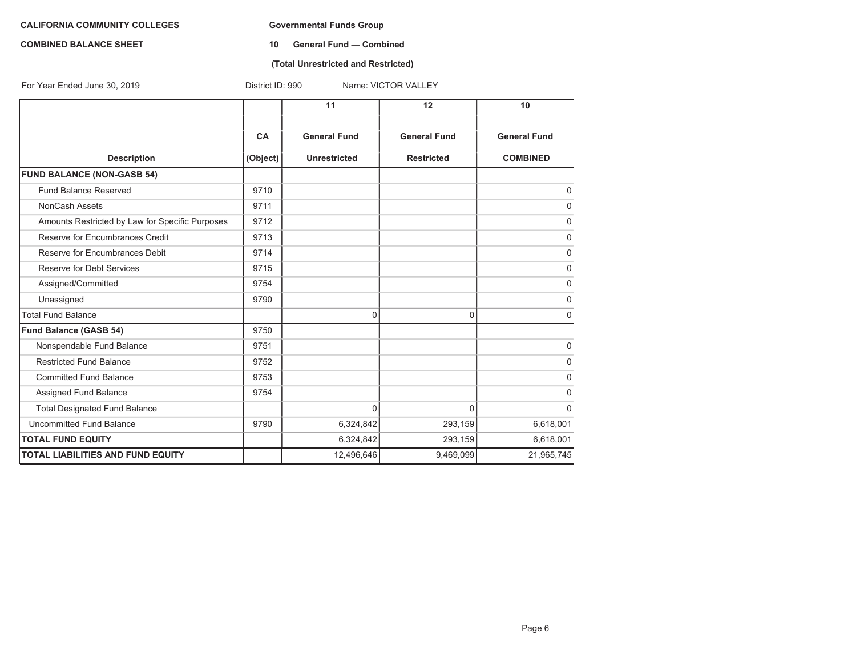#### **COMBINED BALANCE SHEET 10 General Fund — Combined**

## **(Total Unrestricted and Restricted)**

| For Year Ended June 30, 2019                    | District ID: 990<br>Name: VICTOR VALLEY |                     |                     |                     |  |  |
|-------------------------------------------------|-----------------------------------------|---------------------|---------------------|---------------------|--|--|
|                                                 |                                         | 11                  | 12                  | 10                  |  |  |
|                                                 | CA                                      | <b>General Fund</b> | <b>General Fund</b> | <b>General Fund</b> |  |  |
| <b>Description</b>                              | (Object)                                | <b>Unrestricted</b> | <b>Restricted</b>   | <b>COMBINED</b>     |  |  |
| <b>FUND BALANCE (NON-GASB 54)</b>               |                                         |                     |                     |                     |  |  |
| Fund Balance Reserved                           | 9710                                    |                     |                     | 0                   |  |  |
| <b>NonCash Assets</b>                           | 9711                                    |                     |                     | 0                   |  |  |
| Amounts Restricted by Law for Specific Purposes | 9712                                    |                     |                     | 0                   |  |  |
| Reserve for Encumbrances Credit                 | 9713                                    |                     |                     | $\mathbf 0$         |  |  |
| Reserve for Encumbrances Debit                  | 9714                                    |                     |                     | 0                   |  |  |
| Reserve for Debt Services                       | 9715                                    |                     |                     | 0                   |  |  |
| Assigned/Committed                              | 9754                                    |                     |                     | O                   |  |  |
| Unassigned                                      | 9790                                    |                     |                     | O                   |  |  |
| <b>Total Fund Balance</b>                       |                                         | 0                   | 0                   | $\Omega$            |  |  |
| <b>Fund Balance (GASB 54)</b>                   | 9750                                    |                     |                     |                     |  |  |
| Nonspendable Fund Balance                       | 9751                                    |                     |                     | $\mathbf 0$         |  |  |
| <b>Restricted Fund Balance</b>                  | 9752                                    |                     |                     | 0                   |  |  |
| <b>Committed Fund Balance</b>                   | 9753                                    |                     |                     | O                   |  |  |
| Assigned Fund Balance                           | 9754                                    |                     |                     | 0                   |  |  |
| <b>Total Designated Fund Balance</b>            |                                         | $\Omega$            | 0                   | 0                   |  |  |
| Uncommitted Fund Balance                        | 9790                                    | 6,324,842           | 293,159             | 6,618,001           |  |  |
| <b>TOTAL FUND EQUITY</b>                        |                                         | 6,324,842           | 293,159             | 6,618,001           |  |  |
| <b>TOTAL LIABILITIES AND FUND EQUITY</b>        |                                         | 12,496,646          | 9,469,099           | 21,965,745          |  |  |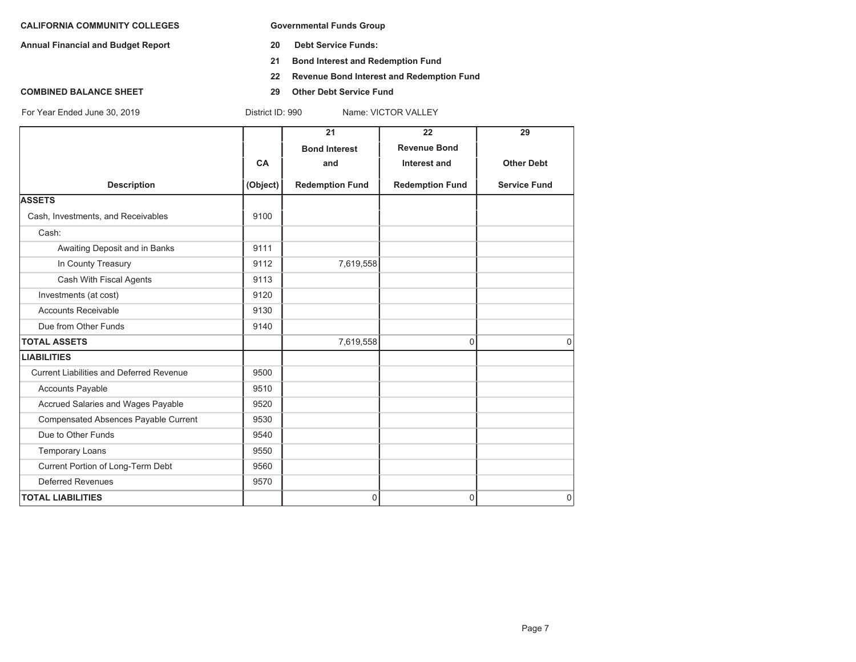**Annual Financial and Budget Report 20 Debt Service Funds:**

- 
- **21 Bond Interest and Redemption Fund**
- **22 Revenue Bond Interest and Redemption Fund**
- **COMBINED BALANCE SHEET 29 Other Debt Service Fund**

|                                          |           | 21                     | 22                     | 29                  |
|------------------------------------------|-----------|------------------------|------------------------|---------------------|
|                                          |           | <b>Bond Interest</b>   | <b>Revenue Bond</b>    |                     |
|                                          | <b>CA</b> | and                    | <b>Interest and</b>    | <b>Other Debt</b>   |
| <b>Description</b>                       | (Object)  | <b>Redemption Fund</b> | <b>Redemption Fund</b> | <b>Service Fund</b> |
| <b>ASSETS</b>                            |           |                        |                        |                     |
| Cash, Investments, and Receivables       | 9100      |                        |                        |                     |
| Cash:                                    |           |                        |                        |                     |
| Awaiting Deposit and in Banks            | 9111      |                        |                        |                     |
| In County Treasury                       | 9112      | 7,619,558              |                        |                     |
| Cash With Fiscal Agents                  | 9113      |                        |                        |                     |
| Investments (at cost)                    | 9120      |                        |                        |                     |
| <b>Accounts Receivable</b>               | 9130      |                        |                        |                     |
| Due from Other Funds                     | 9140      |                        |                        |                     |
| <b>TOTAL ASSETS</b>                      |           | 7,619,558              | 0                      | $\Omega$            |
| <b>LIABILITIES</b>                       |           |                        |                        |                     |
| Current Liabilities and Deferred Revenue | 9500      |                        |                        |                     |
| <b>Accounts Payable</b>                  | 9510      |                        |                        |                     |
| Accrued Salaries and Wages Payable       | 9520      |                        |                        |                     |
| Compensated Absences Payable Current     | 9530      |                        |                        |                     |
| Due to Other Funds                       | 9540      |                        |                        |                     |
| <b>Temporary Loans</b>                   | 9550      |                        |                        |                     |
| Current Portion of Long-Term Debt        | 9560      |                        |                        |                     |
| <b>Deferred Revenues</b>                 | 9570      |                        |                        |                     |
| <b>TOTAL LIABILITIES</b>                 |           | 0                      | 0                      | $\overline{0}$      |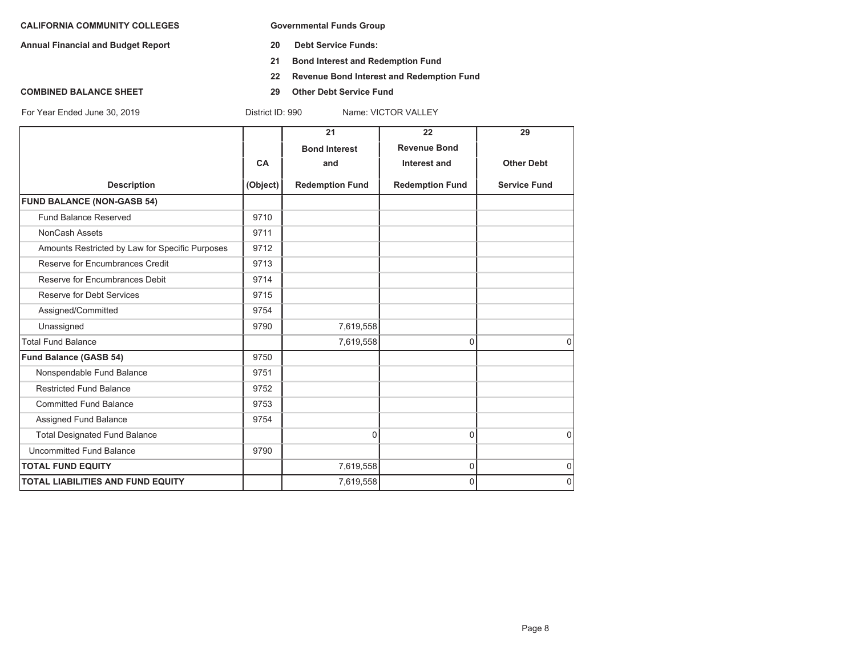**Annual Financial and Budget Report 20 Debt Service Funds:**

- 
- **21 Bond Interest and Redemption Fund**
- **22 Revenue Bond Interest and Redemption Fund**
- **COMBINED BALANCE SHEET 29 Other Debt Service Fund**

|                                                 |           | 21                     | 22                     | 29                  |
|-------------------------------------------------|-----------|------------------------|------------------------|---------------------|
|                                                 |           | <b>Bond Interest</b>   | <b>Revenue Bond</b>    |                     |
|                                                 | <b>CA</b> | and                    | Interest and           | <b>Other Debt</b>   |
| <b>Description</b>                              | (Object)  | <b>Redemption Fund</b> | <b>Redemption Fund</b> | <b>Service Fund</b> |
| <b>FUND BALANCE (NON-GASB 54)</b>               |           |                        |                        |                     |
| <b>Fund Balance Reserved</b>                    | 9710      |                        |                        |                     |
| NonCash Assets                                  | 9711      |                        |                        |                     |
| Amounts Restricted by Law for Specific Purposes | 9712      |                        |                        |                     |
| Reserve for Encumbrances Credit                 | 9713      |                        |                        |                     |
| Reserve for Encumbrances Debit                  | 9714      |                        |                        |                     |
| Reserve for Debt Services                       | 9715      |                        |                        |                     |
| Assigned/Committed                              | 9754      |                        |                        |                     |
| Unassigned                                      | 9790      | 7,619,558              |                        |                     |
| <b>Total Fund Balance</b>                       |           | 7,619,558              | $\Omega$               | $\Omega$            |
| Fund Balance (GASB 54)                          | 9750      |                        |                        |                     |
| Nonspendable Fund Balance                       | 9751      |                        |                        |                     |
| <b>Restricted Fund Balance</b>                  | 9752      |                        |                        |                     |
| <b>Committed Fund Balance</b>                   | 9753      |                        |                        |                     |
| Assigned Fund Balance                           | 9754      |                        |                        |                     |
| <b>Total Designated Fund Balance</b>            |           | $\Omega$               | $\Omega$               | $\Omega$            |
| Uncommitted Fund Balance                        | 9790      |                        |                        |                     |
| <b>TOTAL FUND EQUITY</b>                        |           | 7,619,558              | 0                      | $\mathbf 0$         |
| <b>TOTAL LIABILITIES AND FUND EQUITY</b>        |           | 7,619,558              | 0                      | $\mathbf 0$         |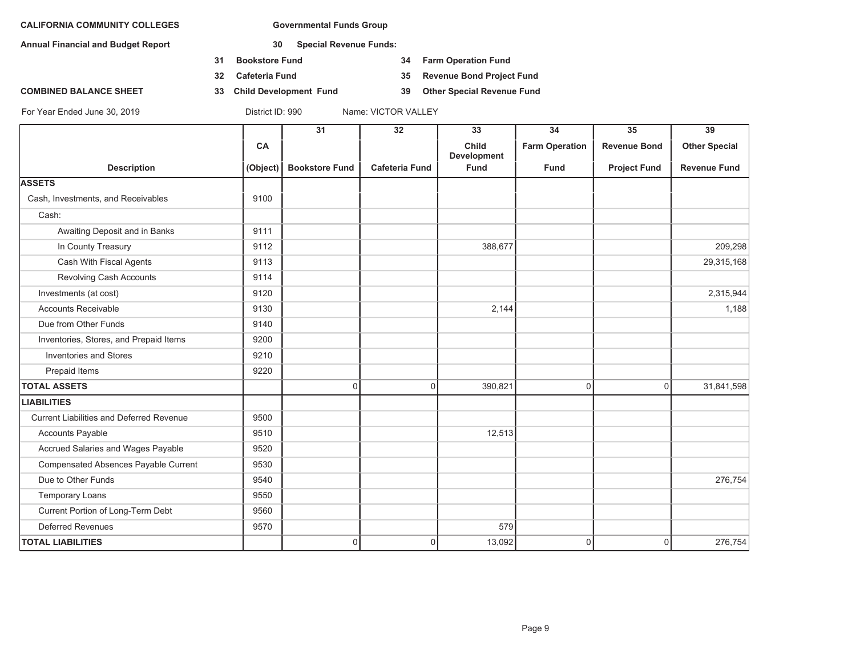**Annual Financial and Budget Report 30 Special Revenue Funds:**

- **31 Bookstore Fund 34 Farm Operation Fund**
- **32 Cafeteria Fund 35 Revenue Bond Project Fund**
- **COMBINED BALANCE SHEET 33 Child Development Fund 39 Other Special Revenue Fund**

|                                                 |          | $\overline{31}$       | $\overline{32}$       | 33                          | $\overline{34}$       | $\overline{35}$     | $\overline{39}$      |
|-------------------------------------------------|----------|-----------------------|-----------------------|-----------------------------|-----------------------|---------------------|----------------------|
|                                                 | CA       |                       |                       | Child<br><b>Development</b> | <b>Farm Operation</b> | <b>Revenue Bond</b> | <b>Other Special</b> |
| <b>Description</b>                              | (Object) | <b>Bookstore Fund</b> | <b>Cafeteria Fund</b> | <b>Fund</b>                 | <b>Fund</b>           | <b>Project Fund</b> | <b>Revenue Fund</b>  |
| <b>ASSETS</b>                                   |          |                       |                       |                             |                       |                     |                      |
| Cash, Investments, and Receivables              | 9100     |                       |                       |                             |                       |                     |                      |
| Cash:                                           |          |                       |                       |                             |                       |                     |                      |
| Awaiting Deposit and in Banks                   | 9111     |                       |                       |                             |                       |                     |                      |
| In County Treasury                              | 9112     |                       |                       | 388,677                     |                       |                     | 209,298              |
| Cash With Fiscal Agents                         | 9113     |                       |                       |                             |                       |                     | 29,315,168           |
| Revolving Cash Accounts                         | 9114     |                       |                       |                             |                       |                     |                      |
| Investments (at cost)                           | 9120     |                       |                       |                             |                       |                     | 2,315,944            |
| <b>Accounts Receivable</b>                      | 9130     |                       |                       | 2,144                       |                       |                     | 1,188                |
| Due from Other Funds                            | 9140     |                       |                       |                             |                       |                     |                      |
| Inventories, Stores, and Prepaid Items          | 9200     |                       |                       |                             |                       |                     |                      |
| <b>Inventories and Stores</b>                   | 9210     |                       |                       |                             |                       |                     |                      |
| Prepaid Items                                   | 9220     |                       |                       |                             |                       |                     |                      |
| <b>TOTAL ASSETS</b>                             |          | 0                     | $\overline{0}$        | 390,821                     | 0                     | $\overline{0}$      | 31,841,598           |
| <b>LIABILITIES</b>                              |          |                       |                       |                             |                       |                     |                      |
| <b>Current Liabilities and Deferred Revenue</b> | 9500     |                       |                       |                             |                       |                     |                      |
| Accounts Payable                                | 9510     |                       |                       | 12,513                      |                       |                     |                      |
| Accrued Salaries and Wages Payable              | 9520     |                       |                       |                             |                       |                     |                      |
| Compensated Absences Payable Current            | 9530     |                       |                       |                             |                       |                     |                      |
| Due to Other Funds                              | 9540     |                       |                       |                             |                       |                     | 276,754              |
| <b>Temporary Loans</b>                          | 9550     |                       |                       |                             |                       |                     |                      |
| Current Portion of Long-Term Debt               | 9560     |                       |                       |                             |                       |                     |                      |
| <b>Deferred Revenues</b>                        | 9570     |                       |                       | 579                         |                       |                     |                      |
| <b>TOTAL LIABILITIES</b>                        |          | 0                     | $\mathbf 0$           | 13,092                      | 0                     | $\mathbf 0$         | 276,754              |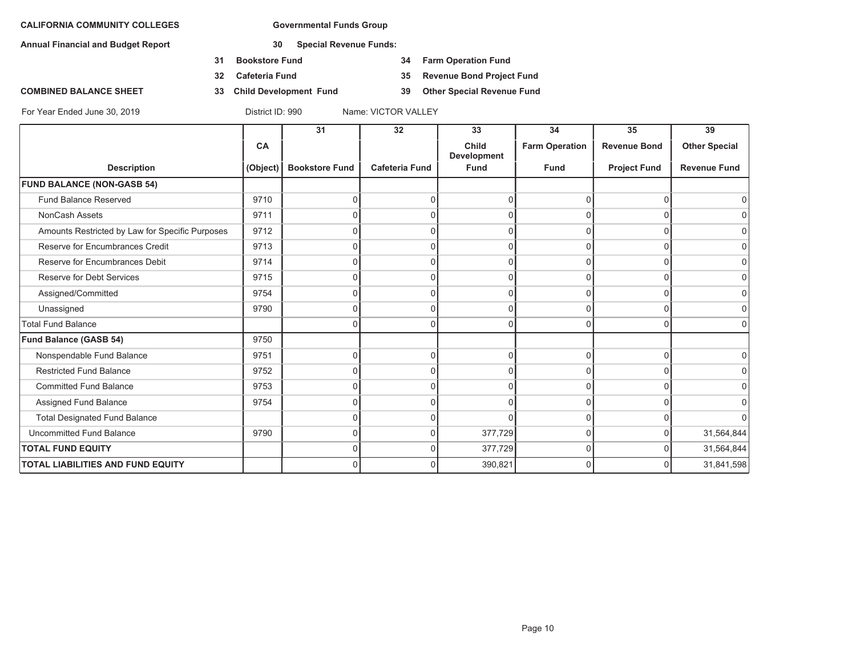**Annual Financial and Budget Report 30 Special Revenue Funds:**

- **31 Bookstore Fund 34 Farm Operation Fund**
- 
- **COMBINED BALANCE SHEET 33 Child Development Fund 39 Other Special Revenue Fund**

**32 Cafeteria Fund 35 Revenue Bond Project Fund**

|                                                 |          | 31                    | 32                    | 33                                 | 34                    | 35                  | 39                   |
|-------------------------------------------------|----------|-----------------------|-----------------------|------------------------------------|-----------------------|---------------------|----------------------|
|                                                 | CA       |                       |                       | <b>Child</b><br><b>Development</b> | <b>Farm Operation</b> | <b>Revenue Bond</b> | <b>Other Special</b> |
| <b>Description</b>                              | (Object) | <b>Bookstore Fund</b> | <b>Cafeteria Fund</b> | <b>Fund</b>                        | <b>Fund</b>           | <b>Project Fund</b> | <b>Revenue Fund</b>  |
| <b>FUND BALANCE (NON-GASB 54)</b>               |          |                       |                       |                                    |                       |                     |                      |
| Fund Balance Reserved                           | 9710     | 0                     | U                     |                                    | $\Omega$              | $\Omega$            | $\Omega$             |
| NonCash Assets                                  | 9711     | 0                     | U                     |                                    | $\Omega$              | 0                   | $\Omega$             |
| Amounts Restricted by Law for Specific Purposes | 9712     | U                     | ∩                     |                                    | $\Omega$              | $\Omega$            | 0                    |
| Reserve for Encumbrances Credit                 | 9713     | 0                     | $\Omega$              |                                    | $\Omega$              | $\Omega$            | 0                    |
| Reserve for Encumbrances Debit                  | 9714     | 0                     | $\Omega$              |                                    | $\Omega$              | $\Omega$            | $\overline{0}$       |
| Reserve for Debt Services                       | 9715     | U                     |                       |                                    | $\Omega$              | U                   | 0                    |
| Assigned/Committed                              | 9754     | 0                     | $\Omega$              |                                    | $\Omega$              | $\Omega$            | $\overline{0}$       |
| Unassigned                                      | 9790     | $\Omega$              | $\Omega$              | 0                                  | 0                     | $\Omega$            | $\overline{0}$       |
| <b>Total Fund Balance</b>                       |          | 0                     | ∩                     |                                    | $\cap$                | $\Omega$            | $\Omega$             |
| Fund Balance (GASB 54)                          | 9750     |                       |                       |                                    |                       |                     |                      |
| Nonspendable Fund Balance                       | 9751     | $\Omega$              | 0                     | 0                                  | 0                     | $\Omega$            | $\overline{0}$       |
| <b>Restricted Fund Balance</b>                  | 9752     | U                     | U                     |                                    | $\Omega$              | $\Omega$            | $\overline{0}$       |
| <b>Committed Fund Balance</b>                   | 9753     | 0                     | $\Omega$              |                                    | $\Omega$              | $\Omega$            | $\overline{0}$       |
| Assigned Fund Balance                           | 9754     | 0                     | 0                     |                                    | $\Omega$              | $\Omega$            | $\overline{0}$       |
| <b>Total Designated Fund Balance</b>            |          | በ                     | ∩                     |                                    | $\Omega$              | U                   | $\Omega$             |
| <b>Uncommitted Fund Balance</b>                 | 9790     | 0                     | $\Omega$              | 377,729                            | $\overline{0}$        | $\Omega$            | 31,564,844           |
| <b>TOTAL FUND EQUITY</b>                        |          | 0                     | $\Omega$              | 377,729                            | 0                     | 0                   | 31,564,844           |
| <b>TOTAL LIABILITIES AND FUND EQUITY</b>        |          | 0                     | $\Omega$              | 390,821                            | $\Omega$              | 0                   | 31,841,598           |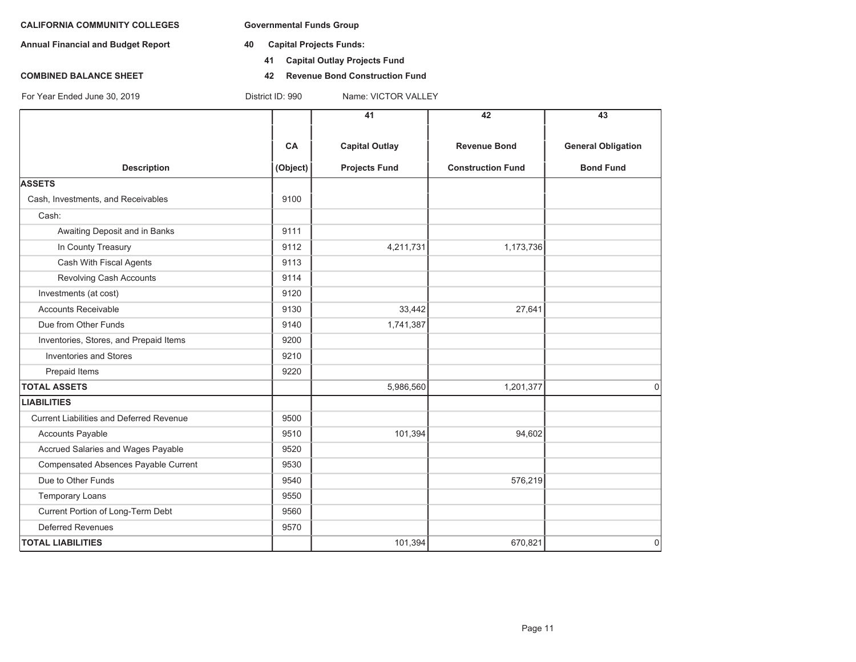- **Annual Financial and Budget Report 40 Capital Projects Funds:**
	- **41 Capital Outlay Projects Fund**
- **COMBINED BALANCE SHEET 42 Revenue Bond Construction Fund**

|                                                 |          | 41                    | 42                       | 43                        |
|-------------------------------------------------|----------|-----------------------|--------------------------|---------------------------|
|                                                 | CA       | <b>Capital Outlay</b> | <b>Revenue Bond</b>      | <b>General Obligation</b> |
| <b>Description</b>                              | (Object) | <b>Projects Fund</b>  | <b>Construction Fund</b> | <b>Bond Fund</b>          |
| <b>ASSETS</b>                                   |          |                       |                          |                           |
| Cash, Investments, and Receivables              | 9100     |                       |                          |                           |
| Cash:                                           |          |                       |                          |                           |
| Awaiting Deposit and in Banks                   | 9111     |                       |                          |                           |
| In County Treasury                              | 9112     | 4,211,731             | 1,173,736                |                           |
| Cash With Fiscal Agents                         | 9113     |                       |                          |                           |
| Revolving Cash Accounts                         | 9114     |                       |                          |                           |
| Investments (at cost)                           | 9120     |                       |                          |                           |
| <b>Accounts Receivable</b>                      | 9130     | 33,442                | 27,641                   |                           |
| Due from Other Funds                            | 9140     | 1,741,387             |                          |                           |
| Inventories, Stores, and Prepaid Items          | 9200     |                       |                          |                           |
| <b>Inventories and Stores</b>                   | 9210     |                       |                          |                           |
| Prepaid Items                                   | 9220     |                       |                          |                           |
| <b>TOTAL ASSETS</b>                             |          | 5,986,560             | 1,201,377                | $\Omega$                  |
| <b>LIABILITIES</b>                              |          |                       |                          |                           |
| <b>Current Liabilities and Deferred Revenue</b> | 9500     |                       |                          |                           |
| <b>Accounts Payable</b>                         | 9510     | 101,394               | 94,602                   |                           |
| Accrued Salaries and Wages Payable              | 9520     |                       |                          |                           |
| Compensated Absences Payable Current            | 9530     |                       |                          |                           |
| Due to Other Funds                              | 9540     |                       | 576,219                  |                           |
| <b>Temporary Loans</b>                          | 9550     |                       |                          |                           |
| Current Portion of Long-Term Debt               | 9560     |                       |                          |                           |
| Deferred Revenues                               | 9570     |                       |                          |                           |
| <b>TOTAL LIABILITIES</b>                        |          | 101,394               | 670,821                  | 0                         |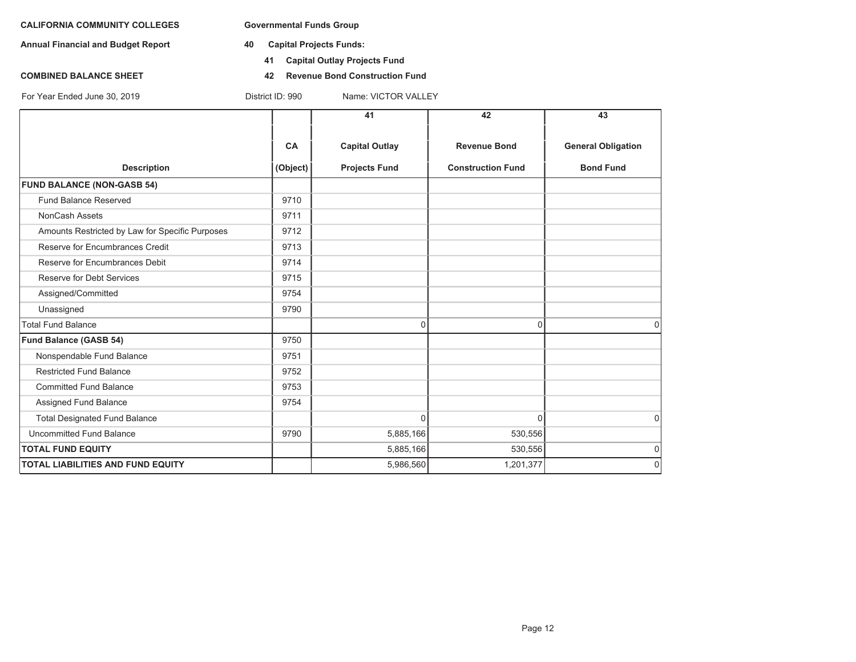**Annual Financial and Budget Report 40 Capital Projects Funds:**

For Year Ended June 30, 2019 District ID: 990 Name: VICTOR VALLEY

- - **41 Capital Outlay Projects Fund**
- **COMBINED BALANCE SHEET 42 Revenue Bond Construction Fund**

**41 42 43CA Capital Outlay Revenue Bond General Obligation Description (Object) Projects Fund Construction Fund Bond Fund FUND BALANCE (NON-GASB 54)** Fund Balance Reserved 9710 NonCash Assets 2711 Amounts Restricted by Law for Specific Purposes 9712 Reserve for Encumbrances Credit 19713 Reserve for Encumbrances Debit 19714 Reserve for Debt Services **19715** Assigned/Committed 9754 Unassigned 9790 Total Fund Balance 000 **Fund Balance (GASB 54)** 9750 Nonspendable Fund Balance 19751 Restricted Fund Balance 9752 Committed Fund Balance 9753 Assigned Fund Balance 9754 Total Designated Fund Balance 0 0 0 Uncommitted Fund Balance **1990** 5,885,166 530,556 530,556 **TOTAL FUND EQUITY** $\bm{\mathsf{Y}}$  , the contract of the contract of the contract of the contract of the contract of the contract of the contract of the contract of the contract of the contract of the contract of the contract of the contract of **TOTAL LIABILITIES AND FUND EQUITY**5,986,560 1,201,377 0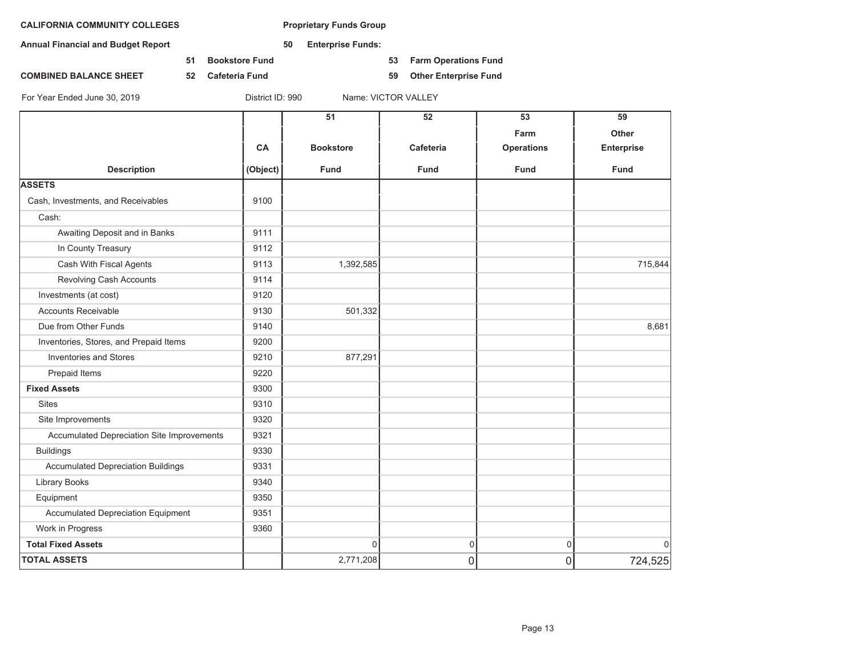**Annual Financial and Budget Report 50 Enterprise Funds:**

**51 Bookstore Fund 53 Farm Operations Fund**

**COMBINED BALANCE SHEET 52 Cafeteria Fund 59 Other Enterprise Fund**

|                                            |           | 51               | 52             | 53                | 59                |
|--------------------------------------------|-----------|------------------|----------------|-------------------|-------------------|
|                                            |           |                  |                | Farm              | Other             |
|                                            | <b>CA</b> | <b>Bookstore</b> | Cafeteria      | <b>Operations</b> | <b>Enterprise</b> |
| <b>Description</b>                         | (Object)  | <b>Fund</b>      | <b>Fund</b>    | <b>Fund</b>       | <b>Fund</b>       |
| <b>ASSETS</b>                              |           |                  |                |                   |                   |
| Cash, Investments, and Receivables         | 9100      |                  |                |                   |                   |
| Cash:                                      |           |                  |                |                   |                   |
| Awaiting Deposit and in Banks              | 9111      |                  |                |                   |                   |
| In County Treasury                         | 9112      |                  |                |                   |                   |
| Cash With Fiscal Agents                    | 9113      | 1,392,585        |                |                   | 715,844           |
| Revolving Cash Accounts                    | 9114      |                  |                |                   |                   |
| Investments (at cost)                      | 9120      |                  |                |                   |                   |
| <b>Accounts Receivable</b>                 | 9130      | 501,332          |                |                   |                   |
| Due from Other Funds                       | 9140      |                  |                |                   | 8,681             |
| Inventories, Stores, and Prepaid Items     | 9200      |                  |                |                   |                   |
| <b>Inventories and Stores</b>              | 9210      | 877,291          |                |                   |                   |
| Prepaid Items                              | 9220      |                  |                |                   |                   |
| <b>Fixed Assets</b>                        | 9300      |                  |                |                   |                   |
| <b>Sites</b>                               | 9310      |                  |                |                   |                   |
| Site Improvements                          | 9320      |                  |                |                   |                   |
| Accumulated Depreciation Site Improvements | 9321      |                  |                |                   |                   |
| <b>Buildings</b>                           | 9330      |                  |                |                   |                   |
| <b>Accumulated Depreciation Buildings</b>  | 9331      |                  |                |                   |                   |
| <b>Library Books</b>                       | 9340      |                  |                |                   |                   |
| Equipment                                  | 9350      |                  |                |                   |                   |
| Accumulated Depreciation Equipment         | 9351      |                  |                |                   |                   |
| Work in Progress                           | 9360      |                  |                |                   |                   |
| <b>Total Fixed Assets</b>                  |           | 0                | $\mathbf 0$    | 0                 | $\mathbf 0$       |
| <b>TOTAL ASSETS</b>                        |           | 2,771,208        | $\overline{0}$ | $\overline{0}$    | 724,525           |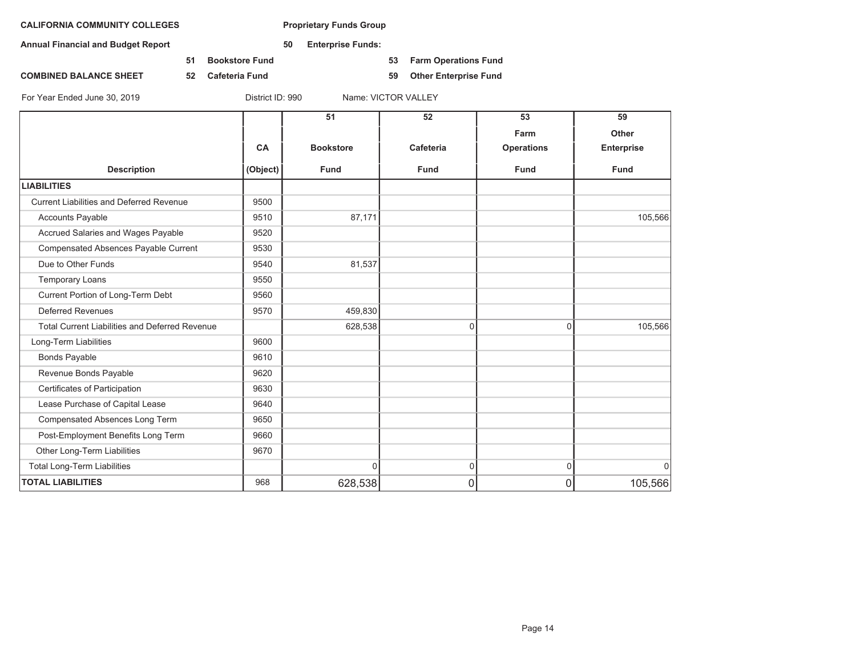**Annual Financial and Budget Report 50 Enterprise Funds:**

**51 Bookstore Fund 53 Farm Operations Fund**

**COMBINED BALANCE SHEET 52 Cafeteria Fund 59 Other Enterprise Fund**

|                                                       |           | 51               | 52          | 53                | 59                |
|-------------------------------------------------------|-----------|------------------|-------------|-------------------|-------------------|
|                                                       |           |                  |             | Farm              | Other             |
|                                                       | <b>CA</b> | <b>Bookstore</b> | Cafeteria   | <b>Operations</b> | <b>Enterprise</b> |
| <b>Description</b>                                    | (Object)  | <b>Fund</b>      | <b>Fund</b> | <b>Fund</b>       | <b>Fund</b>       |
| <b>LIABILITIES</b>                                    |           |                  |             |                   |                   |
| <b>Current Liabilities and Deferred Revenue</b>       | 9500      |                  |             |                   |                   |
| <b>Accounts Payable</b>                               | 9510      | 87,171           |             |                   | 105,566           |
| Accrued Salaries and Wages Payable                    | 9520      |                  |             |                   |                   |
| Compensated Absences Payable Current                  | 9530      |                  |             |                   |                   |
| Due to Other Funds                                    | 9540      | 81,537           |             |                   |                   |
| <b>Temporary Loans</b>                                | 9550      |                  |             |                   |                   |
| Current Portion of Long-Term Debt                     | 9560      |                  |             |                   |                   |
| <b>Deferred Revenues</b>                              | 9570      | 459,830          |             |                   |                   |
| <b>Total Current Liabilities and Deferred Revenue</b> |           | 628,538          | $\Omega$    | $\Omega$          | 105,566           |
| Long-Term Liabilities                                 | 9600      |                  |             |                   |                   |
| <b>Bonds Payable</b>                                  | 9610      |                  |             |                   |                   |
| Revenue Bonds Payable                                 | 9620      |                  |             |                   |                   |
| Certificates of Participation                         | 9630      |                  |             |                   |                   |
| Lease Purchase of Capital Lease                       | 9640      |                  |             |                   |                   |
| Compensated Absences Long Term                        | 9650      |                  |             |                   |                   |
| Post-Employment Benefits Long Term                    | 9660      |                  |             |                   |                   |
| Other Long-Term Liabilities                           | 9670      |                  |             |                   |                   |
| <b>Total Long-Term Liabilities</b>                    |           | $\Omega$         | 0           | $\mathbf 0$       | $\mathbf 0$       |
| <b>TOTAL LIABILITIES</b>                              | 968       | 628,538          | 0           | 0                 | 105,566           |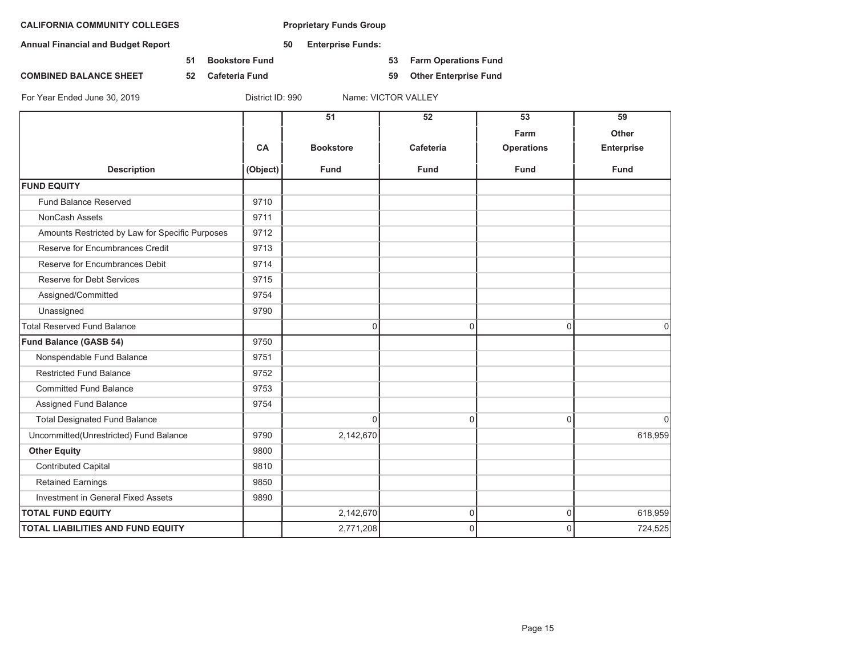**Annual Financial and Budget Report 50 Enterprise Funds:**

**51 Bookstore Fund 53 Farm Operations Fund**

**COMBINED BALANCE SHEET 52 Cafeteria Fund 59 Other Enterprise Fund**

|                                                 |          | 51               | 52          | 53                        | 59<br><b>Other</b> |
|-------------------------------------------------|----------|------------------|-------------|---------------------------|--------------------|
|                                                 | CA       | <b>Bookstore</b> | Cafeteria   | Farm<br><b>Operations</b> | <b>Enterprise</b>  |
| <b>Description</b>                              | (Object) | <b>Fund</b>      | <b>Fund</b> | <b>Fund</b>               | <b>Fund</b>        |
| <b>FUND EQUITY</b>                              |          |                  |             |                           |                    |
| Fund Balance Reserved                           | 9710     |                  |             |                           |                    |
| NonCash Assets                                  | 9711     |                  |             |                           |                    |
| Amounts Restricted by Law for Specific Purposes | 9712     |                  |             |                           |                    |
| Reserve for Encumbrances Credit                 | 9713     |                  |             |                           |                    |
| Reserve for Encumbrances Debit                  | 9714     |                  |             |                           |                    |
| Reserve for Debt Services                       | 9715     |                  |             |                           |                    |
| Assigned/Committed                              | 9754     |                  |             |                           |                    |
| Unassigned                                      | 9790     |                  |             |                           |                    |
| <b>Total Reserved Fund Balance</b>              |          | 0                | 0           | $\Omega$                  | $\Omega$           |
| <b>Fund Balance (GASB 54)</b>                   | 9750     |                  |             |                           |                    |
| Nonspendable Fund Balance                       | 9751     |                  |             |                           |                    |
| <b>Restricted Fund Balance</b>                  | 9752     |                  |             |                           |                    |
| <b>Committed Fund Balance</b>                   | 9753     |                  |             |                           |                    |
| Assigned Fund Balance                           | 9754     |                  |             |                           |                    |
| <b>Total Designated Fund Balance</b>            |          | 0                | $\mathbf 0$ | $\Omega$                  | $\mathbf 0$        |
| Uncommitted(Unrestricted) Fund Balance          | 9790     | 2,142,670        |             |                           | 618,959            |
| <b>Other Equity</b>                             | 9800     |                  |             |                           |                    |
| <b>Contributed Capital</b>                      | 9810     |                  |             |                           |                    |
| <b>Retained Earnings</b>                        | 9850     |                  |             |                           |                    |
| Investment in General Fixed Assets              | 9890     |                  |             |                           |                    |
| <b>TOTAL FUND EQUITY</b>                        |          | 2,142,670        | $\mathsf 0$ | $\overline{0}$            | 618,959            |
| <b>TOTAL LIABILITIES AND FUND EQUITY</b>        |          | 2,771,208        | $\Omega$    | $\Omega$                  | 724,525            |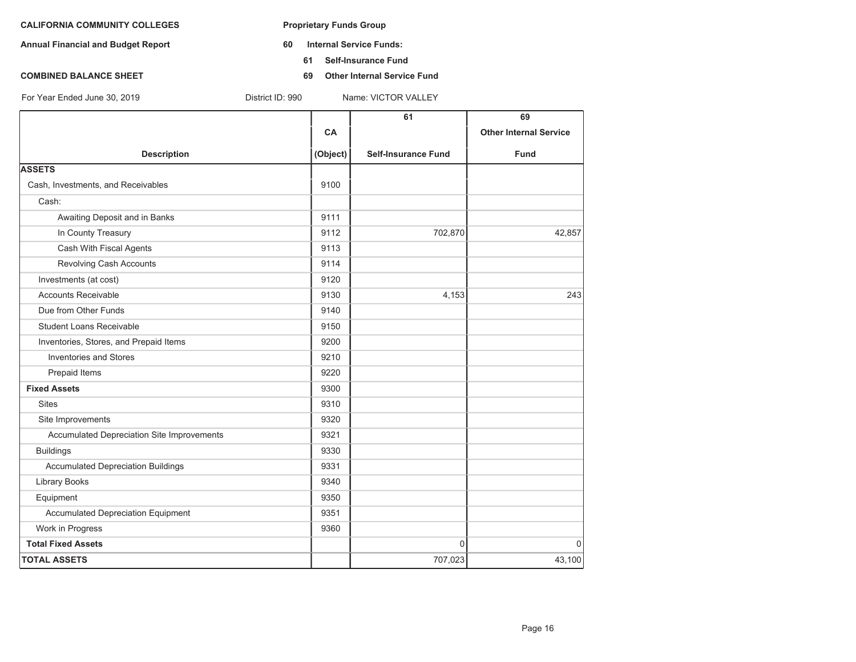- **Annual Financial and Budget Report 60 Internal Service Funds:**
	- **61 Self-Insurance Fund**
- **COMBINED BALANCE SHEET** 69 **Other Internal Service Fund**

|                                            |          | 61                         | 69                            |
|--------------------------------------------|----------|----------------------------|-------------------------------|
|                                            | CA       |                            | <b>Other Internal Service</b> |
| <b>Description</b>                         | (Object) | <b>Self-Insurance Fund</b> | Fund                          |
| <b>ASSETS</b>                              |          |                            |                               |
| Cash, Investments, and Receivables         | 9100     |                            |                               |
| Cash:                                      |          |                            |                               |
| Awaiting Deposit and in Banks              | 9111     |                            |                               |
| In County Treasury                         | 9112     | 702,870                    | 42,857                        |
| Cash With Fiscal Agents                    | 9113     |                            |                               |
| Revolving Cash Accounts                    | 9114     |                            |                               |
| Investments (at cost)                      | 9120     |                            |                               |
| <b>Accounts Receivable</b>                 | 9130     | 4,153                      | 243                           |
| Due from Other Funds                       | 9140     |                            |                               |
| <b>Student Loans Receivable</b>            | 9150     |                            |                               |
| Inventories, Stores, and Prepaid Items     | 9200     |                            |                               |
| <b>Inventories and Stores</b>              | 9210     |                            |                               |
| Prepaid Items                              | 9220     |                            |                               |
| <b>Fixed Assets</b>                        | 9300     |                            |                               |
| <b>Sites</b>                               | 9310     |                            |                               |
| Site Improvements                          | 9320     |                            |                               |
| Accumulated Depreciation Site Improvements | 9321     |                            |                               |
| <b>Buildings</b>                           | 9330     |                            |                               |
| <b>Accumulated Depreciation Buildings</b>  | 9331     |                            |                               |
| <b>Library Books</b>                       | 9340     |                            |                               |
| Equipment                                  | 9350     |                            |                               |
| <b>Accumulated Depreciation Equipment</b>  | 9351     |                            |                               |
| Work in Progress                           | 9360     |                            |                               |
| <b>Total Fixed Assets</b>                  |          | $\mathbf{0}$               | $\Omega$                      |
| <b>TOTAL ASSETS</b>                        |          | 707,023                    | 43,100                        |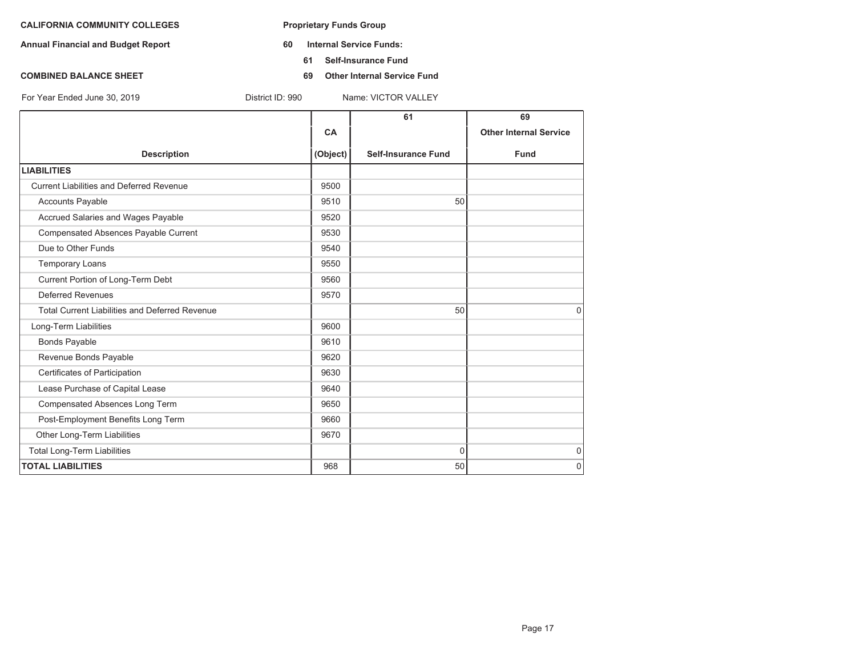- **Annual Financial and Budget Report 60 Internal Service Funds:**
	- **61 Self-Insurance Fund**
- **COMBINED BALANCE SHEET** 69 **Other Internal Service Fund**

|                                                       |           | 61                         | 69                            |
|-------------------------------------------------------|-----------|----------------------------|-------------------------------|
|                                                       | <b>CA</b> |                            | <b>Other Internal Service</b> |
| <b>Description</b>                                    | (Object)  | <b>Self-Insurance Fund</b> | <b>Fund</b>                   |
| <b>LIABILITIES</b>                                    |           |                            |                               |
| Current Liabilities and Deferred Revenue              | 9500      |                            |                               |
| <b>Accounts Payable</b>                               | 9510      | 50                         |                               |
| Accrued Salaries and Wages Payable                    | 9520      |                            |                               |
| Compensated Absences Payable Current                  | 9530      |                            |                               |
| Due to Other Funds                                    | 9540      |                            |                               |
| <b>Temporary Loans</b>                                | 9550      |                            |                               |
| Current Portion of Long-Term Debt                     | 9560      |                            |                               |
| Deferred Revenues                                     | 9570      |                            |                               |
| <b>Total Current Liabilities and Deferred Revenue</b> |           | 50                         | $\Omega$                      |
| Long-Term Liabilities                                 | 9600      |                            |                               |
| <b>Bonds Payable</b>                                  | 9610      |                            |                               |
| Revenue Bonds Payable                                 | 9620      |                            |                               |
| Certificates of Participation                         | 9630      |                            |                               |
| Lease Purchase of Capital Lease                       | 9640      |                            |                               |
| Compensated Absences Long Term                        | 9650      |                            |                               |
| Post-Employment Benefits Long Term                    | 9660      |                            |                               |
| Other Long-Term Liabilities                           | 9670      |                            |                               |
| <b>Total Long-Term Liabilities</b>                    |           | $\mathbf{0}$               | $\mathbf 0$                   |
| <b>TOTAL LIABILITIES</b>                              | 968       | 50                         | $\Omega$                      |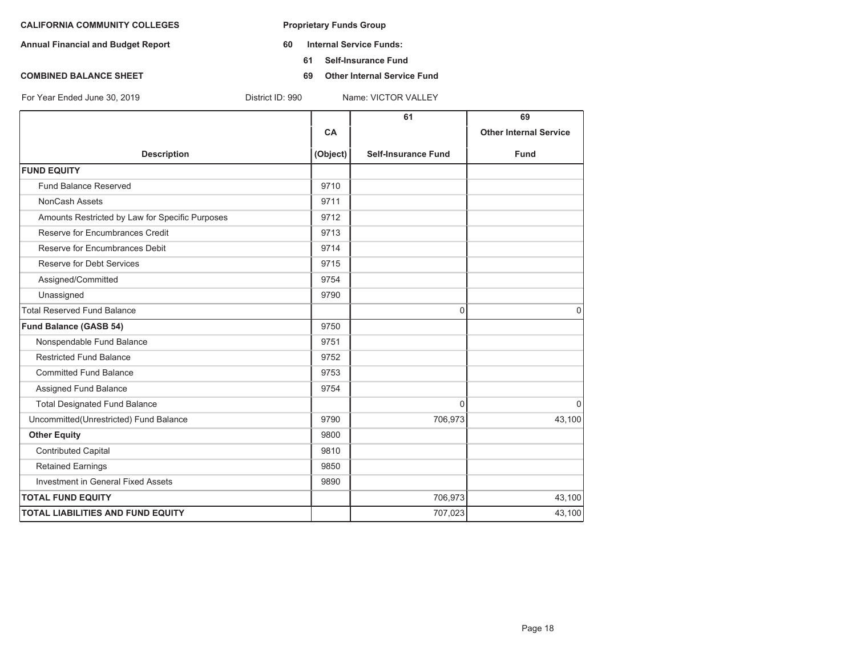- **Annual Financial and Budget Report 60 Internal Service Funds:**
	- **61 Self-Insurance Fund**
- **COMBINED BALANCE SHEET** 69 **Other Internal Service Fund**

|                                                 |           | 61                         | 69                            |
|-------------------------------------------------|-----------|----------------------------|-------------------------------|
|                                                 | <b>CA</b> |                            | <b>Other Internal Service</b> |
| <b>Description</b>                              | (Object)  | <b>Self-Insurance Fund</b> | <b>Fund</b>                   |
| <b>FUND EQUITY</b>                              |           |                            |                               |
| <b>Fund Balance Reserved</b>                    | 9710      |                            |                               |
| <b>NonCash Assets</b>                           | 9711      |                            |                               |
| Amounts Restricted by Law for Specific Purposes | 9712      |                            |                               |
| Reserve for Encumbrances Credit                 | 9713      |                            |                               |
| Reserve for Encumbrances Debit                  | 9714      |                            |                               |
| Reserve for Debt Services                       | 9715      |                            |                               |
| Assigned/Committed                              | 9754      |                            |                               |
| Unassigned                                      | 9790      |                            |                               |
| <b>Total Reserved Fund Balance</b>              |           | 0                          | $\Omega$                      |
| Fund Balance (GASB 54)                          | 9750      |                            |                               |
| Nonspendable Fund Balance                       | 9751      |                            |                               |
| <b>Restricted Fund Balance</b>                  | 9752      |                            |                               |
| <b>Committed Fund Balance</b>                   | 9753      |                            |                               |
| Assigned Fund Balance                           | 9754      |                            |                               |
| <b>Total Designated Fund Balance</b>            |           | $\Omega$                   | $\Omega$                      |
| Uncommitted (Unrestricted) Fund Balance         | 9790      | 706,973                    | 43,100                        |
| <b>Other Equity</b>                             | 9800      |                            |                               |
| <b>Contributed Capital</b>                      | 9810      |                            |                               |
| <b>Retained Earnings</b>                        | 9850      |                            |                               |
| Investment in General Fixed Assets              | 9890      |                            |                               |
| <b>TOTAL FUND EQUITY</b>                        |           | 706,973                    | 43,100                        |
| <b>TOTAL LIABILITIES AND FUND EQUITY</b>        |           | 707,023                    | 43,100                        |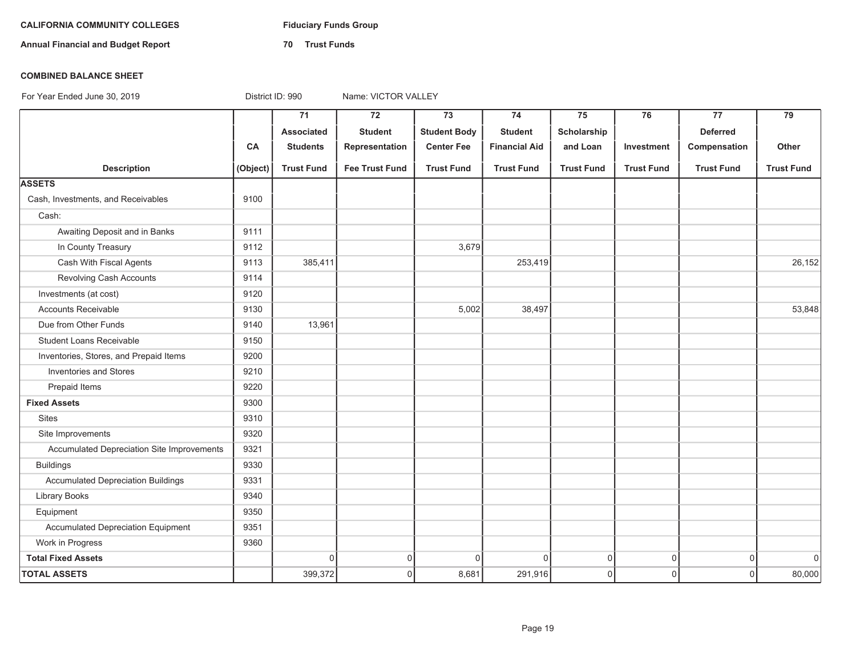# **CALIFORNIA COMMUNITY COLLEGES Fiduciary Funds Group**

**Annual Financial and Budget Report 70 Trust Funds**

#### **COMBINED BALANCE SHEET**

|                                            |          | $\overline{71}$   | $\overline{72}$       | $\overline{73}$     | 74                   | 75                  | 76                | $\overline{77}$   | $\overline{79}$   |
|--------------------------------------------|----------|-------------------|-----------------------|---------------------|----------------------|---------------------|-------------------|-------------------|-------------------|
|                                            |          | Associated        | <b>Student</b>        | <b>Student Body</b> | <b>Student</b>       | Scholarship         |                   | <b>Deferred</b>   |                   |
|                                            | CA       | <b>Students</b>   | Representation        | <b>Center Fee</b>   | <b>Financial Aid</b> | and Loan            | Investment        | Compensation      | Other             |
| <b>Description</b>                         | (Object) | <b>Trust Fund</b> | <b>Fee Trust Fund</b> | <b>Trust Fund</b>   | <b>Trust Fund</b>    | <b>Trust Fund</b>   | <b>Trust Fund</b> | <b>Trust Fund</b> | <b>Trust Fund</b> |
| <b>ASSETS</b>                              |          |                   |                       |                     |                      |                     |                   |                   |                   |
| Cash, Investments, and Receivables         | 9100     |                   |                       |                     |                      |                     |                   |                   |                   |
| Cash:                                      |          |                   |                       |                     |                      |                     |                   |                   |                   |
| Awaiting Deposit and in Banks              | 9111     |                   |                       |                     |                      |                     |                   |                   |                   |
| In County Treasury                         | 9112     |                   |                       | 3,679               |                      |                     |                   |                   |                   |
| Cash With Fiscal Agents                    | 9113     | 385,411           |                       |                     | 253,419              |                     |                   |                   | 26,152            |
| Revolving Cash Accounts                    | 9114     |                   |                       |                     |                      |                     |                   |                   |                   |
| Investments (at cost)                      | 9120     |                   |                       |                     |                      |                     |                   |                   |                   |
| <b>Accounts Receivable</b>                 | 9130     |                   |                       | 5,002               | 38,497               |                     |                   |                   | 53,848            |
| Due from Other Funds                       | 9140     | 13,961            |                       |                     |                      |                     |                   |                   |                   |
| <b>Student Loans Receivable</b>            | 9150     |                   |                       |                     |                      |                     |                   |                   |                   |
| Inventories, Stores, and Prepaid Items     | 9200     |                   |                       |                     |                      |                     |                   |                   |                   |
| Inventories and Stores                     | 9210     |                   |                       |                     |                      |                     |                   |                   |                   |
| Prepaid Items                              | 9220     |                   |                       |                     |                      |                     |                   |                   |                   |
| <b>Fixed Assets</b>                        | 9300     |                   |                       |                     |                      |                     |                   |                   |                   |
| <b>Sites</b>                               | 9310     |                   |                       |                     |                      |                     |                   |                   |                   |
| Site Improvements                          | 9320     |                   |                       |                     |                      |                     |                   |                   |                   |
| Accumulated Depreciation Site Improvements | 9321     |                   |                       |                     |                      |                     |                   |                   |                   |
| <b>Buildings</b>                           | 9330     |                   |                       |                     |                      |                     |                   |                   |                   |
| <b>Accumulated Depreciation Buildings</b>  | 9331     |                   |                       |                     |                      |                     |                   |                   |                   |
| Library Books                              | 9340     |                   |                       |                     |                      |                     |                   |                   |                   |
| Equipment                                  | 9350     |                   |                       |                     |                      |                     |                   |                   |                   |
| Accumulated Depreciation Equipment         | 9351     |                   |                       |                     |                      |                     |                   |                   |                   |
| Work in Progress                           | 9360     |                   |                       |                     |                      |                     |                   |                   |                   |
| <b>Total Fixed Assets</b>                  |          | $\Omega$          | $\mathbf 0$           | $\Omega$            | $\mathbf 0$          | $\mathsf{O}\xspace$ | $\mathsf 0$       | $\mathsf 0$       | $\overline{0}$    |
| <b>TOTAL ASSETS</b>                        |          | 399,372           | $\mathbf 0$           | 8,681               | 291,916              | $\mathsf 0$         | $\mathbf 0$       | $\mathbf 0$       | 80,000            |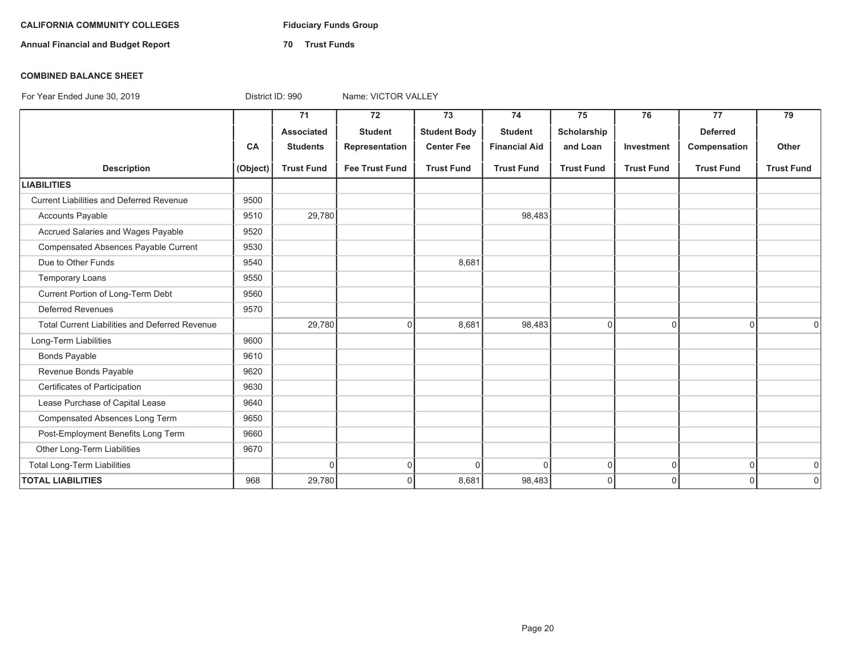# **CALIFORNIA COMMUNITY COLLEGES Fiduciary Funds Group**

**Annual Financial and Budget Report 70 Trust Funds**

#### **COMBINED BALANCE SHEET**

|                                                 |          | 71                | 72                    | 73                  | 74                   | 75                | 76                | 77                | 79                |
|-------------------------------------------------|----------|-------------------|-----------------------|---------------------|----------------------|-------------------|-------------------|-------------------|-------------------|
|                                                 |          | <b>Associated</b> | <b>Student</b>        | <b>Student Body</b> | <b>Student</b>       | Scholarship       |                   | <b>Deferred</b>   |                   |
|                                                 | CA       | <b>Students</b>   | Representation        | <b>Center Fee</b>   | <b>Financial Aid</b> | and Loan          | Investment        | Compensation      | Other             |
| <b>Description</b>                              | (Object) | <b>Trust Fund</b> | <b>Fee Trust Fund</b> | <b>Trust Fund</b>   | <b>Trust Fund</b>    | <b>Trust Fund</b> | <b>Trust Fund</b> | <b>Trust Fund</b> | <b>Trust Fund</b> |
| <b>LIABILITIES</b>                              |          |                   |                       |                     |                      |                   |                   |                   |                   |
| <b>Current Liabilities and Deferred Revenue</b> | 9500     |                   |                       |                     |                      |                   |                   |                   |                   |
| <b>Accounts Payable</b>                         | 9510     | 29,780            |                       |                     | 98,483               |                   |                   |                   |                   |
| Accrued Salaries and Wages Payable              | 9520     |                   |                       |                     |                      |                   |                   |                   |                   |
| Compensated Absences Payable Current            | 9530     |                   |                       |                     |                      |                   |                   |                   |                   |
| Due to Other Funds                              | 9540     |                   |                       | 8,681               |                      |                   |                   |                   |                   |
| <b>Temporary Loans</b>                          | 9550     |                   |                       |                     |                      |                   |                   |                   |                   |
| Current Portion of Long-Term Debt               | 9560     |                   |                       |                     |                      |                   |                   |                   |                   |
| <b>Deferred Revenues</b>                        | 9570     |                   |                       |                     |                      |                   |                   |                   |                   |
| Total Current Liabilities and Deferred Revenue  |          | 29,780            | $\Omega$              | 8,681               | 98,483               | $\overline{0}$    | $\Omega$          | $\overline{0}$    | $\Omega$          |
| Long-Term Liabilities                           | 9600     |                   |                       |                     |                      |                   |                   |                   |                   |
| <b>Bonds Payable</b>                            | 9610     |                   |                       |                     |                      |                   |                   |                   |                   |
| Revenue Bonds Payable                           | 9620     |                   |                       |                     |                      |                   |                   |                   |                   |
| Certificates of Participation                   | 9630     |                   |                       |                     |                      |                   |                   |                   |                   |
| Lease Purchase of Capital Lease                 | 9640     |                   |                       |                     |                      |                   |                   |                   |                   |
| Compensated Absences Long Term                  | 9650     |                   |                       |                     |                      |                   |                   |                   |                   |
| Post-Employment Benefits Long Term              | 9660     |                   |                       |                     |                      |                   |                   |                   |                   |
| Other Long-Term Liabilities                     | 9670     |                   |                       |                     |                      |                   |                   |                   |                   |
| <b>Total Long-Term Liabilities</b>              |          | $\Omega$          | $\overline{0}$        | $\Omega$            | $\Omega$             | $\overline{0}$    | $\overline{0}$    | $\overline{0}$    | $\overline{0}$    |
| <b>TOTAL LIABILITIES</b>                        | 968      | 29,780            | $\Omega$              | 8,681               | 98,483               | $\overline{0}$    | $\Omega$          | $\Omega$          | $\overline{0}$    |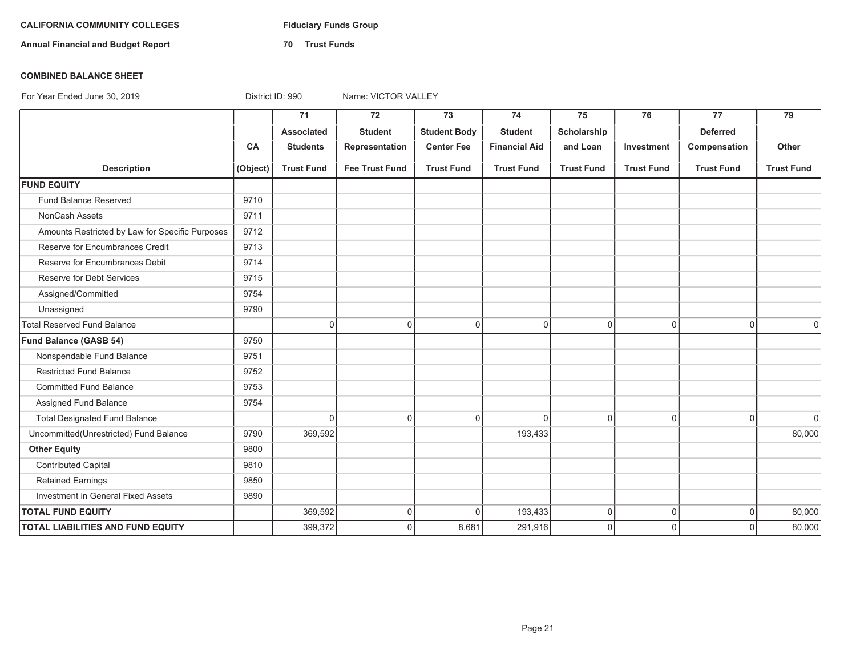# **CALIFORNIA COMMUNITY COLLEGES Fiduciary Funds Group**

**Annual Financial and Budget Report 70 Trust Funds**

#### **COMBINED BALANCE SHEET**

|                                                 |           | 71                | 72                    | 73                  | 74                   | 75                | 76                | 77                | 79                |
|-------------------------------------------------|-----------|-------------------|-----------------------|---------------------|----------------------|-------------------|-------------------|-------------------|-------------------|
|                                                 |           | <b>Associated</b> | <b>Student</b>        | <b>Student Body</b> | <b>Student</b>       | Scholarship       |                   | <b>Deferred</b>   |                   |
|                                                 | <b>CA</b> | <b>Students</b>   | Representation        | <b>Center Fee</b>   | <b>Financial Aid</b> | and Loan          | Investment        | Compensation      | Other             |
| <b>Description</b>                              | (Object)  | <b>Trust Fund</b> | <b>Fee Trust Fund</b> | <b>Trust Fund</b>   | <b>Trust Fund</b>    | <b>Trust Fund</b> | <b>Trust Fund</b> | <b>Trust Fund</b> | <b>Trust Fund</b> |
| <b>FUND EQUITY</b>                              |           |                   |                       |                     |                      |                   |                   |                   |                   |
| Fund Balance Reserved                           | 9710      |                   |                       |                     |                      |                   |                   |                   |                   |
| NonCash Assets                                  | 9711      |                   |                       |                     |                      |                   |                   |                   |                   |
| Amounts Restricted by Law for Specific Purposes | 9712      |                   |                       |                     |                      |                   |                   |                   |                   |
| Reserve for Encumbrances Credit                 | 9713      |                   |                       |                     |                      |                   |                   |                   |                   |
| Reserve for Encumbrances Debit                  | 9714      |                   |                       |                     |                      |                   |                   |                   |                   |
| Reserve for Debt Services                       | 9715      |                   |                       |                     |                      |                   |                   |                   |                   |
| Assigned/Committed                              | 9754      |                   |                       |                     |                      |                   |                   |                   |                   |
| Unassigned                                      | 9790      |                   |                       |                     |                      |                   |                   |                   |                   |
| <b>Total Reserved Fund Balance</b>              |           | $\overline{0}$    | 0                     | $\mathbf 0$         | $\overline{0}$       | $\mathbf 0$       | $\mathbf 0$       | $\Omega$          | $\Omega$          |
| Fund Balance (GASB 54)                          | 9750      |                   |                       |                     |                      |                   |                   |                   |                   |
| Nonspendable Fund Balance                       | 9751      |                   |                       |                     |                      |                   |                   |                   |                   |
| <b>Restricted Fund Balance</b>                  | 9752      |                   |                       |                     |                      |                   |                   |                   |                   |
| <b>Committed Fund Balance</b>                   | 9753      |                   |                       |                     |                      |                   |                   |                   |                   |
| Assigned Fund Balance                           | 9754      |                   |                       |                     |                      |                   |                   |                   |                   |
| <b>Total Designated Fund Balance</b>            |           | $\overline{0}$    | 0                     | $\Omega$            | $\Omega$             | $\Omega$          | $\overline{0}$    | $\Omega$          | $\overline{0}$    |
| Uncommitted(Unrestricted) Fund Balance          | 9790      | 369,592           |                       |                     | 193,433              |                   |                   |                   | 80,000            |
| <b>Other Equity</b>                             | 9800      |                   |                       |                     |                      |                   |                   |                   |                   |
| <b>Contributed Capital</b>                      | 9810      |                   |                       |                     |                      |                   |                   |                   |                   |
| <b>Retained Earnings</b>                        | 9850      |                   |                       |                     |                      |                   |                   |                   |                   |
| Investment in General Fixed Assets              | 9890      |                   |                       |                     |                      |                   |                   |                   |                   |
| <b>TOTAL FUND EQUITY</b>                        |           | 369,592           | 0                     | U                   | 193,433              | $\mathbf 0$       | $\mathbf 0$       | $\overline{0}$    | 80,000            |
| <b>TOTAL LIABILITIES AND FUND EQUITY</b>        |           | 399,372           | 0                     | 8,681               | 291,916              | $\mathbf 0$       | $\mathbf 0$       | $\Omega$          | 80,000            |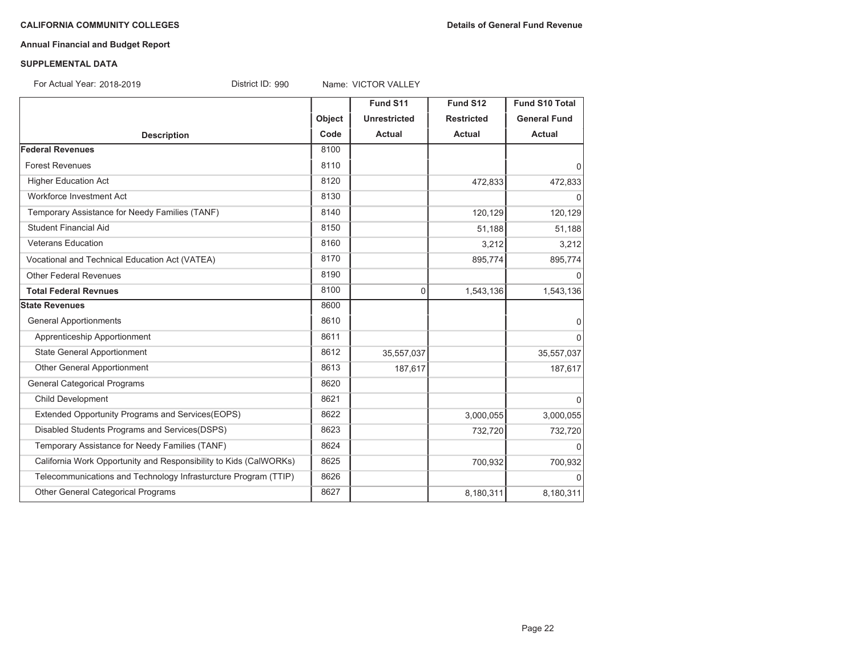# **Annual Financial and Budget Report**

#### **SUPPLEMENTAL DATA**

For Actual Year: 2018-2019

District ID: 990 Name: VICTOR VALLEY

|                                                                   |        | Fund S11            | Fund S12          | <b>Fund S10 Total</b> |
|-------------------------------------------------------------------|--------|---------------------|-------------------|-----------------------|
|                                                                   | Object | <b>Unrestricted</b> | <b>Restricted</b> | <b>General Fund</b>   |
| <b>Description</b>                                                | Code   | <b>Actual</b>       | <b>Actual</b>     | Actual                |
| <b>Federal Revenues</b>                                           | 8100   |                     |                   |                       |
| <b>Forest Revenues</b>                                            | 8110   |                     |                   | $\overline{0}$        |
| <b>Higher Education Act</b>                                       | 8120   |                     | 472,833           | 472,833               |
| Workforce Investment Act                                          | 8130   |                     |                   | $\Omega$              |
| Temporary Assistance for Needy Families (TANF)                    | 8140   |                     | 120,129           | 120,129               |
| <b>Student Financial Aid</b>                                      | 8150   |                     | 51,188            | 51,188                |
| <b>Veterans Education</b>                                         | 8160   |                     | 3,212             | 3,212                 |
| Vocational and Technical Education Act (VATEA)                    | 8170   |                     | 895,774           | 895,774               |
| <b>Other Federal Revenues</b>                                     | 8190   |                     |                   | $\Omega$              |
| <b>Total Federal Revnues</b>                                      | 8100   | 0                   | 1,543,136         | 1,543,136             |
| <b>State Revenues</b>                                             | 8600   |                     |                   |                       |
| <b>General Apportionments</b>                                     | 8610   |                     |                   | $\overline{0}$        |
| Apprenticeship Apportionment                                      | 8611   |                     |                   | $\overline{0}$        |
| <b>State General Apportionment</b>                                | 8612   | 35,557,037          |                   | 35,557,037            |
| Other General Apportionment                                       | 8613   | 187,617             |                   | 187,617               |
| <b>General Categorical Programs</b>                               | 8620   |                     |                   |                       |
| Child Development                                                 | 8621   |                     |                   | $\Omega$              |
| Extended Opportunity Programs and Services(EOPS)                  | 8622   |                     | 3,000,055         | 3,000,055             |
| Disabled Students Programs and Services(DSPS)                     | 8623   |                     | 732,720           | 732,720               |
| Temporary Assistance for Needy Families (TANF)                    | 8624   |                     |                   | $\Omega$              |
| California Work Opportunity and Responsibility to Kids (CalWORKs) | 8625   |                     | 700,932           | 700,932               |
| Telecommunications and Technology Infrasturcture Program (TTIP)   | 8626   |                     |                   | $\Omega$              |
| Other General Categorical Programs                                | 8627   |                     | 8,180,311         | 8,180,311             |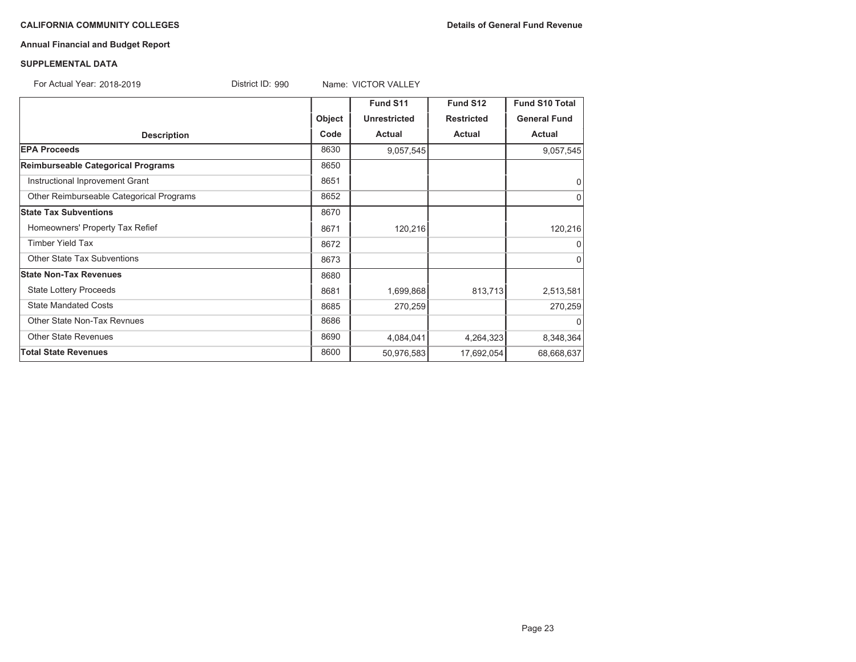#### **CALIFORNIA COMMUNITY COLLEGES Details of General Fund Revenue**

# **Annual Financial and Budget Report**

#### **SUPPLEMENTAL DATA**

For Actual Year: 2018-2019District ID: 990 Name: VICTOR VALLEY

|                                          |        | Fund S11            | Fund S12          | <b>Fund S10 Total</b> |
|------------------------------------------|--------|---------------------|-------------------|-----------------------|
|                                          | Object | <b>Unrestricted</b> | <b>Restricted</b> | <b>General Fund</b>   |
| <b>Description</b>                       | Code   | Actual              | <b>Actual</b>     | <b>Actual</b>         |
| <b>EPA Proceeds</b>                      | 8630   | 9,057,545           |                   | 9,057,545             |
| Reimburseable Categorical Programs       | 8650   |                     |                   |                       |
| Instructional Inprovement Grant          | 8651   |                     |                   | 0                     |
| Other Reimburseable Categorical Programs | 8652   |                     |                   | 0                     |
| <b>State Tax Subventions</b>             | 8670   |                     |                   |                       |
| Homeowners' Property Tax Refief          | 8671   | 120,216             |                   | 120,216               |
| <b>Timber Yield Tax</b>                  | 8672   |                     |                   | 0                     |
| <b>Other State Tax Subventions</b>       | 8673   |                     |                   | 0                     |
| <b>State Non-Tax Revenues</b>            | 8680   |                     |                   |                       |
| <b>State Lottery Proceeds</b>            | 8681   | 1,699,868           | 813,713           | 2,513,581             |
| <b>State Mandated Costs</b>              | 8685   | 270,259             |                   | 270,259               |
| Other State Non-Tax Revnues              | 8686   |                     |                   | $\Omega$              |
| <b>Other State Revenues</b>              | 8690   | 4,084,041           | 4,264,323         | 8,348,364             |
| <b>Total State Revenues</b>              | 8600   | 50,976,583          | 17,692,054        | 68,668,637            |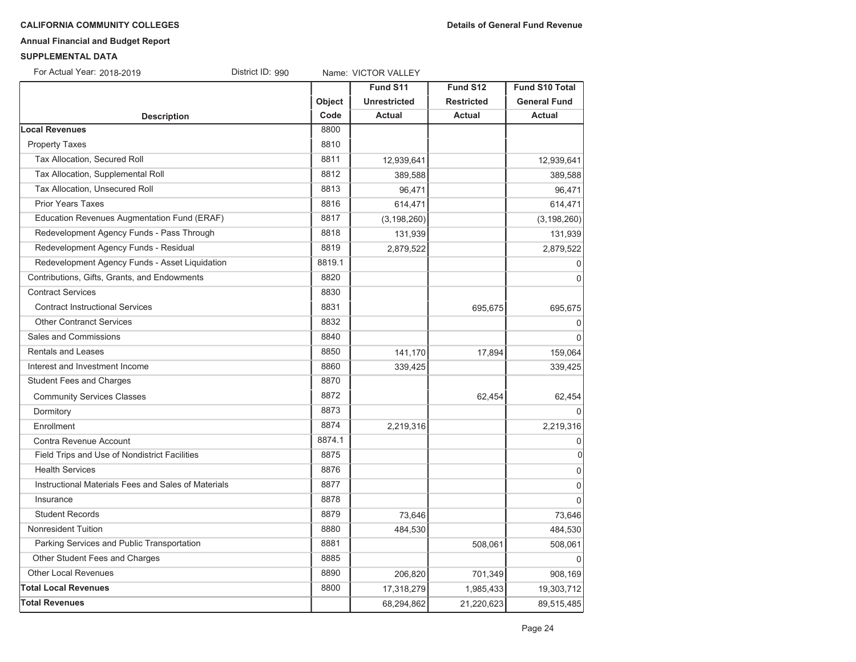#### **CALIFORNIA COMMUNITY COLLEGES Details of General Fund Revenue**

# **Annual Financial and Budget Report**

#### **SUPPLEMENTAL DATA**

For Actual Year: 2018-2019District ID: 990 Name: VICTOR VALLEY

|                                                     |        | Fund S11            | Fund S12          | <b>Fund S10 Total</b> |
|-----------------------------------------------------|--------|---------------------|-------------------|-----------------------|
|                                                     | Object | <b>Unrestricted</b> | <b>Restricted</b> | <b>General Fund</b>   |
| <b>Description</b>                                  | Code   | <b>Actual</b>       | <b>Actual</b>     | <b>Actual</b>         |
| <b>Local Revenues</b>                               | 8800   |                     |                   |                       |
| <b>Property Taxes</b>                               | 8810   |                     |                   |                       |
| Tax Allocation, Secured Roll                        | 8811   | 12,939,641          |                   | 12,939,641            |
| Tax Allocation, Supplemental Roll                   | 8812   | 389,588             |                   | 389,588               |
| Tax Allocation, Unsecured Roll                      | 8813   | 96,471              |                   | 96,471                |
| <b>Prior Years Taxes</b>                            | 8816   | 614,471             |                   | 614,471               |
| Education Revenues Augmentation Fund (ERAF)         | 8817   | (3, 198, 260)       |                   | (3, 198, 260)         |
| Redevelopment Agency Funds - Pass Through           | 8818   | 131,939             |                   | 131,939               |
| Redevelopment Agency Funds - Residual               | 8819   | 2,879,522           |                   | 2,879,522             |
| Redevelopment Agency Funds - Asset Liquidation      | 8819.1 |                     |                   | $\mathbf 0$           |
| Contributions, Gifts, Grants, and Endowments        | 8820   |                     |                   | $\mathbf{0}$          |
| <b>Contract Services</b>                            | 8830   |                     |                   |                       |
| <b>Contract Instructional Services</b>              | 8831   |                     | 695,675           | 695,675               |
| <b>Other Contranct Services</b>                     | 8832   |                     |                   | 0                     |
| Sales and Commissions                               | 8840   |                     |                   | $\Omega$              |
| <b>Rentals and Leases</b>                           | 8850   | 141,170             | 17,894            | 159,064               |
| Interest and Investment Income                      | 8860   | 339,425             |                   | 339,425               |
| <b>Student Fees and Charges</b>                     | 8870   |                     |                   |                       |
| <b>Community Services Classes</b>                   | 8872   |                     | 62,454            | 62,454                |
| Dormitory                                           | 8873   |                     |                   | $\Omega$              |
| Enrollment                                          | 8874   | 2,219,316           |                   | 2,219,316             |
| Contra Revenue Account                              | 8874.1 |                     |                   | $\mathbf 0$           |
| Field Trips and Use of Nondistrict Facilities       | 8875   |                     |                   | 0                     |
| <b>Health Services</b>                              | 8876   |                     |                   | $\overline{0}$        |
| Instructional Materials Fees and Sales of Materials | 8877   |                     |                   | $\mathbf 0$           |
| Insurance                                           | 8878   |                     |                   | $\Omega$              |
| <b>Student Records</b>                              | 8879   | 73,646              |                   | 73,646                |
| <b>Nonresident Tuition</b>                          | 8880   | 484,530             |                   | 484,530               |
| Parking Services and Public Transportation          | 8881   |                     | 508,061           | 508,061               |
| Other Student Fees and Charges                      | 8885   |                     |                   |                       |
| <b>Other Local Revenues</b>                         | 8890   | 206,820             | 701,349           | 908,169               |
| <b>Total Local Revenues</b>                         | 8800   | 17,318,279          | 1,985,433         | 19,303,712            |
| <b>Total Revenues</b>                               |        | 68,294,862          | 21,220,623        | 89,515,485            |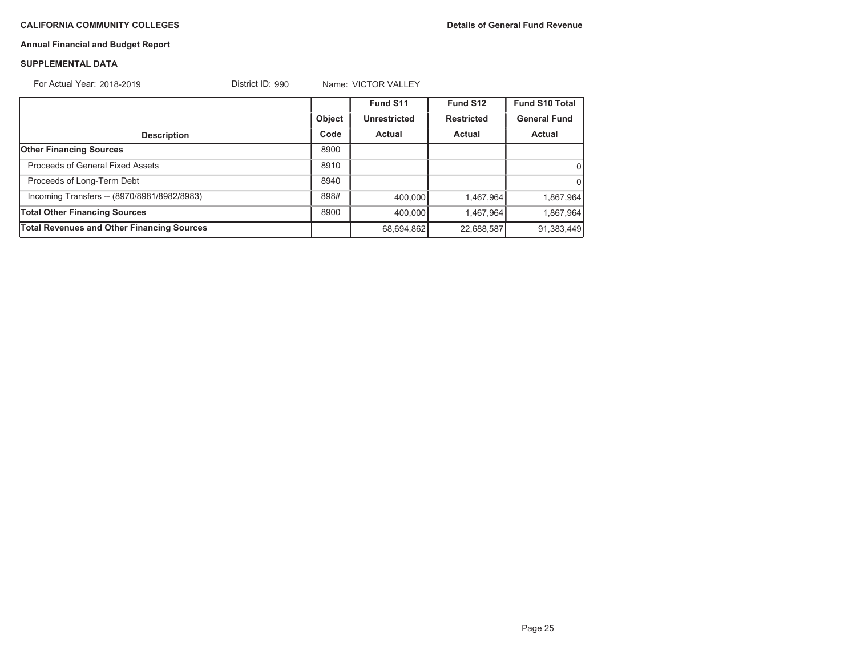# **Annual Financial and Budget Report**

#### **SUPPLEMENTAL DATA**

For Actual Year: 2018-2019District ID: 990 Name: VICTOR VALLEY

|                                                   |               | Fund S11      | Fund S12          | Fund S10 Total      |
|---------------------------------------------------|---------------|---------------|-------------------|---------------------|
|                                                   | <b>Object</b> | Unrestricted  | <b>Restricted</b> | <b>General Fund</b> |
| <b>Description</b>                                | Code          | <b>Actual</b> | Actual            | <b>Actual</b>       |
| <b>Other Financing Sources</b>                    | 8900          |               |                   |                     |
| Proceeds of General Fixed Assets                  | 8910          |               |                   | $\Omega$            |
| Proceeds of Long-Term Debt                        | 8940          |               |                   | $\Omega$            |
| Incoming Transfers -- (8970/8981/8982/8983)       | 898#          | 400.000       | 1,467,964         | 1,867,964           |
| <b>Total Other Financing Sources</b>              | 8900          | 400.000       | 1,467,964         | 1,867,964           |
| <b>Total Revenues and Other Financing Sources</b> |               | 68,694,862    | 22,688,587        | 91,383,449          |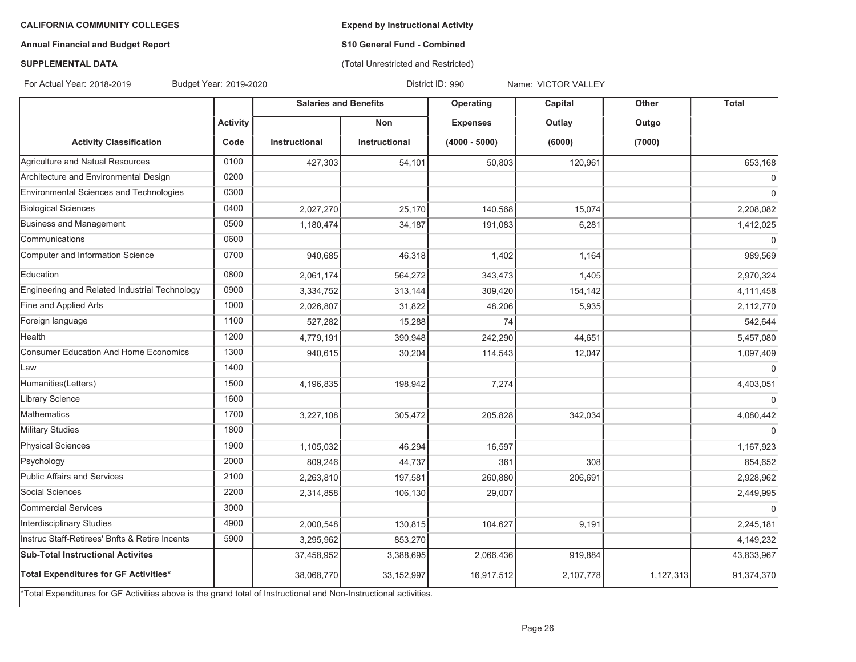**Expend by Instructional Activity**

# **Annual Financial and Budget Report**

# **S10 General Fund - Combined** (Total Unrestricted and Restricted)

#### **SUPPLEMENTAL DATA**

For Actual Year: 2018-2019

Budget Year: 2019-2020 District ID: 990 Name: VICTOR VALLEY

|                                                                                                                   |                 | <b>Salaries and Benefits</b> |               | Operating       | Capital   | Other     | Total          |
|-------------------------------------------------------------------------------------------------------------------|-----------------|------------------------------|---------------|-----------------|-----------|-----------|----------------|
|                                                                                                                   | <b>Activity</b> |                              | <b>Non</b>    | <b>Expenses</b> | Outlay    | Outgo     |                |
| <b>Activity Classification</b>                                                                                    | Code            | <b>Instructional</b>         | Instructional | $(4000 - 5000)$ | (6000)    | (7000)    |                |
| Agriculture and Natual Resources                                                                                  | 0100            | 427,303                      | 54,101        | 50,803          | 120,961   |           | 653,168        |
| Architecture and Environmental Design                                                                             | 0200            |                              |               |                 |           |           | $\overline{0}$ |
| Environmental Sciences and Technologies                                                                           | 0300            |                              |               |                 |           |           | $\Omega$       |
| <b>Biological Sciences</b>                                                                                        | 0400            | 2,027,270                    | 25,170        | 140,568         | 15,074    |           | 2,208,082      |
| Business and Management                                                                                           | 0500            | 1,180,474                    | 34,187        | 191,083         | 6,281     |           | 1,412,025      |
| Communications                                                                                                    | 0600            |                              |               |                 |           |           | $\Omega$       |
| Computer and Information Science                                                                                  | 0700            | 940,685                      | 46,318        | 1,402           | 1,164     |           | 989,569        |
| Education                                                                                                         | 0800            | 2,061,174                    | 564,272       | 343,473         | 1,405     |           | 2,970,324      |
| Engineering and Related Industrial Technology                                                                     | 0900            | 3,334,752                    | 313,144       | 309,420         | 154,142   |           | 4,111,458      |
| Fine and Applied Arts                                                                                             | 1000            | 2,026,807                    | 31,822        | 48,206          | 5,935     |           | 2,112,770      |
| Foreign language                                                                                                  | 1100            | 527,282                      | 15,288        | 74              |           |           | 542,644        |
| Health                                                                                                            | 1200            | 4,779,191                    | 390,948       | 242,290         | 44,651    |           | 5,457,080      |
| <b>Consumer Education And Home Economics</b>                                                                      | 1300            | 940,615                      | 30,204        | 114,543         | 12,047    |           | 1,097,409      |
| Law                                                                                                               | 1400            |                              |               |                 |           |           | $\Omega$       |
| Humanities(Letters)                                                                                               | 1500            | 4,196,835                    | 198,942       | 7,274           |           |           | 4,403,051      |
| Library Science                                                                                                   | 1600            |                              |               |                 |           |           | $\Omega$       |
| Mathematics                                                                                                       | 1700            | 3,227,108                    | 305,472       | 205,828         | 342.034   |           | 4,080,442      |
| <b>Military Studies</b>                                                                                           | 1800            |                              |               |                 |           |           |                |
| <b>Physical Sciences</b>                                                                                          | 1900            | 1,105,032                    | 46,294        | 16,597          |           |           | 1,167,923      |
| Psychology                                                                                                        | 2000            | 809,246                      | 44,737        | 361             | 308       |           | 854,652        |
| Public Affairs and Services                                                                                       | 2100            | 2,263,810                    | 197,581       | 260,880         | 206,691   |           | 2,928,962      |
| Social Sciences                                                                                                   | 2200            | 2,314,858                    | 106,130       | 29,007          |           |           | 2,449,995      |
| Commercial Services                                                                                               | 3000            |                              |               |                 |           |           | $\Omega$       |
| Interdisciplinary Studies                                                                                         | 4900            | 2,000,548                    | 130,815       | 104,627         | 9,191     |           | 2,245,181      |
| Instruc Staff-Retirees' Bnfts & Retire Incents                                                                    | 5900            | 3,295,962                    | 853,270       |                 |           |           | 4,149,232      |
| <b>Sub-Total Instructional Activites</b>                                                                          |                 | 37,458,952                   | 3,388,695     | 2,066,436       | 919,884   |           | 43,833,967     |
| Total Expenditures for GF Activities*                                                                             |                 | 38,068,770                   | 33,152,997    | 16,917,512      | 2,107,778 | 1,127,313 | 91,374,370     |
| *Total Expenditures for GF Activities above is the grand total of Instructional and Non-Instructional activities. |                 |                              |               |                 |           |           |                |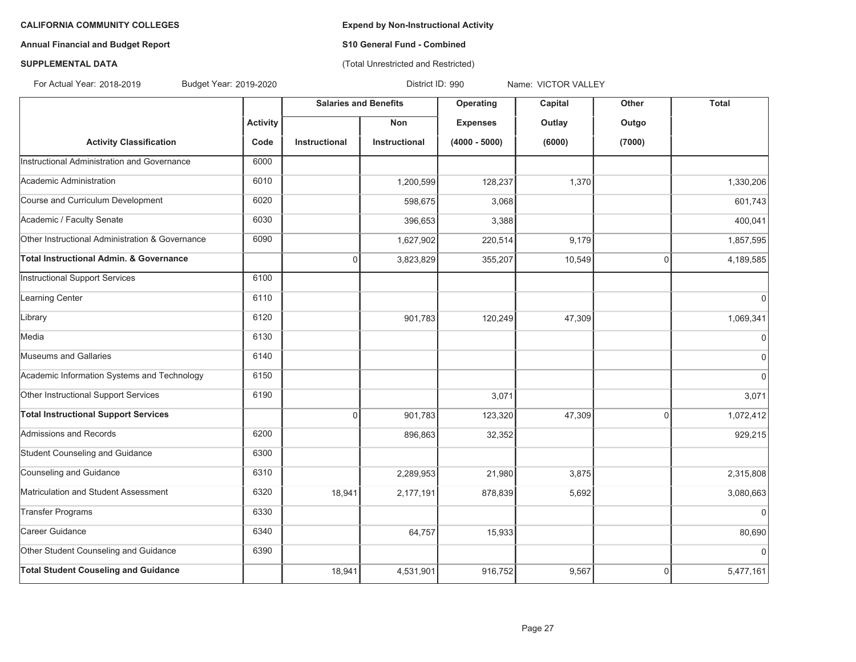# **Annual Financial and Budget Report S10 General Fund - Combined**

# (Total Unrestricted and Restricted)

# **SUPPLEMENTAL DATA**

For Actual Year: 2018-2019

Budget Year: 2019-2020 District ID: 990 Name: VICTOR VALLEY

|                                                 |                 | <b>Salaries and Benefits</b> |               | Operating       | Capital | Other          | <b>Total</b> |
|-------------------------------------------------|-----------------|------------------------------|---------------|-----------------|---------|----------------|--------------|
|                                                 | <b>Activity</b> |                              | <b>Non</b>    | <b>Expenses</b> | Outlay  | Outgo          |              |
| <b>Activity Classification</b>                  | Code            | Instructional                | Instructional | $(4000 - 5000)$ | (6000)  | (7000)         |              |
| Instructional Administration and Governance     | 6000            |                              |               |                 |         |                |              |
| Academic Administration                         | 6010            |                              | 1,200,599     | 128,237         | 1,370   |                | 1,330,206    |
| Course and Curriculum Development               | 6020            |                              | 598,675       | 3,068           |         |                | 601,743      |
| Academic / Faculty Senate                       | 6030            |                              | 396,653       | 3,388           |         |                | 400,041      |
| Other Instructional Administration & Governance | 6090            |                              | 1,627,902     | 220,514         | 9,179   |                | 1,857,595    |
| Total Instructional Admin. & Governance         |                 | $\Omega$                     | 3,823,829     | 355,207         | 10,549  | $\mathbf 0$    | 4,189,585    |
| Instructional Support Services                  | 6100            |                              |               |                 |         |                |              |
| Learning Center                                 | 6110            |                              |               |                 |         |                | $\Omega$     |
| Library                                         | 6120            |                              | 901,783       | 120,249         | 47,309  |                | 1,069,341    |
| Media                                           | 6130            |                              |               |                 |         |                | $\mathbf 0$  |
| Museums and Gallaries                           | 6140            |                              |               |                 |         |                | $\mathbf 0$  |
| Academic Information Systems and Technology     | 6150            |                              |               |                 |         |                | $\Omega$     |
| Other Instructional Support Services            | 6190            |                              |               | 3,071           |         |                | 3,071        |
| <b>Total Instructional Support Services</b>     |                 | $\Omega$                     | 901,783       | 123,320         | 47,309  | $\overline{0}$ | 1,072,412    |
| Admissions and Records                          | 6200            |                              | 896,863       | 32,352          |         |                | 929,215      |
| Student Counseling and Guidance                 | 6300            |                              |               |                 |         |                |              |
| Counseling and Guidance                         | 6310            |                              | 2,289,953     | 21,980          | 3,875   |                | 2,315,808    |
| Matriculation and Student Assessment            | 6320            | 18,941                       | 2,177,191     | 878,839         | 5,692   |                | 3,080,663    |
| <b>Transfer Programs</b>                        | 6330            |                              |               |                 |         |                | $\mathbf 0$  |
| Career Guidance                                 | 6340            |                              | 64,757        | 15,933          |         |                | 80,690       |
| Other Student Counseling and Guidance           | 6390            |                              |               |                 |         |                | $\Omega$     |
| <b>Total Student Couseling and Guidance</b>     |                 | 18,941                       | 4,531,901     | 916,752         | 9,567   | 0              | 5,477,161    |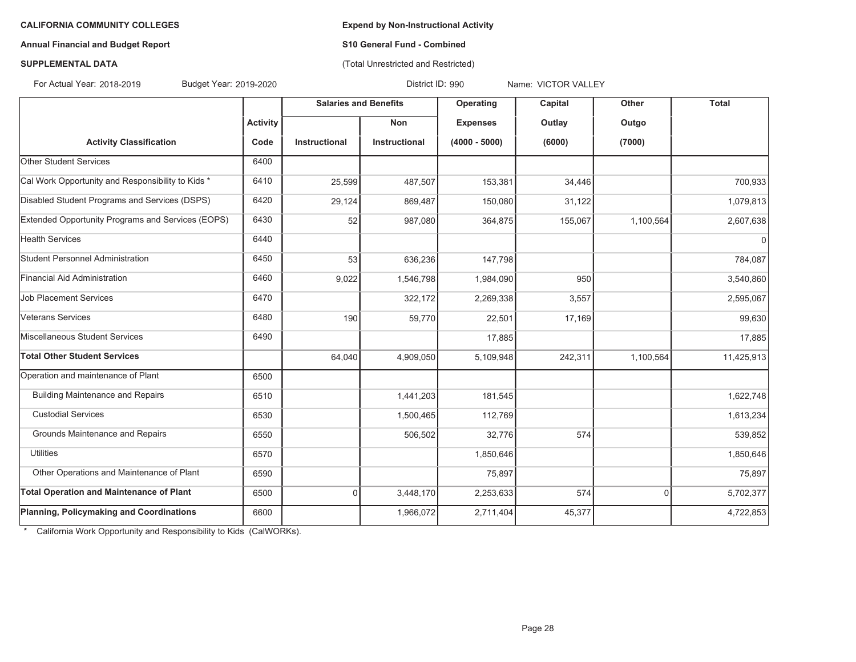# **Annual Financial and Budget Report S10 General Fund - Combined**

(Total Unrestricted and Restricted)

# **SUPPLEMENTAL DATA**

For Actual Year: 2018-2019

Budget Year: 2019-2020 District ID: 990 Name: VICTOR VALLEY

|                                                   |                 | <b>Salaries and Benefits</b> |               | Operating       | Capital | Other     | <b>Total</b> |
|---------------------------------------------------|-----------------|------------------------------|---------------|-----------------|---------|-----------|--------------|
|                                                   | <b>Activity</b> |                              | <b>Non</b>    | <b>Expenses</b> | Outlay  | Outgo     |              |
| <b>Activity Classification</b>                    | Code            | Instructional                | Instructional | $(4000 - 5000)$ | (6000)  | (7000)    |              |
| Other Student Services                            | 6400            |                              |               |                 |         |           |              |
| Cal Work Opportunity and Responsibility to Kids * | 6410            | 25,599                       | 487,507       | 153,381         | 34,446  |           | 700,933      |
| Disabled Student Programs and Services (DSPS)     | 6420            | 29,124                       | 869,487       | 150,080         | 31,122  |           | 1,079,813    |
| Extended Opportunity Programs and Services (EOPS) | 6430            | 52                           | 987,080       | 364,875         | 155,067 | 1,100,564 | 2,607,638    |
| <b>Health Services</b>                            | 6440            |                              |               |                 |         |           | $\Omega$     |
| Student Personnel Administration                  | 6450            | 53                           | 636,236       | 147,798         |         |           | 784,087      |
| Financial Aid Administration                      | 6460            | 9,022                        | 1,546,798     | 1,984,090       | 950     |           | 3,540,860    |
| Job Placement Services                            | 6470            |                              | 322,172       | 2,269,338       | 3,557   |           | 2,595,067    |
| Veterans Services                                 | 6480            | 190                          | 59,770        | 22,501          | 17,169  |           | 99,630       |
| Miscellaneous Student Services                    | 6490            |                              |               | 17,885          |         |           | 17,885       |
| <b>Total Other Student Services</b>               |                 | 64,040                       | 4,909,050     | 5,109,948       | 242,311 | 1,100,564 | 11,425,913   |
| Operation and maintenance of Plant                | 6500            |                              |               |                 |         |           |              |
| <b>Building Maintenance and Repairs</b>           | 6510            |                              | 1,441,203     | 181,545         |         |           | 1,622,748    |
| <b>Custodial Services</b>                         | 6530            |                              | 1,500,465     | 112,769         |         |           | 1,613,234    |
| Grounds Maintenance and Repairs                   | 6550            |                              | 506,502       | 32,776          | 574     |           | 539,852      |
| <b>Utilities</b>                                  | 6570            |                              |               | 1,850,646       |         |           | 1,850,646    |
| Other Operations and Maintenance of Plant         | 6590            |                              |               | 75,897          |         |           | 75,897       |
| <b>Total Operation and Maintenance of Plant</b>   | 6500            | $\Omega$                     | 3,448,170     | 2,253,633       | 574     | 0         | 5,702,377    |
| Planning, Policymaking and Coordinations          | 6600            |                              | 1,966,072     | 2,711,404       | 45,377  |           | 4,722,853    |

\* California Work Opportunity and Responsibility to Kids (CalWORKs).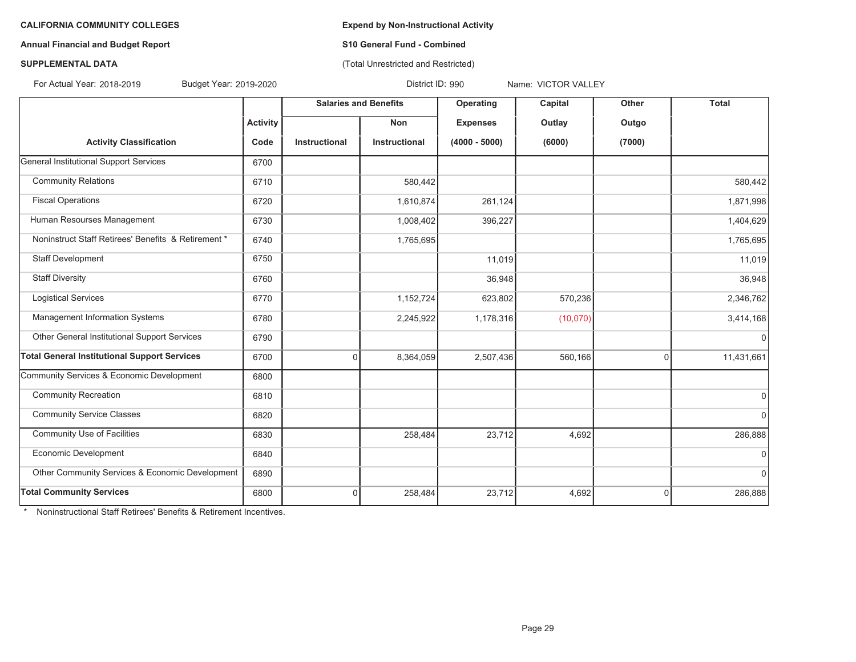## **Annual Financial and Budget Report S10 General Fund - Combined**

# (Total Unrestricted and Restricted)

# **SUPPLEMENTAL DATA**

For Actual Year: 2018-2019

Budget Year: 2019-2020 District ID: 990 Name: VICTOR VALLEY

|                                                     |                 | <b>Salaries and Benefits</b> |               | Operating       | Capital  | Other          | <b>Total</b> |
|-----------------------------------------------------|-----------------|------------------------------|---------------|-----------------|----------|----------------|--------------|
|                                                     | <b>Activity</b> |                              | Non           | <b>Expenses</b> | Outlay   | Outgo          |              |
| <b>Activity Classification</b>                      | Code            | Instructional                | Instructional | $(4000 - 5000)$ | (6000)   | (7000)         |              |
| <b>General Institutional Support Services</b>       | 6700            |                              |               |                 |          |                |              |
| <b>Community Relations</b>                          | 6710            |                              | 580,442       |                 |          |                | 580,442      |
| <b>Fiscal Operations</b>                            | 6720            |                              | 1,610,874     | 261,124         |          |                | 1,871,998    |
| Human Resourses Management                          | 6730            |                              | 1,008,402     | 396,227         |          |                | 1,404,629    |
| Noninstruct Staff Retirees' Benefits & Retirement * | 6740            |                              | 1,765,695     |                 |          |                | 1,765,695    |
| Staff Development                                   | 6750            |                              |               | 11,019          |          |                | 11,019       |
| <b>Staff Diversity</b>                              | 6760            |                              |               | 36,948          |          |                | 36,948       |
| <b>Logistical Services</b>                          | 6770            |                              | 1,152,724     | 623,802         | 570,236  |                | 2,346,762    |
| Management Information Systems                      | 6780            |                              | 2,245,922     | 1,178,316       | (10,070) |                | 3,414,168    |
| Other General Institutional Support Services        | 6790            |                              |               |                 |          |                | $\mathbf 0$  |
| <b>Total General Institutional Support Services</b> | 6700            | 0                            | 8,364,059     | 2,507,436       | 560,166  | $\overline{0}$ | 11,431,661   |
| Community Services & Economic Development           | 6800            |                              |               |                 |          |                |              |
| <b>Community Recreation</b>                         | 6810            |                              |               |                 |          |                | $\mathbf 0$  |
| <b>Community Service Classes</b>                    | 6820            |                              |               |                 |          |                | 0            |
| <b>Community Use of Facilities</b>                  | 6830            |                              | 258,484       | 23,712          | 4,692    |                | 286,888      |
| Economic Development                                | 6840            |                              |               |                 |          |                | $\Omega$     |
| Other Community Services & Economic Development     | 6890            |                              |               |                 |          |                | $\mathbf 0$  |
| <b>Total Community Services</b>                     | 6800            | 0                            | 258,484       | 23,712          | 4,692    | $\mathbf 0$    | 286,888      |

\* Noninstructional Staff Retirees' Benefits & Retirement Incentives.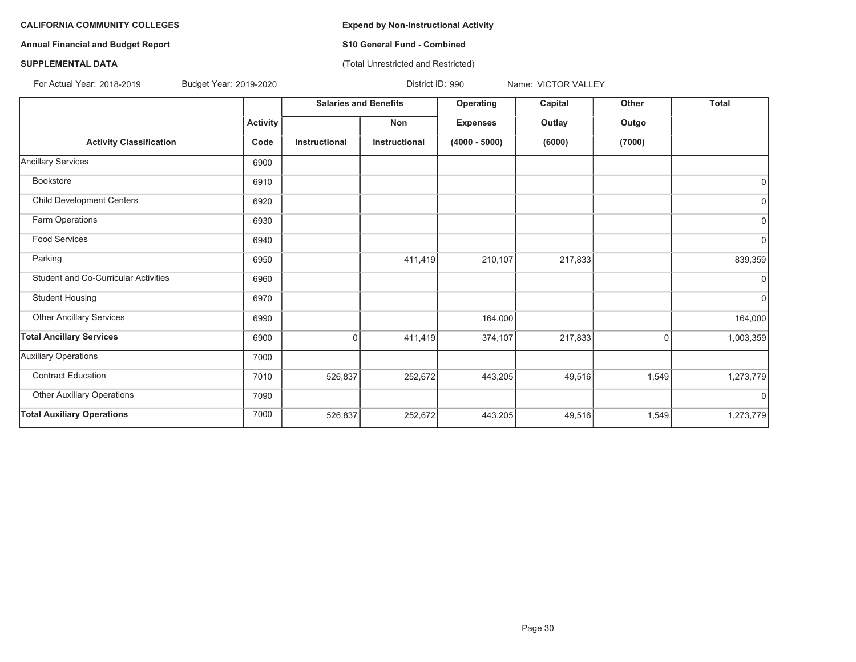**Annual Financial and Budget Report S10 General Fund - Combined**

(Total Unrestricted and Restricted)

# **SUPPLEMENTAL DATA**

For Actual Year: 2018-2019

Budget Year: 2019-2020 **District ID: 990** Name: VICTOR VALLEY

|                                             |                 | <b>Salaries and Benefits</b> |               | Operating       | Capital | Other  | <b>Total</b> |
|---------------------------------------------|-----------------|------------------------------|---------------|-----------------|---------|--------|--------------|
|                                             | <b>Activity</b> |                              | Non           | <b>Expenses</b> | Outlay  | Outgo  |              |
| <b>Activity Classification</b>              | Code            | Instructional                | Instructional | $(4000 - 5000)$ | (6000)  | (7000) |              |
| <b>Ancillary Services</b>                   | 6900            |                              |               |                 |         |        |              |
| <b>Bookstore</b>                            | 6910            |                              |               |                 |         |        | 0            |
| <b>Child Development Centers</b>            | 6920            |                              |               |                 |         |        | $\mathbf 0$  |
| Farm Operations                             | 6930            |                              |               |                 |         |        | 0            |
| Food Services                               | 6940            |                              |               |                 |         |        | $\mathbf 0$  |
| Parking                                     | 6950            |                              | 411,419       | 210,107         | 217,833 |        | 839,359      |
| <b>Student and Co-Curricular Activities</b> | 6960            |                              |               |                 |         |        | $\Omega$     |
| <b>Student Housing</b>                      | 6970            |                              |               |                 |         |        | $\mathbf 0$  |
| <b>Other Ancillary Services</b>             | 6990            |                              |               | 164,000         |         |        | 164,000      |
| <b>Total Ancillary Services</b>             | 6900            | $\Omega$                     | 411,419       | 374,107         | 217,833 | 0      | 1,003,359    |
| <b>Auxiliary Operations</b>                 | 7000            |                              |               |                 |         |        |              |
| <b>Contract Education</b>                   | 7010            | 526,837                      | 252,672       | 443,205         | 49,516  | 1,549  | 1,273,779    |
| <b>Other Auxiliary Operations</b>           | 7090            |                              |               |                 |         |        | $\Omega$     |
| <b>Total Auxiliary Operations</b>           | 7000            | 526,837                      | 252,672       | 443,205         | 49,516  | 1,549  | 1,273,779    |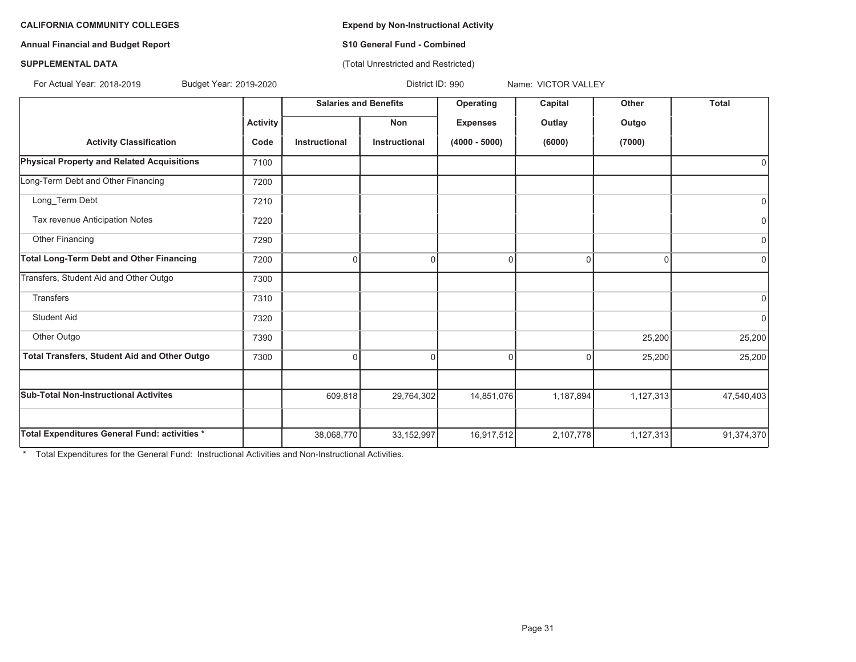**Annual Financial and Budget Report S10 General Fund - Combined**

(Total Unrestricted and Restricted)

# **SUPPLEMENTAL DATA**

For Actual Year: 2018-2019

Budget Year: 2019-2020 **District ID: 990** Name: VICTOR VALLEY

|                                                     |                 | <b>Salaries and Benefits</b> |               | Operating       | Capital     | Other     | <b>Total</b> |
|-----------------------------------------------------|-----------------|------------------------------|---------------|-----------------|-------------|-----------|--------------|
|                                                     | <b>Activity</b> |                              | Non           | <b>Expenses</b> | Outlay      | Outgo     |              |
| <b>Activity Classification</b>                      | Code            | Instructional                | Instructional | $(4000 - 5000)$ | (6000)      | (7000)    |              |
| <b>Physical Property and Related Acquisitions</b>   | 7100            |                              |               |                 |             |           |              |
| Long-Term Debt and Other Financing                  | 7200            |                              |               |                 |             |           |              |
| Long_Term Debt                                      | 7210            |                              |               |                 |             |           | $\mathbf 0$  |
| Tax revenue Anticipation Notes                      | 7220            |                              |               |                 |             |           | $\mathbf 0$  |
| Other Financing                                     | 7290            |                              |               |                 |             |           | $\mathbf 0$  |
| <b>Total Long-Term Debt and Other Financing</b>     | 7200            | $\Omega$                     | $\Omega$      | $\Omega$        | $\Omega$    | $\Omega$  | $\Omega$     |
| Transfers, Student Aid and Other Outgo              | 7300            |                              |               |                 |             |           |              |
| <b>Transfers</b>                                    | 7310            |                              |               |                 |             |           | $\Omega$     |
| <b>Student Aid</b>                                  | 7320            |                              |               |                 |             |           | $\mathbf 0$  |
| Other Outgo                                         | 7390            |                              |               |                 |             | 25,200    | 25,200       |
| <b>Total Transfers, Student Aid and Other Outgo</b> | 7300            | $\overline{0}$               | $\Omega$      | 0               | $\mathbf 0$ | 25,200    | 25,200       |
|                                                     |                 |                              |               |                 |             |           |              |
| <b>Sub-Total Non-Instructional Activites</b>        |                 | 609,818                      | 29,764,302    | 14,851,076      | 1,187,894   | 1,127,313 | 47,540,403   |
|                                                     |                 |                              |               |                 |             |           |              |
| Total Expenditures General Fund: activities *       |                 | 38,068,770                   | 33, 152, 997  | 16,917,512      | 2,107,778   | 1,127,313 | 91,374,370   |

\* Total Expenditures for the General Fund: Instructional Activities and Non-Instructional Activities.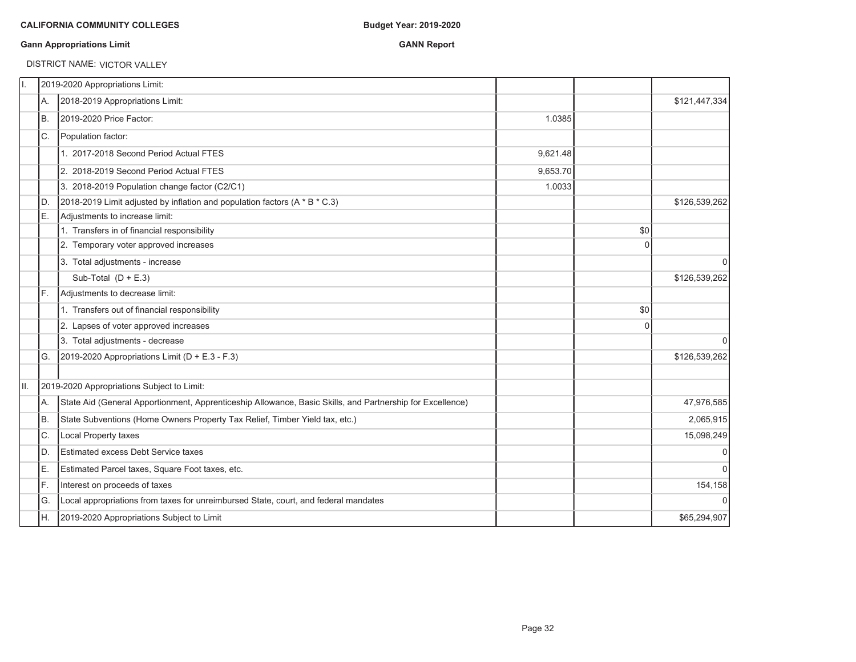### **Gann Appropriations Limit GANN Report**

#### DISTRICT NAME: VICTOR VALLEY

| 2018-2019 Appropriations Limit:<br>А.<br>lB.<br>2019-2020 Price Factor:<br>IC.<br>Population factor:<br>1. 2017-2018 Second Period Actual FTES<br>2. 2018-2019 Second Period Actual FTES<br>3. 2018-2019 Population change factor (C2/C1)<br>2018-2019 Limit adjusted by inflation and population factors (A * B * C.3)<br>D.<br>E.<br>Adjustments to increase limit:<br>1. Transfers in of financial responsibility |                                                                                                           |          |             |               |
|----------------------------------------------------------------------------------------------------------------------------------------------------------------------------------------------------------------------------------------------------------------------------------------------------------------------------------------------------------------------------------------------------------------------|-----------------------------------------------------------------------------------------------------------|----------|-------------|---------------|
|                                                                                                                                                                                                                                                                                                                                                                                                                      |                                                                                                           |          |             | \$121,447,334 |
|                                                                                                                                                                                                                                                                                                                                                                                                                      |                                                                                                           | 1.0385   |             |               |
|                                                                                                                                                                                                                                                                                                                                                                                                                      |                                                                                                           |          |             |               |
|                                                                                                                                                                                                                                                                                                                                                                                                                      |                                                                                                           | 9.621.48 |             |               |
|                                                                                                                                                                                                                                                                                                                                                                                                                      |                                                                                                           | 9,653.70 |             |               |
|                                                                                                                                                                                                                                                                                                                                                                                                                      |                                                                                                           | 1.0033   |             |               |
|                                                                                                                                                                                                                                                                                                                                                                                                                      |                                                                                                           |          |             | \$126,539,262 |
|                                                                                                                                                                                                                                                                                                                                                                                                                      |                                                                                                           |          |             |               |
|                                                                                                                                                                                                                                                                                                                                                                                                                      |                                                                                                           |          | \$0         |               |
| 2. Temporary voter approved increases                                                                                                                                                                                                                                                                                                                                                                                |                                                                                                           |          | $\Omega$    |               |
| 3. Total adjustments - increase                                                                                                                                                                                                                                                                                                                                                                                      |                                                                                                           |          |             | 0             |
| Sub-Total $(D + E.3)$                                                                                                                                                                                                                                                                                                                                                                                                |                                                                                                           |          |             | \$126,539,262 |
| Adjustments to decrease limit:<br>IF.                                                                                                                                                                                                                                                                                                                                                                                |                                                                                                           |          |             |               |
| 1. Transfers out of financial responsibility                                                                                                                                                                                                                                                                                                                                                                         |                                                                                                           |          | \$0         |               |
| 2. Lapses of voter approved increases                                                                                                                                                                                                                                                                                                                                                                                |                                                                                                           |          | $\mathbf 0$ |               |
| 3. Total adjustments - decrease                                                                                                                                                                                                                                                                                                                                                                                      |                                                                                                           |          |             | $\Omega$      |
| 2019-2020 Appropriations Limit ( $D + E.3 - F.3$ )<br>G.                                                                                                                                                                                                                                                                                                                                                             |                                                                                                           |          |             | \$126,539,262 |
|                                                                                                                                                                                                                                                                                                                                                                                                                      |                                                                                                           |          |             |               |
| 2019-2020 Appropriations Subject to Limit:<br>Ⅱ.                                                                                                                                                                                                                                                                                                                                                                     |                                                                                                           |          |             |               |
| А.                                                                                                                                                                                                                                                                                                                                                                                                                   | State Aid (General Apportionment, Apprenticeship Allowance, Basic Skills, and Partnership for Excellence) |          |             | 47,976,585    |
| State Subventions (Home Owners Property Tax Relief, Timber Yield tax, etc.)<br>B.                                                                                                                                                                                                                                                                                                                                    |                                                                                                           |          |             | 2,065,915     |
| C.<br>Local Property taxes                                                                                                                                                                                                                                                                                                                                                                                           |                                                                                                           |          |             | 15,098,249    |
| ID.<br>Estimated excess Debt Service taxes                                                                                                                                                                                                                                                                                                                                                                           |                                                                                                           |          |             | $\mathbf 0$   |
| E.<br>Estimated Parcel taxes, Square Foot taxes, etc.                                                                                                                                                                                                                                                                                                                                                                |                                                                                                           |          |             | $\mathbf 0$   |
| F.<br>Interest on proceeds of taxes                                                                                                                                                                                                                                                                                                                                                                                  |                                                                                                           |          |             | 154,158       |
| IG.<br>Local appropriations from taxes for unreimbursed State, court, and federal mandates                                                                                                                                                                                                                                                                                                                           |                                                                                                           |          |             | $\pmb{0}$     |
| IH.<br>2019-2020 Appropriations Subject to Limit                                                                                                                                                                                                                                                                                                                                                                     |                                                                                                           |          |             | \$65,294,907  |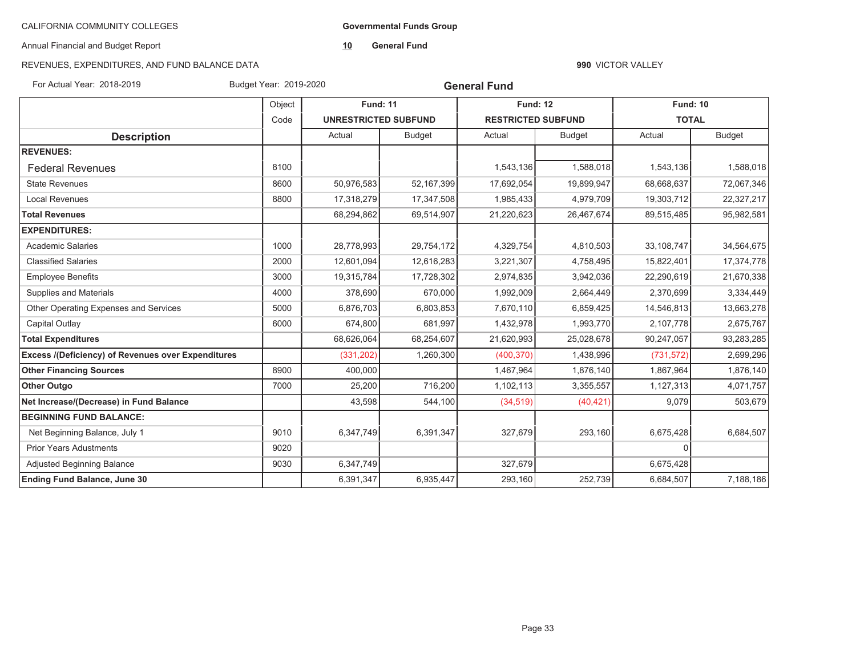**Governmental Funds Group**

Annual Financial and Budget Report

**10General Fund**

# REVENUES, EXPENDITURES, AND FUND BALANCE DATA

#### **990** VICTOR VALLEY

For Actual Year: 2018-2019 Budget Year: 2019-2020

**General Fund**

|                                                           | Object | <b>Fund: 11</b>             |               | <b>Fund: 12</b>           |               | <b>Fund: 10</b> |               |
|-----------------------------------------------------------|--------|-----------------------------|---------------|---------------------------|---------------|-----------------|---------------|
|                                                           | Code   | <b>UNRESTRICTED SUBFUND</b> |               | <b>RESTRICTED SUBFUND</b> |               | <b>TOTAL</b>    |               |
| <b>Description</b>                                        |        | Actual                      | <b>Budget</b> | Actual                    | <b>Budget</b> | Actual          | <b>Budget</b> |
| <b>REVENUES:</b>                                          |        |                             |               |                           |               |                 |               |
| <b>Federal Revenues</b>                                   | 8100   |                             |               | 1,543,136                 | 1,588,018     | 1,543,136       | 1,588,018     |
| <b>State Revenues</b>                                     | 8600   | 50,976,583                  | 52,167,399    | 17,692,054                | 19,899,947    | 68,668,637      | 72,067,346    |
| <b>Local Revenues</b>                                     | 8800   | 17,318,279                  | 17,347,508    | 1,985,433                 | 4,979,709     | 19,303,712      | 22,327,217    |
| <b>Total Revenues</b>                                     |        | 68,294,862                  | 69,514,907    | 21,220,623                | 26,467,674    | 89,515,485      | 95,982,581    |
| <b>EXPENDITURES:</b>                                      |        |                             |               |                           |               |                 |               |
| <b>Academic Salaries</b>                                  | 1000   | 28,778,993                  | 29,754,172    | 4,329,754                 | 4,810,503     | 33,108,747      | 34,564,675    |
| <b>Classified Salaries</b>                                | 2000   | 12,601,094                  | 12,616,283    | 3,221,307                 | 4,758,495     | 15,822,401      | 17,374,778    |
| <b>Employee Benefits</b>                                  | 3000   | 19,315,784                  | 17,728,302    | 2,974,835                 | 3,942,036     | 22,290,619      | 21,670,338    |
| Supplies and Materials                                    | 4000   | 378,690                     | 670,000       | 1,992,009                 | 2,664,449     | 2,370,699       | 3,334,449     |
| Other Operating Expenses and Services                     | 5000   | 6,876,703                   | 6,803,853     | 7,670,110                 | 6,859,425     | 14,546,813      | 13,663,278    |
| Capital Outlay                                            | 6000   | 674,800                     | 681,997       | 1,432,978                 | 1,993,770     | 2,107,778       | 2,675,767     |
| <b>Total Expenditures</b>                                 |        | 68,626,064                  | 68,254,607    | 21,620,993                | 25,028,678    | 90,247,057      | 93,283,285    |
| <b>Excess /(Deficiency) of Revenues over Expenditures</b> |        | (331, 202)                  | 1,260,300     | (400, 370)                | 1,438,996     | (731, 572)      | 2,699,296     |
| <b>Other Financing Sources</b>                            | 8900   | 400,000                     |               | 1,467,964                 | 1,876,140     | 1,867,964       | 1,876,140     |
| <b>Other Outgo</b>                                        | 7000   | 25,200                      | 716,200       | 1,102,113                 | 3,355,557     | 1,127,313       | 4,071,757     |
| Net Increase/(Decrease) in Fund Balance                   |        | 43,598                      | 544,100       | (34, 519)                 | (40, 421)     | 9,079           | 503,679       |
| <b>BEGINNING FUND BALANCE:</b>                            |        |                             |               |                           |               |                 |               |
| Net Beginning Balance, July 1                             | 9010   | 6,347,749                   | 6,391,347     | 327,679                   | 293,160       | 6,675,428       | 6,684,507     |
| <b>Prior Years Adustments</b>                             | 9020   |                             |               |                           |               | $\Omega$        |               |
| Adjusted Beginning Balance                                | 9030   | 6,347,749                   |               | 327,679                   |               | 6,675,428       |               |
| <b>Ending Fund Balance, June 30</b>                       |        | 6,391,347                   | 6,935,447     | 293,160                   | 252,739       | 6,684,507       | 7,188,186     |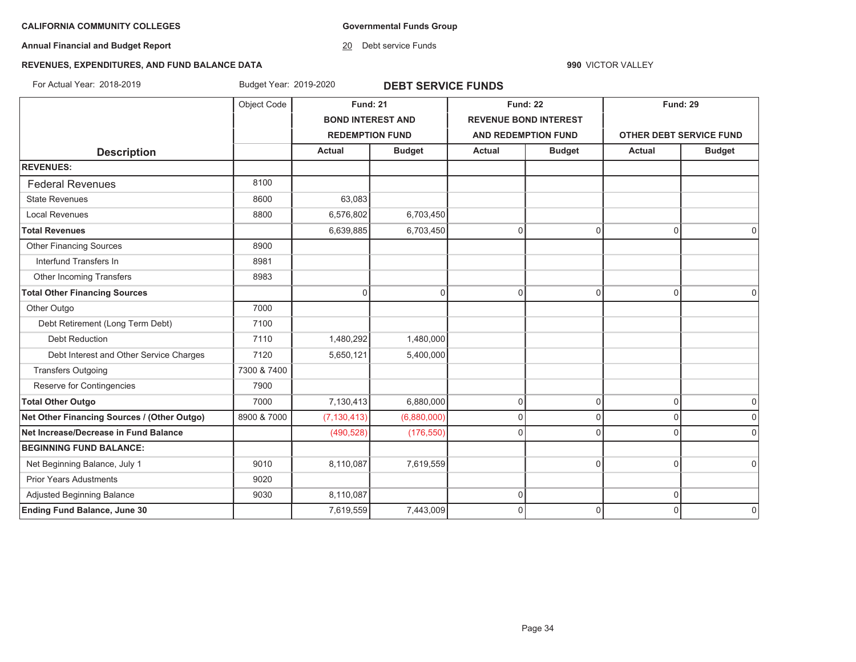**Governmental Funds Group**

**Annual Financial and Budget Report**

20 Debt service Funds

**990** VICTOR VALLEY

# **REVENUES, EXPENDITURES, AND FUND BALANCE DATA**

For Actual Year: 2018-2019 Budget Year: 2019-2020 **DEBT SERVICE FUNDS**

|                                             | Object Code | <b>Fund: 21</b>          |               | <b>Fund: 22</b>              |               | <b>Fund: 29</b>                |               |
|---------------------------------------------|-------------|--------------------------|---------------|------------------------------|---------------|--------------------------------|---------------|
|                                             |             | <b>BOND INTEREST AND</b> |               | <b>REVENUE BOND INTEREST</b> |               |                                |               |
|                                             |             | <b>REDEMPTION FUND</b>   |               | <b>AND REDEMPTION FUND</b>   |               | <b>OTHER DEBT SERVICE FUND</b> |               |
| <b>Description</b>                          |             | <b>Actual</b>            | <b>Budget</b> | <b>Actual</b>                | <b>Budget</b> | <b>Actual</b>                  | <b>Budget</b> |
| <b>REVENUES:</b>                            |             |                          |               |                              |               |                                |               |
| <b>Federal Revenues</b>                     | 8100        |                          |               |                              |               |                                |               |
| <b>State Revenues</b>                       | 8600        | 63,083                   |               |                              |               |                                |               |
| <b>Local Revenues</b>                       | 8800        | 6,576,802                | 6,703,450     |                              |               |                                |               |
| <b>Total Revenues</b>                       |             | 6,639,885                | 6,703,450     | $\pmb{0}$                    | $\mathbf 0$   | $\mathbf 0$                    | $\Omega$      |
| <b>Other Financing Sources</b>              | 8900        |                          |               |                              |               |                                |               |
| Interfund Transfers In                      | 8981        |                          |               |                              |               |                                |               |
| Other Incoming Transfers                    | 8983        |                          |               |                              |               |                                |               |
| <b>Total Other Financing Sources</b>        |             | $\Omega$                 | $\Omega$      | $\mathsf 0$                  | 0             | $\Omega$                       | $\Omega$      |
| Other Outgo                                 | 7000        |                          |               |                              |               |                                |               |
| Debt Retirement (Long Term Debt)            | 7100        |                          |               |                              |               |                                |               |
| <b>Debt Reduction</b>                       | 7110        | 1,480,292                | 1,480,000     |                              |               |                                |               |
| Debt Interest and Other Service Charges     | 7120        | 5,650,121                | 5,400,000     |                              |               |                                |               |
| <b>Transfers Outgoing</b>                   | 7300 & 7400 |                          |               |                              |               |                                |               |
| Reserve for Contingencies                   | 7900        |                          |               |                              |               |                                |               |
| <b>Total Other Outgo</b>                    | 7000        | 7,130,413                | 6,880,000     | $\mathsf 0$                  | 0             | $\overline{0}$                 | $\pmb{0}$     |
| Net Other Financing Sources / (Other Outgo) | 8900 & 7000 | (7, 130, 413)            | (6,880,000)   | $\mathbf 0$                  | $\Omega$      | $\Omega$                       | $\Omega$      |
| Net Increase/Decrease in Fund Balance       |             | (490, 528)               | (176, 550)    | $\mathbf 0$                  | $\Omega$      | $\Omega$                       | $\Omega$      |
| <b>BEGINNING FUND BALANCE:</b>              |             |                          |               |                              |               |                                |               |
| Net Beginning Balance, July 1               | 9010        | 8,110,087                | 7,619,559     |                              | $\Omega$      | $\mathbf 0$                    | $\mathbf 0$   |
| <b>Prior Years Adustments</b>               | 9020        |                          |               |                              |               |                                |               |
| Adjusted Beginning Balance                  | 9030        | 8,110,087                |               | 0                            |               | $\mathbf 0$                    |               |
| <b>Ending Fund Balance, June 30</b>         |             | 7,619,559                | 7,443,009     | $\Omega$                     | $\Omega$      | $\Omega$                       | $\Omega$      |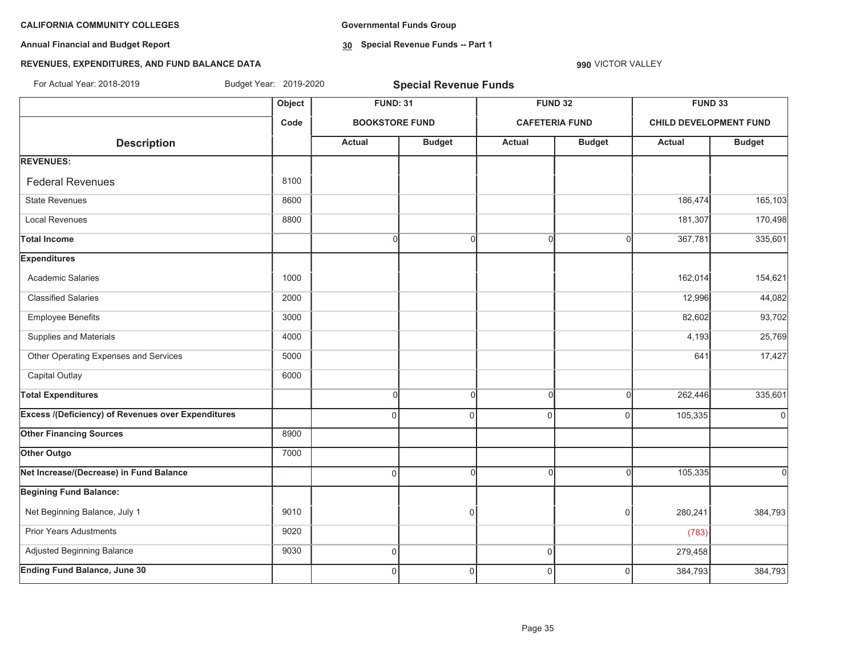**Annual Financial and Budget Report**

**Governmental Funds Group**

**30 Special Revenue Funds -- Part 1**

# **REVENUES, EXPENDITURES, AND FUND BALANCE DATA**

| For Actual Year: 2018-2019                                | Budget Year: 2019-2020 |                       | <b>Special Revenue Funds</b> |                |                       |                               |               |
|-----------------------------------------------------------|------------------------|-----------------------|------------------------------|----------------|-----------------------|-------------------------------|---------------|
|                                                           | Object                 | <b>FUND: 31</b>       |                              |                | <b>FUND 32</b>        | <b>FUND 33</b>                |               |
|                                                           | Code                   | <b>BOOKSTORE FUND</b> |                              |                | <b>CAFETERIA FUND</b> | <b>CHILD DEVELOPMENT FUND</b> |               |
| <b>Description</b>                                        |                        | <b>Actual</b>         | <b>Budget</b>                | Actual         | <b>Budget</b>         | <b>Actual</b>                 | <b>Budget</b> |
| <b>REVENUES:</b>                                          |                        |                       |                              |                |                       |                               |               |
| <b>Federal Revenues</b>                                   | 8100                   |                       |                              |                |                       |                               |               |
| <b>State Revenues</b>                                     | 8600                   |                       |                              |                |                       | 186,474                       | 165,103       |
| <b>Local Revenues</b>                                     | 8800                   |                       |                              |                |                       | 181,307                       | 170,498       |
| <b>Total Income</b>                                       |                        | 0                     | <sup>0</sup>                 | $\Omega$       | $\Omega$              | 367,781                       | 335,601       |
| <b>Expenditures</b>                                       |                        |                       |                              |                |                       |                               |               |
| Academic Salaries                                         | 1000                   |                       |                              |                |                       | 162,014                       | 154,621       |
| <b>Classified Salaries</b>                                | 2000                   |                       |                              |                |                       | 12,996                        | 44,082        |
| <b>Employee Benefits</b>                                  | 3000                   |                       |                              |                |                       | 82,602                        | 93,702        |
| Supplies and Materials                                    | 4000                   |                       |                              |                |                       | 4,193                         | 25,769        |
| Other Operating Expenses and Services                     | 5000                   |                       |                              |                |                       | 641                           | 17,427        |
| Capital Outlay                                            | 6000                   |                       |                              |                |                       |                               |               |
| <b>Total Expenditures</b>                                 |                        | $\Omega$              | $\Omega$                     | $\Omega$       | $\Omega$              | 262,446                       | 335,601       |
| <b>Excess /(Deficiency) of Revenues over Expenditures</b> |                        | $\Omega$              | $\Omega$                     | $\Omega$       | $\Omega$              | 105,335                       | $\mathbf 0$   |
| <b>Other Financing Sources</b>                            | 8900                   |                       |                              |                |                       |                               |               |
| Other Outgo                                               | 7000                   |                       |                              |                |                       |                               |               |
| Net Increase/(Decrease) in Fund Balance                   |                        | $\Omega$              | $\Omega$                     | $\Omega$       | n                     | 105,335                       | <sub>0</sub>  |
| <b>Begining Fund Balance:</b>                             |                        |                       |                              |                |                       |                               |               |
| Net Beginning Balance, July 1                             | 9010                   |                       | 0                            |                | $\Omega$              | 280,241                       | 384,793       |
| Prior Years Adustments                                    | 9020                   |                       |                              |                |                       | (783)                         |               |
| Adjusted Beginning Balance                                | 9030                   | 0                     |                              | $\overline{0}$ |                       | 279,458                       |               |
| <b>Ending Fund Balance, June 30</b>                       |                        | $\Omega$              | $\overline{0}$               | $\Omega$       | $\Omega$              | 384,793                       | 384,793       |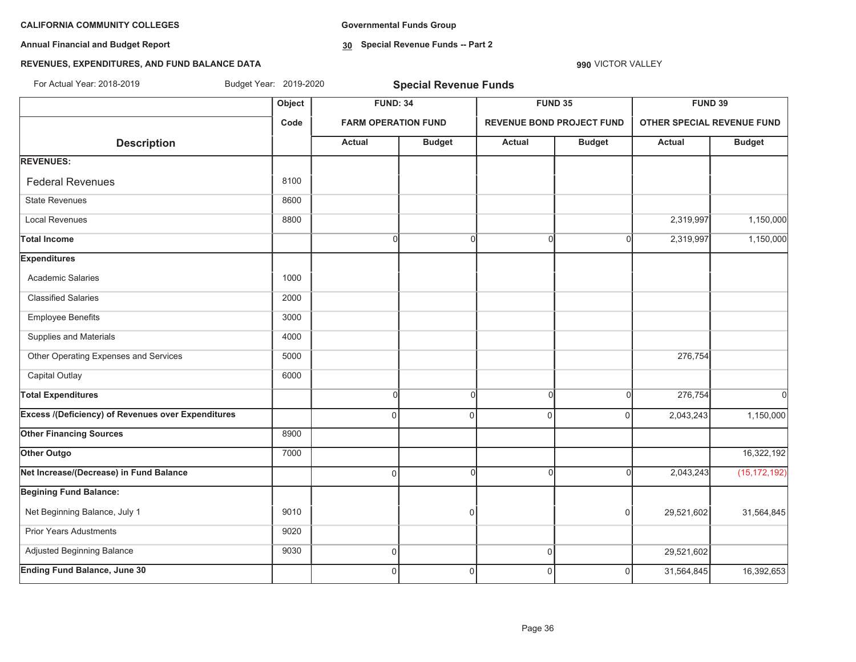**Annual Financial and Budget Report**

**Governmental Funds Group**

**30 Special Revenue Funds -- Part 2**

#### **990** VICTOR VALLEY

# **REVENUES, EXPENDITURES, AND FUND BALANCE DATA**

| For Actual Year: 2018-2019                                | Budget Year: 2019-2020 |                            | <b>Special Revenue Funds</b> |               |                                  |                            |                |
|-----------------------------------------------------------|------------------------|----------------------------|------------------------------|---------------|----------------------------------|----------------------------|----------------|
|                                                           | Object                 | <b>FUND: 34</b>            |                              |               | <b>FUND 35</b>                   | <b>FUND 39</b>             |                |
|                                                           | Code                   | <b>FARM OPERATION FUND</b> |                              |               | <b>REVENUE BOND PROJECT FUND</b> | OTHER SPECIAL REVENUE FUND |                |
| <b>Description</b>                                        |                        | <b>Actual</b>              | <b>Budget</b>                | <b>Actual</b> | <b>Budget</b>                    | <b>Actual</b>              | <b>Budget</b>  |
| <b>REVENUES:</b>                                          |                        |                            |                              |               |                                  |                            |                |
| <b>Federal Revenues</b>                                   | 8100                   |                            |                              |               |                                  |                            |                |
| <b>State Revenues</b>                                     | 8600                   |                            |                              |               |                                  |                            |                |
| <b>Local Revenues</b>                                     | 8800                   |                            |                              |               |                                  | 2,319,997                  | 1,150,000      |
| <b>Total Income</b>                                       |                        | $\overline{0}$             | $\overline{0}$               | $\Omega$      | O                                | 2,319,997                  | 1,150,000      |
| <b>Expenditures</b>                                       |                        |                            |                              |               |                                  |                            |                |
| <b>Academic Salaries</b>                                  | 1000                   |                            |                              |               |                                  |                            |                |
| <b>Classified Salaries</b>                                | 2000                   |                            |                              |               |                                  |                            |                |
| <b>Employee Benefits</b>                                  | 3000                   |                            |                              |               |                                  |                            |                |
| Supplies and Materials                                    | 4000                   |                            |                              |               |                                  |                            |                |
| Other Operating Expenses and Services                     | 5000                   |                            |                              |               |                                  | 276,754                    |                |
| Capital Outlay                                            | 6000                   |                            |                              |               |                                  |                            |                |
| <b>Total Expenditures</b>                                 |                        | $\overline{0}$             | $\overline{0}$               | $\Omega$      | $\cap$                           | 276,754                    | $\Omega$       |
| <b>Excess /(Deficiency) of Revenues over Expenditures</b> |                        | $\Omega$                   | $\Omega$                     | $\mathbf{0}$  | $\Omega$                         | 2,043,243                  | 1,150,000      |
| <b>Other Financing Sources</b>                            | 8900                   |                            |                              |               |                                  |                            |                |
| Other Outgo                                               | 7000                   |                            |                              |               |                                  |                            | 16,322,192     |
| Net Increase/(Decrease) in Fund Balance                   |                        | $\Omega$                   | $\Omega$                     | $\Omega$      |                                  | 2,043,243                  | (15, 172, 192) |
| <b>Begining Fund Balance:</b>                             |                        |                            |                              |               |                                  |                            |                |
| Net Beginning Balance, July 1                             | 9010                   |                            | $\Omega$                     |               | $\Omega$                         | 29,521,602                 | 31,564,845     |
| <b>Prior Years Adustments</b>                             | 9020                   |                            |                              |               |                                  |                            |                |
| Adjusted Beginning Balance                                | 9030                   | $\overline{0}$             |                              | $\mathbf 0$   |                                  | 29,521,602                 |                |
| <b>Ending Fund Balance, June 30</b>                       |                        | $\overline{0}$             | $\overline{0}$               | $\mathbf 0$   | $\overline{0}$                   | 31,564,845                 | 16,392,653     |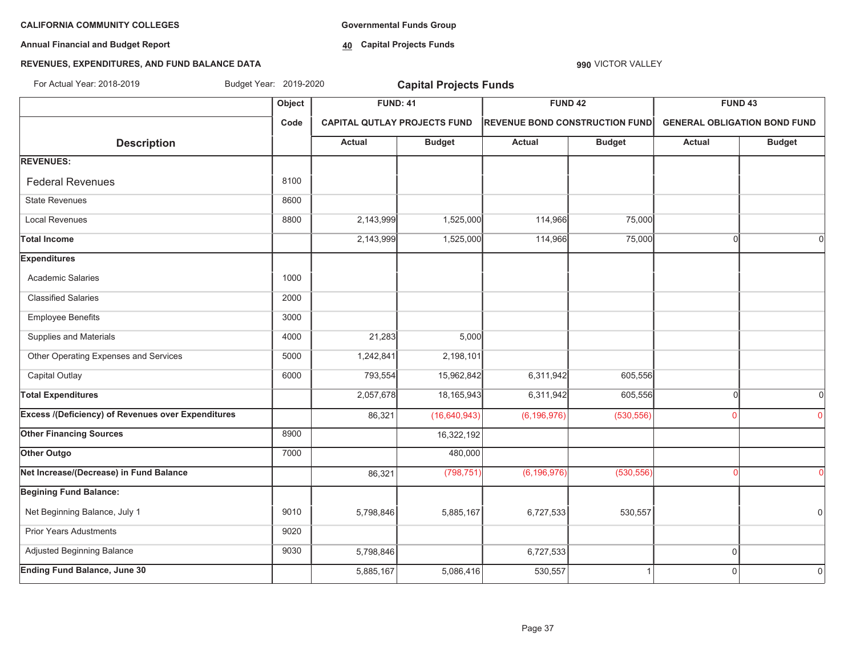**Annual Financial and Budget Report**

**Governmental Funds Group**

**40 Capital Projects Funds**

#### **REVENUES, EXPENDITURES, AND FUND BALANCE DATA**

# **Object FUND: 41 FUND 42 FUND 43 Code CAPITAL QUTLAY PROJECTS FUND REVENUE BOND CONSTRUCTION FUND GENERAL OBLIGATION BOND FUNDDescription Actual Budget Actual Budget Actual Budget REVENUES:** Federal Revenuess and the set of  $\sim$  1000  $\,$  8100  $\,$ State Revenues 8600 Local Revenues 8800 2,143,999 1,525,000 114,966 75,000 **Total Income** 2,143,999 1,525,000 114,966 75,000 0 0 **Expenditures** Academic Salaries 1000 Classified Salaries 2000 Employee Benefits 3000 Supplies and Materials **1000** 21,283 5,000 Other Operating Expenses and Services 1,5000 1,242,841 2,198,101 Capital Outlay 6000 793,554 15,962,842 6,311,942 605,556 **Total Expenditures** 2,057,678 18,165,943 6,311,942 605,556 0 0 **Excess /(Deficiency) of Revenues over Expenditures** 86,321 (16,640,943) (6,196,976) (530,556) <sup>0</sup> <sup>0</sup> **Other Financing Sources** 8900 16,322,192 **Other Outgo** 7000 **480,000 480,000 480,000 480,000 480,000 Net Increase/(Decrease) in Fund Balance** 86 **198,000 (86,321 11 199,000 (6,196,976)** (6,196,976) (530,556) **Begining Fund Balance:** Net Beginning Balance, July 1 9010 | 9010 | 5.798,846 5.885,167 | 6.727,533 530,557 | | | | | | | | | | | | | | Prior Years Adustments **19020** Adjusted Beginning Balance **19930** 5,798,846 6,727,533 6,727,533 6,727,533 6,8727,533 6,000 6,727,533 6,000 6,727,533 6,000 6,727,533 6,000 6,000 6,000 6,000 6,000 6,000 6,000 6,000 6,000 6,000 6,000 6,000 6,000 6,000 6,00 **Ending Fund Balance, June 30** 5,885,167 5,086,416 530,557 1 0 0 For Actual Year: 2018-2019 Budget Year: 2019-2020 **Capital Projects Funds**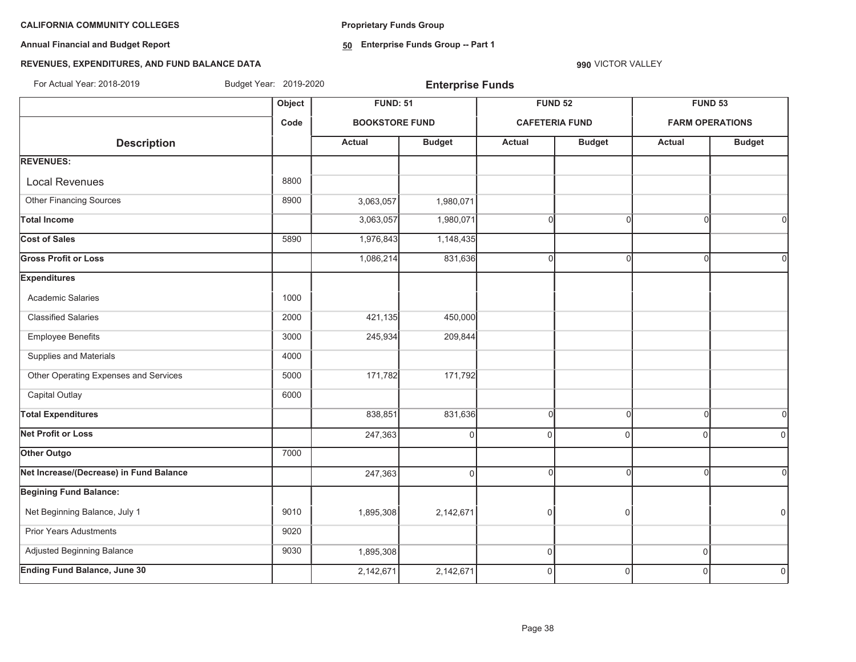**Annual Financial and Budget Report**

**Proprietary Funds Group**

**50 Enterprise Funds Group -- Part 1**

# **REVENUES, EXPENDITURES, AND FUND BALANCE DATA**

**990** VICTOR VALLEY

For Actual Year: 2018-2019 Budget Year: 2019-2020 **Enterprise Funds**

|                                         |      | <b>FUND: 51</b>       |               |                       | <b>FUND 52</b> | <b>FUND 53</b>         |               |  |
|-----------------------------------------|------|-----------------------|---------------|-----------------------|----------------|------------------------|---------------|--|
| <b>Description</b>                      | Code | <b>BOOKSTORE FUND</b> |               | <b>CAFETERIA FUND</b> |                | <b>FARM OPERATIONS</b> |               |  |
|                                         |      | Actual                | <b>Budget</b> | Actual                | <b>Budget</b>  | <b>Actual</b>          | <b>Budget</b> |  |
| <b>REVENUES:</b>                        |      |                       |               |                       |                |                        |               |  |
| <b>Local Revenues</b>                   | 8800 |                       |               |                       |                |                        |               |  |
| Other Financing Sources                 | 8900 | 3,063,057             | 1,980,071     |                       |                |                        |               |  |
| <b>Total Income</b>                     |      | 3,063,057             | 1,980,071     | $\Omega$              | $\Omega$       | C                      | Οl            |  |
| <b>Cost of Sales</b>                    | 5890 | 1,976,843             | 1,148,435     |                       |                |                        |               |  |
| <b>Gross Profit or Loss</b>             |      | 1,086,214             | 831,636       | $\Omega$              | $\Omega$       |                        | ΩI            |  |
| <b>Expenditures</b>                     |      |                       |               |                       |                |                        |               |  |
| <b>Academic Salaries</b>                | 1000 |                       |               |                       |                |                        |               |  |
| <b>Classified Salaries</b>              | 2000 | 421,135               | 450,000       |                       |                |                        |               |  |
| <b>Employee Benefits</b>                | 3000 | 245,934               | 209,844       |                       |                |                        |               |  |
| Supplies and Materials                  | 4000 |                       |               |                       |                |                        |               |  |
| Other Operating Expenses and Services   | 5000 | 171,782               | 171,792       |                       |                |                        |               |  |
| Capital Outlay                          | 6000 |                       |               |                       |                |                        |               |  |
| <b>Total Expenditures</b>               |      | 838,851               | 831,636       | $\Omega$              | $\Omega$       | $\cap$                 | $\Omega$      |  |
| <b>Net Profit or Loss</b>               |      | 247,363               | $\Omega$      | $\Omega$              | $\Omega$       | $\Omega$               | $\Omega$      |  |
| Other Outgo                             | 7000 |                       |               |                       |                |                        |               |  |
| Net Increase/(Decrease) in Fund Balance |      | 247,363               | $\Omega$      | $\Omega$              | $\Omega$       |                        | ΩI            |  |
| <b>Begining Fund Balance:</b>           |      |                       |               |                       |                |                        |               |  |
| Net Beginning Balance, July 1           | 9010 | 1,895,308             | 2,142,671     | $\Omega$              | 0              |                        | $\Omega$      |  |
| Prior Years Adustments                  | 9020 |                       |               |                       |                |                        |               |  |
| Adjusted Beginning Balance              | 9030 | 1,895,308             |               | 0                     |                | $\Omega$               |               |  |
| <b>Ending Fund Balance, June 30</b>     |      | 2,142,671             | 2,142,671     | $\Omega$              | $\Omega$       | $\Omega$               | $\Omega$      |  |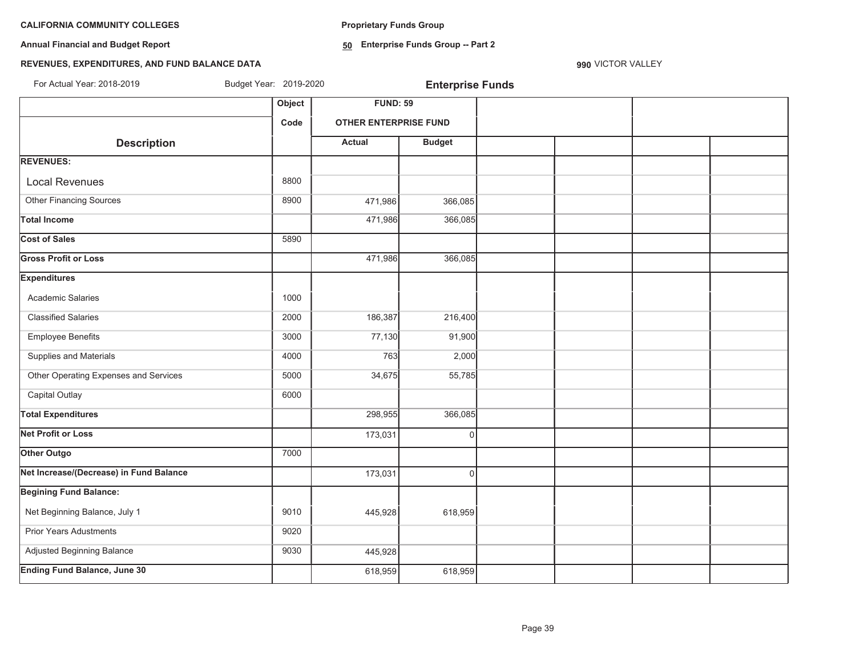**Proprietary Funds Group**

**Annual Financial and Budget Report**

**50 Enterprise Funds Group -- Part 2**

# **REVENUES, EXPENDITURES, AND FUND BALANCE DATA**

| For Actual Year: 2018-2019              | Budget Year: 2019-2020 |                              | <b>Enterprise Funds</b> |  |  |
|-----------------------------------------|------------------------|------------------------------|-------------------------|--|--|
|                                         | Object                 | <b>FUND: 59</b>              |                         |  |  |
|                                         | Code                   | <b>OTHER ENTERPRISE FUND</b> |                         |  |  |
| <b>Description</b>                      |                        | <b>Actual</b>                | <b>Budget</b>           |  |  |
| <b>REVENUES:</b>                        |                        |                              |                         |  |  |
| <b>Local Revenues</b>                   | 8800                   |                              |                         |  |  |
| <b>Other Financing Sources</b>          | 8900                   | 471,986                      | 366,085                 |  |  |
| <b>Total Income</b>                     |                        | 471,986                      | 366,085                 |  |  |
| <b>Cost of Sales</b>                    | 5890                   |                              |                         |  |  |
| <b>Gross Profit or Loss</b>             |                        | 471,986                      | 366,085                 |  |  |
| <b>Expenditures</b>                     |                        |                              |                         |  |  |
| Academic Salaries                       | 1000                   |                              |                         |  |  |
| <b>Classified Salaries</b>              | 2000                   | 186,387                      | 216,400                 |  |  |
| <b>Employee Benefits</b>                | 3000                   | 77,130                       | 91,900                  |  |  |
| Supplies and Materials                  | 4000                   | 763                          | 2,000                   |  |  |
| Other Operating Expenses and Services   | 5000                   | 34,675                       | 55,785                  |  |  |
| Capital Outlay                          | 6000                   |                              |                         |  |  |
| <b>Total Expenditures</b>               |                        | 298,955                      | 366,085                 |  |  |
| <b>Net Profit or Loss</b>               |                        | 173,031                      | 0                       |  |  |
| Other Outgo                             | 7000                   |                              |                         |  |  |
| Net Increase/(Decrease) in Fund Balance |                        | 173,031                      | $\Omega$                |  |  |
| <b>Begining Fund Balance:</b>           |                        |                              |                         |  |  |
| Net Beginning Balance, July 1           | 9010                   | 445,928                      | 618,959                 |  |  |
| <b>Prior Years Adustments</b>           | 9020                   |                              |                         |  |  |
| Adjusted Beginning Balance              | 9030                   | 445,928                      |                         |  |  |
| <b>Ending Fund Balance, June 30</b>     |                        | 618,959                      | 618,959                 |  |  |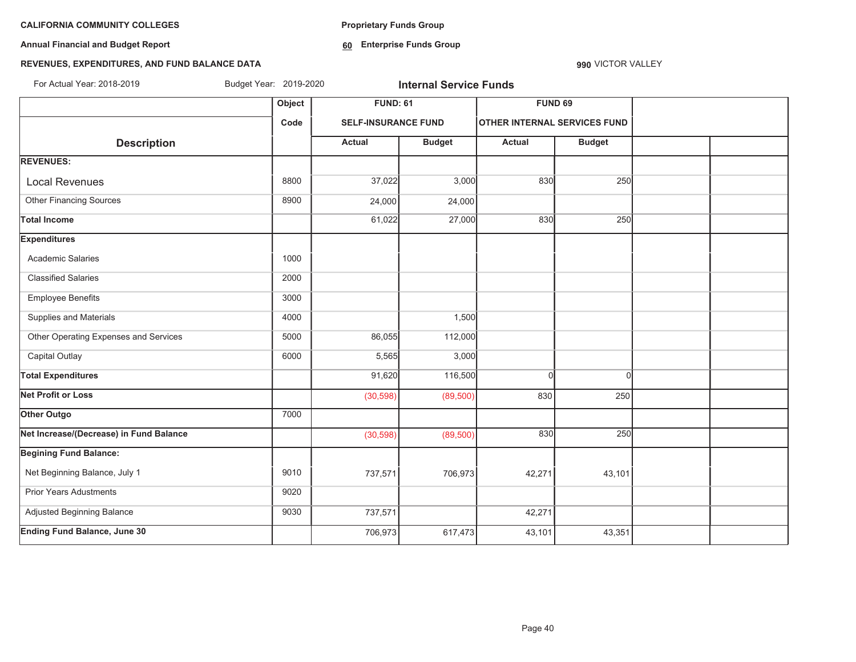**Annual Financial and Budget Report**

**Proprietary Funds Group**

**60 Enterprise Funds Group** 

# **REVENUES, EXPENDITURES, AND FUND BALANCE DATA**

| For Actual Year: 2018-2019              | Budget Year: 2019-2020 |                            | <b>Internal Service Funds</b> |                                     |               |  |
|-----------------------------------------|------------------------|----------------------------|-------------------------------|-------------------------------------|---------------|--|
|                                         | Object                 | <b>FUND: 61</b>            |                               | <b>FUND 69</b>                      |               |  |
|                                         | Code                   | <b>SELF-INSURANCE FUND</b> |                               | <b>OTHER INTERNAL SERVICES FUND</b> |               |  |
| <b>Description</b>                      |                        | <b>Actual</b>              | <b>Budget</b>                 | Actual                              | <b>Budget</b> |  |
| <b>REVENUES:</b>                        |                        |                            |                               |                                     |               |  |
| <b>Local Revenues</b>                   | 8800                   | 37,022                     | 3,000                         | 830                                 | 250           |  |
| <b>Other Financing Sources</b>          | 8900                   | 24,000                     | 24,000                        |                                     |               |  |
| <b>Total Income</b>                     |                        | 61,022                     | 27,000                        | 830                                 | 250           |  |
| <b>Expenditures</b>                     |                        |                            |                               |                                     |               |  |
| Academic Salaries                       | 1000                   |                            |                               |                                     |               |  |
| <b>Classified Salaries</b>              | 2000                   |                            |                               |                                     |               |  |
| <b>Employee Benefits</b>                | 3000                   |                            |                               |                                     |               |  |
| Supplies and Materials                  | 4000                   |                            | 1,500                         |                                     |               |  |
| Other Operating Expenses and Services   | 5000                   | 86,055                     | 112,000                       |                                     |               |  |
| Capital Outlay                          | 6000                   | 5,565                      | 3,000                         |                                     |               |  |
| <b>Total Expenditures</b>               |                        | 91,620                     | 116,500                       | $\Omega$                            | $\Omega$      |  |
| <b>Net Profit or Loss</b>               |                        | (30, 598)                  | (89, 500)                     | 830                                 | 250           |  |
| Other Outgo                             | 7000                   |                            |                               |                                     |               |  |
| Net Increase/(Decrease) in Fund Balance |                        | (30, 598)                  | (89, 500)                     | 830                                 | 250           |  |
| <b>Begining Fund Balance:</b>           |                        |                            |                               |                                     |               |  |
| Net Beginning Balance, July 1           | 9010                   | 737,571                    | 706,973                       | 42,271                              | 43,101        |  |
| <b>Prior Years Adustments</b>           | 9020                   |                            |                               |                                     |               |  |
| Adjusted Beginning Balance              | 9030                   | 737,571                    |                               | 42,271                              |               |  |
| <b>Ending Fund Balance, June 30</b>     |                        | 706,973                    | 617,473                       | 43,101                              | 43,351        |  |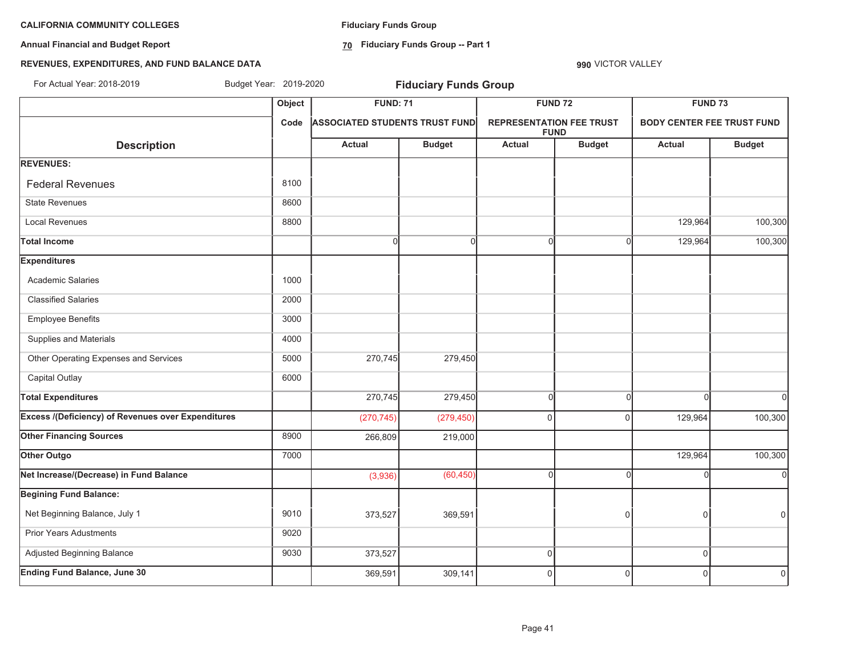**Annual Financial and Budget Report**

**Fiduciary Funds Group**

**70 Fiduciary Funds Group -- Part 1**

# **REVENUES, EXPENDITURES, AND FUND BALANCE DATA**

| For Actual Year: 2018-2019                                | Budget Year: 2019-2020 |                                       | <b>Fiduciary Funds Group</b> |                                 |                |                |                                   |
|-----------------------------------------------------------|------------------------|---------------------------------------|------------------------------|---------------------------------|----------------|----------------|-----------------------------------|
|                                                           | Object                 | <b>FUND: 71</b>                       |                              |                                 | <b>FUND 72</b> | <b>FUND 73</b> |                                   |
|                                                           | Code                   | <b>ASSOCIATED STUDENTS TRUST FUND</b> |                              | <b>REPRESENTATION FEE TRUST</b> | <b>FUND</b>    |                | <b>BODY CENTER FEE TRUST FUND</b> |
| <b>Description</b>                                        |                        | Actual                                | <b>Budget</b>                | <b>Actual</b>                   | <b>Budget</b>  | <b>Actual</b>  | <b>Budget</b>                     |
| <b>REVENUES:</b>                                          |                        |                                       |                              |                                 |                |                |                                   |
| <b>Federal Revenues</b>                                   | 8100                   |                                       |                              |                                 |                |                |                                   |
| <b>State Revenues</b>                                     | 8600                   |                                       |                              |                                 |                |                |                                   |
| <b>Local Revenues</b>                                     | 8800                   |                                       |                              |                                 |                | 129,964        | 100,300                           |
| <b>Total Income</b>                                       |                        | <sub>0</sub>                          | 0                            | $\Omega$                        | $\Omega$       | 129,964        | 100,300                           |
| <b>Expenditures</b>                                       |                        |                                       |                              |                                 |                |                |                                   |
| <b>Academic Salaries</b>                                  | 1000                   |                                       |                              |                                 |                |                |                                   |
| <b>Classified Salaries</b>                                | 2000                   |                                       |                              |                                 |                |                |                                   |
| <b>Employee Benefits</b>                                  | 3000                   |                                       |                              |                                 |                |                |                                   |
| Supplies and Materials                                    | 4000                   |                                       |                              |                                 |                |                |                                   |
| Other Operating Expenses and Services                     | 5000                   | 270,745                               | 279,450                      |                                 |                |                |                                   |
| Capital Outlay                                            | 6000                   |                                       |                              |                                 |                |                |                                   |
| <b>Total Expenditures</b>                                 |                        | 270,745                               | 279,450                      | $\Omega$                        | $\Omega$       | $\sqrt{ }$     | $\Omega$                          |
| <b>Excess /(Deficiency) of Revenues over Expenditures</b> |                        | (270, 745)                            | (279, 450)                   | 0                               | $\Omega$       | 129,964        | 100,300                           |
| <b>Other Financing Sources</b>                            | 8900                   | 266,809                               | 219,000                      |                                 |                |                |                                   |
| Other Outgo                                               | 7000                   |                                       |                              |                                 |                | 129,964        | 100,300                           |
| Net Increase/(Decrease) in Fund Balance                   |                        | (3,936)                               | (60, 450)                    | $\cap$                          | $\Omega$       |                | $\Omega$                          |
| <b>Begining Fund Balance:</b>                             |                        |                                       |                              |                                 |                |                |                                   |
| Net Beginning Balance, July 1                             | 9010                   | 373,527                               | 369,591                      |                                 | $\Omega$       | $\Omega$       | $\mathbf 0$                       |
| <b>Prior Years Adustments</b>                             | 9020                   |                                       |                              |                                 |                |                |                                   |
| Adjusted Beginning Balance                                | 9030                   | 373,527                               |                              | $\overline{0}$                  |                | $\mathbf 0$    |                                   |
| <b>Ending Fund Balance, June 30</b>                       |                        | 369,591                               | 309,141                      | $\Omega$                        | $\mathbf 0$    | $\Omega$       | $\Omega$                          |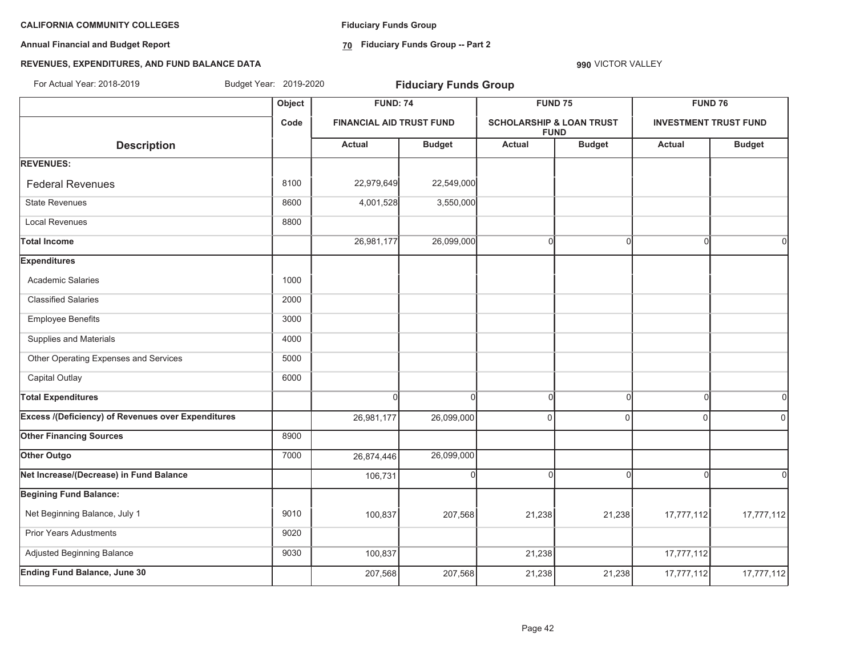**Annual Financial and Budget Report**

**Fiduciary Funds Group**

**70 Fiduciary Funds Group -- Part 2**

**990** VICTOR VALLEY

## **REVENUES, EXPENDITURES, AND FUND BALANCE DATA**

**Object FUND: 74 FUND 75 FUND 76 Code FINANCIAL AID TRUST FUND SCHOLARSHIP & LOAN TRUST FUNDINVESTMENT TRUST FUND** $\begin{bmatrix} \text{Description} \end{bmatrix}$   $\begin{bmatrix} \text{Actual} \end{bmatrix}$   $\begin{bmatrix} \text{Budget} \end{bmatrix}$   $\begin{bmatrix} \text{Budget} \end{bmatrix}$   $\begin{bmatrix} \text{Actual} \end{bmatrix}$   $\begin{bmatrix} \text{Budget} \end{bmatrix}$ **REVENUES:** Federal Revenues 8100 22,979,649 22,549,000 State Revenues 8600 3,550,000 4,001,528 3,550,000 Local Revenues 8800 **Total Income** 26,981,177 26,099,000 0 0 0 0 **Expenditures** Academic Salaries 1000 Classified Salaries 2000 Employee Benefits 3000 Supplies and Materials 4000 Other Operating Expenses and Services 5000 Capital Outlay **6000 Total Expenditures** 000000 **Excess /(Deficiency) of Revenues over Expenditures and the contract of the contract of the contract of the contract of the contract of the contract of the contract of the contract of the contract of the contract of the Other Financing Sources** 8900 **Other Outgo** 76,099,000 26,874,446 26,099,000 26,874,446 26,099,000 26,874,446 26,099,000 26,099,000 26,099,000 **Net Increase/(Decrease) in Fund Balance** 106,731 00000 **Begining Fund Balance:** Net Beginning Balance, July 1 17,777,112 | 9010 | 9010 | 9010 | 100,837 | 207,568 | 21,238 | 21,238 | 17,777,112 17,777,112 Prior Years Adustments 9020 Adjusted Beginning Balance 17,777,112 **Ending Fund Balance, June 30** 2077,000 207,568 207,568 207,568 21,238 21,238 21,238 21,777,112 17,777,112 For Actual Year: 2018-2019 Budget Year: 2019-2020 **Fiduciary Funds Group**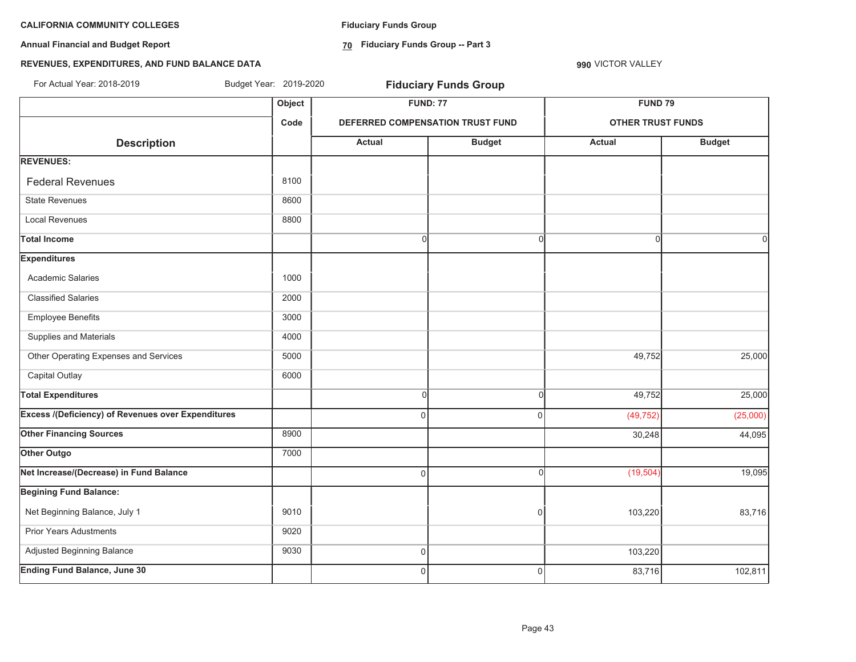**Annual Financial and Budget Report**

**Fiduciary Funds Group**

**70 Fiduciary Funds Group -- Part 3**

**990** VICTOR VALLEY

# **REVENUES, EXPENDITURES, AND FUND BALANCE DATA**

| For Actual Year: 2018-2019                                | Budget Year: 2019-2020 |                | <b>Fiduciary Funds Group</b>     |                          |               |  |
|-----------------------------------------------------------|------------------------|----------------|----------------------------------|--------------------------|---------------|--|
|                                                           | Object                 |                | <b>FUND: 77</b>                  | <b>FUND 79</b>           |               |  |
|                                                           | Code                   |                | DEFERRED COMPENSATION TRUST FUND | <b>OTHER TRUST FUNDS</b> |               |  |
| <b>Description</b>                                        |                        | <b>Actual</b>  | <b>Budget</b>                    | <b>Actual</b>            | <b>Budget</b> |  |
| <b>REVENUES:</b>                                          |                        |                |                                  |                          |               |  |
| <b>Federal Revenues</b>                                   | 8100                   |                |                                  |                          |               |  |
| <b>State Revenues</b>                                     | 8600                   |                |                                  |                          |               |  |
| <b>Local Revenues</b>                                     | 8800                   |                |                                  |                          |               |  |
| <b>Total Income</b>                                       |                        | <sub>0</sub>   | $\Omega$                         | $\Omega$                 | $\Omega$      |  |
| <b>Expenditures</b>                                       |                        |                |                                  |                          |               |  |
| Academic Salaries                                         | 1000                   |                |                                  |                          |               |  |
| <b>Classified Salaries</b>                                | 2000                   |                |                                  |                          |               |  |
| <b>Employee Benefits</b>                                  | 3000                   |                |                                  |                          |               |  |
| Supplies and Materials                                    | 4000                   |                |                                  |                          |               |  |
| Other Operating Expenses and Services                     | 5000                   |                |                                  | 49,752                   | 25,000        |  |
| Capital Outlay                                            | 6000                   |                |                                  |                          |               |  |
| <b>Total Expenditures</b>                                 |                        | $\mathbf{0}$   | $\Omega$                         | 49,752                   | 25,000        |  |
| <b>Excess /(Deficiency) of Revenues over Expenditures</b> |                        | $\Omega$       | $\Omega$                         | (49, 752)                | (25,000)      |  |
| <b>Other Financing Sources</b>                            | 8900                   |                |                                  | 30,248                   | 44,095        |  |
| Other Outgo                                               | 7000                   |                |                                  |                          |               |  |
| Net Increase/(Decrease) in Fund Balance                   |                        | $\Omega$       | $\Omega$                         | (19, 504)                | 19,095        |  |
| <b>Begining Fund Balance:</b>                             |                        |                |                                  |                          |               |  |
| Net Beginning Balance, July 1                             | 9010                   |                | 0                                | 103,220                  | 83,716        |  |
| <b>Prior Years Adustments</b>                             | 9020                   |                |                                  |                          |               |  |
| Adjusted Beginning Balance                                | 9030                   | $\overline{0}$ |                                  | 103,220                  |               |  |
| <b>Ending Fund Balance, June 30</b>                       |                        | $\Omega$       | $\Omega$                         | 83,716                   | 102,811       |  |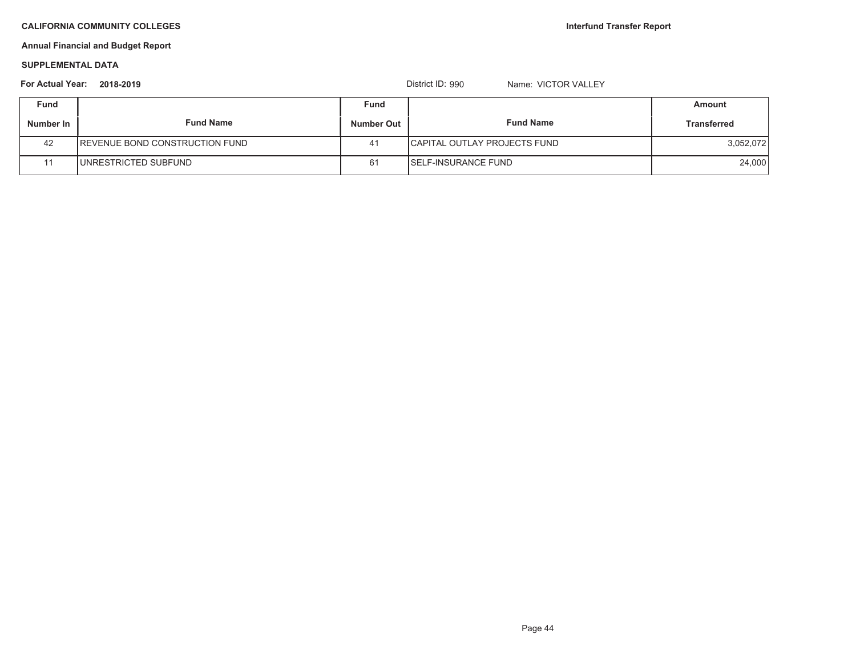# **Annual Financial and Budget Report**

#### **SUPPLEMENTAL DATA**

| <b>For Actual Year:</b> | 2018-2019                              |            | District ID: 990<br>Name: VICTOR VALLEY |                    |
|-------------------------|----------------------------------------|------------|-----------------------------------------|--------------------|
| <b>Fund</b>             |                                        | Fund       |                                         | Amount             |
| Number In               | <b>Fund Name</b>                       | Number Out | <b>Fund Name</b>                        | <b>Transferred</b> |
| 42                      | <b>IREVENUE BOND CONSTRUCTION FUND</b> | 41         | <b>ICAPITAL OUTLAY PROJECTS FUND</b>    | 3,052,072          |
|                         | UNRESTRICTED SUBFUND                   | 61         | <b>ISELF-INSURANCE FUND</b>             | 24,000             |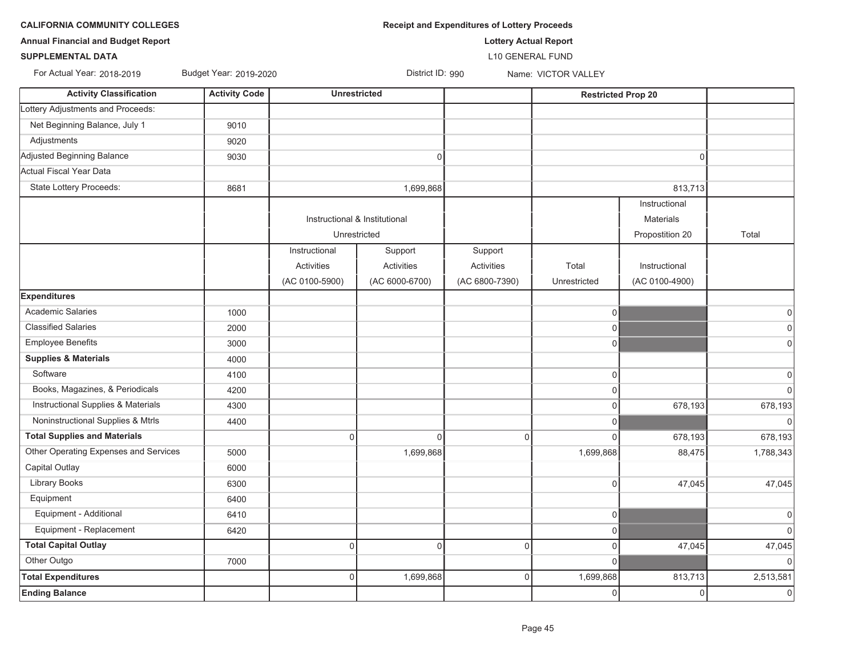| <b>DRNIA COMMUNITY COLLEGES</b> |  |
|---------------------------------|--|
|---------------------------------|--|

**CALIFORNIA COMMUNITY COLLEGES** *Receipt and Expenditures of Lottery Proceeds* 

**Annual Financial and Budget Report Lottery Actual Report**

**SUPPLEMENTAL DATA**

For Actual Year: 2018-2019

L10 GENERAL FUND

| <b>Activity Classification</b>        | <b>Activity Code</b> |                               | <b>Unrestricted</b> |                | <b>Restricted Prop 20</b> |                  |             |
|---------------------------------------|----------------------|-------------------------------|---------------------|----------------|---------------------------|------------------|-------------|
| Lottery Adjustments and Proceeds:     |                      |                               |                     |                |                           |                  |             |
| Net Beginning Balance, July 1         | 9010                 |                               |                     |                |                           |                  |             |
| Adjustments                           | 9020                 |                               |                     |                |                           |                  |             |
| Adjusted Beginning Balance            | 9030                 |                               | 0                   |                |                           | 0                |             |
| Actual Fiscal Year Data               |                      |                               |                     |                |                           |                  |             |
| State Lottery Proceeds:               | 8681                 |                               | 1,699,868           |                |                           | 813,713          |             |
|                                       |                      |                               |                     |                |                           | Instructional    |             |
|                                       |                      | Instructional & Institutional |                     |                |                           | <b>Materials</b> |             |
|                                       |                      |                               | Unrestricted        |                |                           | Propostition 20  | Total       |
|                                       |                      | Instructional                 | Support             | Support        |                           |                  |             |
|                                       |                      | Activities                    | Activities          | Activities     | Total                     | Instructional    |             |
|                                       |                      | (AC 0100-5900)                | (AC 6000-6700)      | (AC 6800-7390) | Unrestricted              | (AC 0100-4900)   |             |
| <b>Expenditures</b>                   |                      |                               |                     |                |                           |                  |             |
| <b>Academic Salaries</b>              | 1000                 |                               |                     |                | $\overline{0}$            |                  | $\Omega$    |
| <b>Classified Salaries</b>            | 2000                 |                               |                     |                | $\overline{0}$            |                  | $\mathbf 0$ |
| <b>Employee Benefits</b>              | 3000                 |                               |                     |                | $\overline{0}$            |                  | $\mathbf 0$ |
| <b>Supplies &amp; Materials</b>       | 4000                 |                               |                     |                |                           |                  |             |
| Software                              | 4100                 |                               |                     |                | 0                         |                  | $\Omega$    |
| Books, Magazines, & Periodicals       | 4200                 |                               |                     |                | $\Omega$                  |                  | $\Omega$    |
| Instructional Supplies & Materials    | 4300                 |                               |                     |                | $\Omega$                  | 678,193          | 678,193     |
| Noninstructional Supplies & Mtrls     | 4400                 |                               |                     |                | $\overline{0}$            |                  | $\Omega$    |
| <b>Total Supplies and Materials</b>   |                      | $\mathbf 0$                   | $\overline{0}$      | $\Omega$       | $\Omega$                  | 678,193          | 678,193     |
| Other Operating Expenses and Services | 5000                 |                               | 1,699,868           |                | 1,699,868                 | 88,475           | 1,788,343   |
| Capital Outlay                        | 6000                 |                               |                     |                |                           |                  |             |
| <b>Library Books</b>                  | 6300                 |                               |                     |                | $\Omega$                  | 47,045           | 47,045      |
| Equipment                             | 6400                 |                               |                     |                |                           |                  |             |
| Equipment - Additional                | 6410                 |                               |                     |                | 0                         |                  | $\mathbf 0$ |
| Equipment - Replacement               | 6420                 |                               |                     |                | $\overline{0}$            |                  | $\Omega$    |
| <b>Total Capital Outlay</b>           |                      | $\mathsf{O}\xspace$           | $\overline{0}$      | $\mathbf 0$    | $\circ$                   | 47,045           | 47,045      |
| Other Outgo                           | 7000                 |                               |                     |                | $\overline{0}$            |                  | $\Omega$    |
| <b>Total Expenditures</b>             |                      | $\overline{0}$                | 1,699,868           | $\Omega$       | 1,699,868                 | 813,713          | 2,513,581   |
| <b>Ending Balance</b>                 |                      |                               |                     |                | 0                         | 0                | $\mathbf 0$ |

Budget Year: 2019-2020 **District ID: 990** Name: VICTOR VALLEY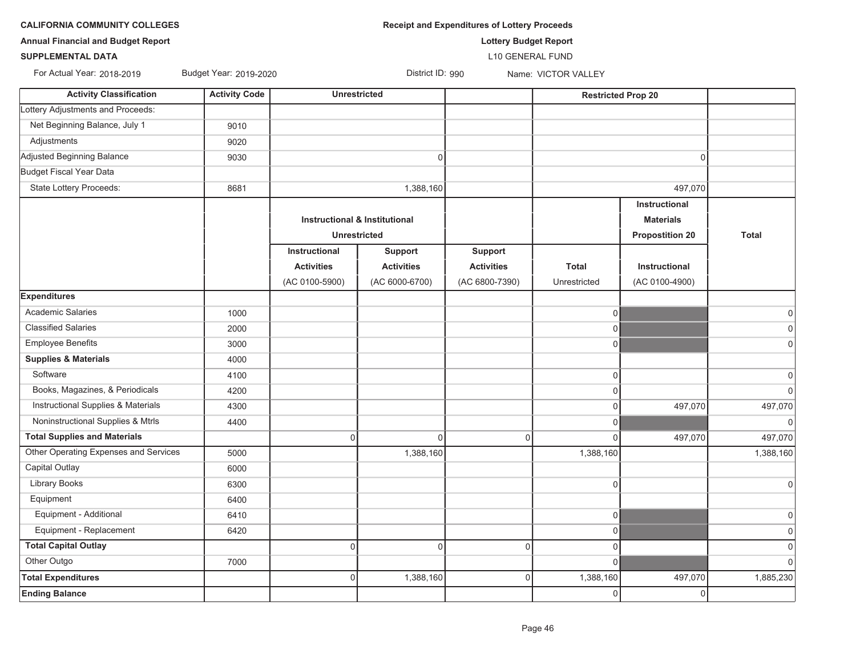**CALIFORNIA COMMUNITY COLLEGES** *Receipt and Expenditures of Lottery Proceeds* 

**Annual Financial and Budget Report Lottery Budget Report**

### **SUPPLEMENTAL DATA**

For Actual Year: 2018-2019

Budget Year: 2019-2020 District ID: 990 Name: VICTOR VALLEY

L10 GENERAL FUND

| <b>Activity Classification</b>        | <b>Activity Code</b> |                   | Unrestricted                             |                   |                | <b>Restricted Prop 20</b> |                |
|---------------------------------------|----------------------|-------------------|------------------------------------------|-------------------|----------------|---------------------------|----------------|
| Lottery Adjustments and Proceeds:     |                      |                   |                                          |                   |                |                           |                |
| Net Beginning Balance, July 1         | 9010                 |                   |                                          |                   |                |                           |                |
| Adjustments                           | 9020                 |                   |                                          |                   |                |                           |                |
| Adjusted Beginning Balance            | 9030                 |                   | $\pmb{0}$                                |                   |                | $\Omega$                  |                |
| Budget Fiscal Year Data               |                      |                   |                                          |                   |                |                           |                |
| State Lottery Proceeds:               | 8681                 |                   | 1,388,160                                |                   |                | 497,070                   |                |
|                                       |                      |                   |                                          |                   |                | Instructional             |                |
|                                       |                      |                   | <b>Instructional &amp; Institutional</b> |                   |                | <b>Materials</b>          |                |
|                                       |                      |                   | <b>Unrestricted</b>                      |                   |                | <b>Propostition 20</b>    | <b>Total</b>   |
|                                       |                      | Instructional     | <b>Support</b>                           | <b>Support</b>    |                |                           |                |
|                                       |                      | <b>Activities</b> | <b>Activities</b>                        | <b>Activities</b> | <b>Total</b>   | <b>Instructional</b>      |                |
|                                       |                      | (AC 0100-5900)    | (AC 6000-6700)                           | (AC 6800-7390)    | Unrestricted   | (AC 0100-4900)            |                |
| <b>Expenditures</b>                   |                      |                   |                                          |                   |                |                           |                |
| <b>Academic Salaries</b>              | 1000                 |                   |                                          |                   | $\mathbf 0$    |                           | 0              |
| <b>Classified Salaries</b>            | 2000                 |                   |                                          |                   | $\Omega$       |                           | $\overline{0}$ |
| <b>Employee Benefits</b>              | 3000                 |                   |                                          |                   | $\Omega$       |                           | $\overline{0}$ |
| <b>Supplies &amp; Materials</b>       | 4000                 |                   |                                          |                   |                |                           |                |
| Software                              | 4100                 |                   |                                          |                   | $\mathbf 0$    |                           | 0              |
| Books, Magazines, & Periodicals       | 4200                 |                   |                                          |                   | $\Omega$       |                           | 0              |
| Instructional Supplies & Materials    | 4300                 |                   |                                          |                   | $\mathbf 0$    | 497,070                   | 497,070        |
| Noninstructional Supplies & Mtrls     | 4400                 |                   |                                          |                   | $\Omega$       |                           | 0              |
| <b>Total Supplies and Materials</b>   |                      | $\overline{0}$    | $\mathbf 0$                              | $\Omega$          | $\Omega$       | 497,070                   | 497,070        |
| Other Operating Expenses and Services | 5000                 |                   | 1,388,160                                |                   | 1,388,160      |                           | 1,388,160      |
| Capital Outlay                        | 6000                 |                   |                                          |                   |                |                           |                |
| <b>Library Books</b>                  | 6300                 |                   |                                          |                   | $\mathbf 0$    |                           | 0              |
| Equipment                             | 6400                 |                   |                                          |                   |                |                           |                |
| Equipment - Additional                | 6410                 |                   |                                          |                   | 0              |                           | 0              |
| Equipment - Replacement               | 6420                 |                   |                                          |                   | $\overline{0}$ |                           | 0              |
| <b>Total Capital Outlay</b>           |                      | $\Omega$          | $\mathbf 0$                              | $\Omega$          | 0              |                           | $\overline{0}$ |
| Other Outgo                           | 7000                 |                   |                                          |                   | $\Omega$       |                           | $\Omega$       |
| <b>Total Expenditures</b>             |                      | $\mathbf 0$       | 1,388,160                                | $\overline{0}$    | 1,388,160      | 497,070                   | 1,885,230      |
| <b>Ending Balance</b>                 |                      |                   |                                          |                   | 0              | $\Omega$                  |                |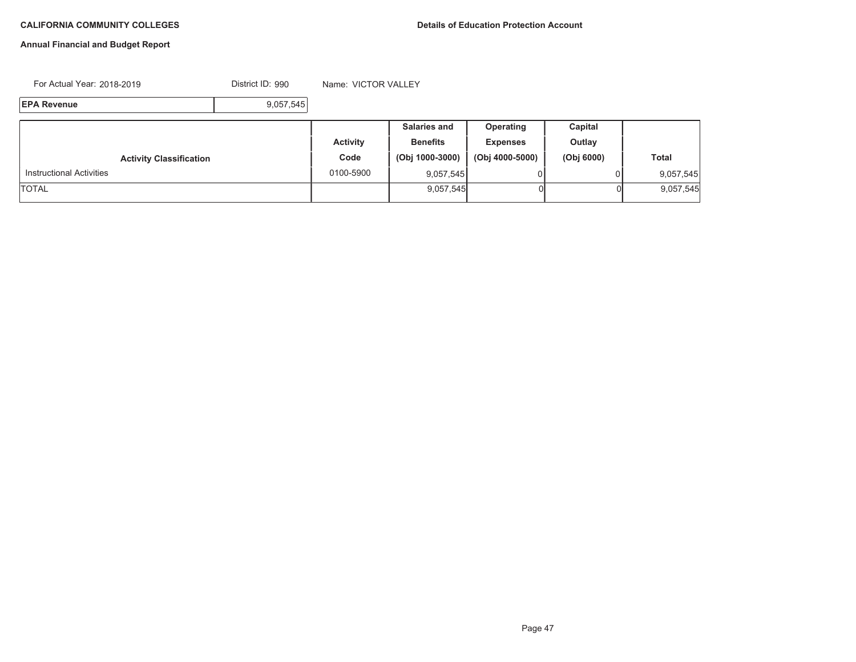# **Annual Financial and Budget Report**

For Actual Year: 2018-2019

District ID: 990 Name: VICTOR VALLEY

**EPA Revenue**9,057,545

|                                 |                 | <b>Salaries and</b> | Operating       | Capital    |              |
|---------------------------------|-----------------|---------------------|-----------------|------------|--------------|
|                                 | <b>Activity</b> | <b>Benefits</b>     | <b>Expenses</b> | Outlay     |              |
| <b>Activity Classification</b>  | Code            | (Obj 1000-3000)     | (Obj 4000-5000) | (Obj 6000) | <b>Total</b> |
| <b>Instructional Activities</b> | 0100-5900       | 9,057,545           |                 |            | 9,057,545    |
| <b>TOTAL</b>                    |                 | 9,057,545           |                 |            | 9,057,545    |